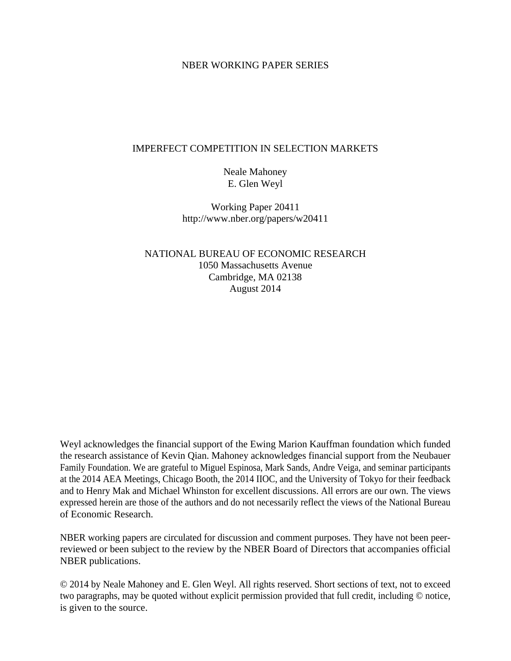# NBER WORKING PAPER SERIES

### IMPERFECT COMPETITION IN SELECTION MARKETS

Neale Mahoney E. Glen Weyl

Working Paper 20411 http://www.nber.org/papers/w20411

NATIONAL BUREAU OF ECONOMIC RESEARCH 1050 Massachusetts Avenue Cambridge, MA 02138 August 2014

Weyl acknowledges the financial support of the Ewing Marion Kauffman foundation which funded the research assistance of Kevin Qian. Mahoney acknowledges financial support from the Neubauer Family Foundation. We are grateful to Miguel Espinosa, Mark Sands, Andre Veiga, and seminar participants at the 2014 AEA Meetings, Chicago Booth, the 2014 IIOC, and the University of Tokyo for their feedback and to Henry Mak and Michael Whinston for excellent discussions. All errors are our own. The views expressed herein are those of the authors and do not necessarily reflect the views of the National Bureau of Economic Research.

NBER working papers are circulated for discussion and comment purposes. They have not been peerreviewed or been subject to the review by the NBER Board of Directors that accompanies official NBER publications.

© 2014 by Neale Mahoney and E. Glen Weyl. All rights reserved. Short sections of text, not to exceed two paragraphs, may be quoted without explicit permission provided that full credit, including © notice, is given to the source.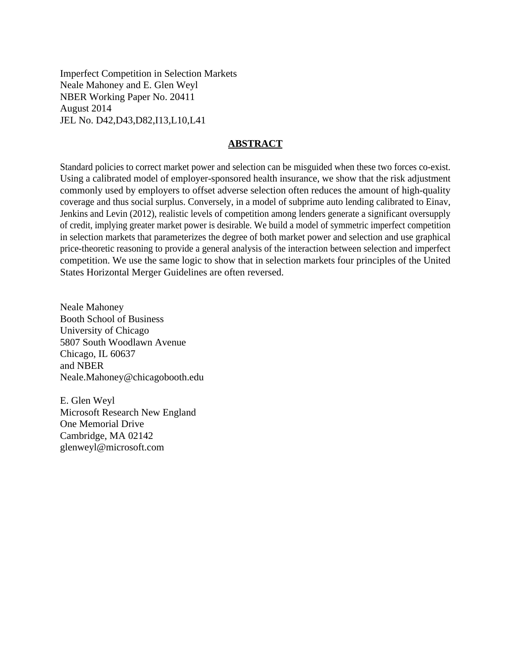Imperfect Competition in Selection Markets Neale Mahoney and E. Glen Weyl NBER Working Paper No. 20411 August 2014 JEL No. D42,D43,D82,I13,L10,L41

### **ABSTRACT**

Standard policies to correct market power and selection can be misguided when these two forces co-exist. Using a calibrated model of employer-sponsored health insurance, we show that the risk adjustment commonly used by employers to offset adverse selection often reduces the amount of high-quality coverage and thus social surplus. Conversely, in a model of subprime auto lending calibrated to Einav, Jenkins and Levin (2012), realistic levels of competition among lenders generate a significant oversupply of credit, implying greater market power is desirable. We build a model of symmetric imperfect competition in selection markets that parameterizes the degree of both market power and selection and use graphical price-theoretic reasoning to provide a general analysis of the interaction between selection and imperfect competition. We use the same logic to show that in selection markets four principles of the United States Horizontal Merger Guidelines are often reversed.

Neale Mahoney Booth School of Business University of Chicago 5807 South Woodlawn Avenue Chicago, IL 60637 and NBER Neale.Mahoney@chicagobooth.edu

E. Glen Weyl Microsoft Research New England One Memorial Drive Cambridge, MA 02142 glenweyl@microsoft.com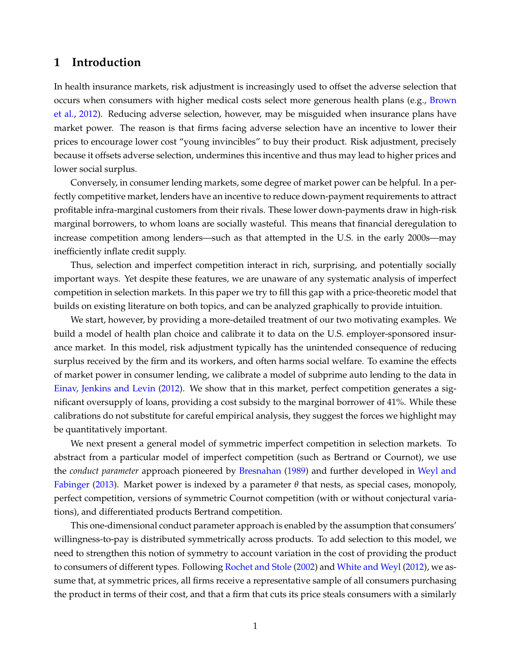# **1 Introduction**

In health insurance markets, risk adjustment is increasingly used to offset the adverse selection that occurs when consumers with higher medical costs select more generous health plans (e.g., [Brown](#page-40-0) [et al.,](#page-40-0) [2012\)](#page-40-0). Reducing adverse selection, however, may be misguided when insurance plans have market power. The reason is that firms facing adverse selection have an incentive to lower their prices to encourage lower cost "young invincibles" to buy their product. Risk adjustment, precisely because it offsets adverse selection, undermines this incentive and thus may lead to higher prices and lower social surplus.

Conversely, in consumer lending markets, some degree of market power can be helpful. In a perfectly competitive market, lenders have an incentive to reduce down-payment requirements to attract profitable infra-marginal customers from their rivals. These lower down-payments draw in high-risk marginal borrowers, to whom loans are socially wasteful. This means that financial deregulation to increase competition among lenders—such as that attempted in the U.S. in the early 2000s—may inefficiently inflate credit supply.

Thus, selection and imperfect competition interact in rich, surprising, and potentially socially important ways. Yet despite these features, we are unaware of any systematic analysis of imperfect competition in selection markets. In this paper we try to fill this gap with a price-theoretic model that builds on existing literature on both topics, and can be analyzed graphically to provide intuition.

We start, however, by providing a more-detailed treatment of our two motivating examples. We build a model of health plan choice and calibrate it to data on the U.S. employer-sponsored insurance market. In this model, risk adjustment typically has the unintended consequence of reducing surplus received by the firm and its workers, and often harms social welfare. To examine the effects of market power in consumer lending, we calibrate a model of subprime auto lending to the data in [Einav, Jenkins and Levin](#page-41-0) [\(2012\)](#page-41-0). We show that in this market, perfect competition generates a significant oversupply of loans, providing a cost subsidy to the marginal borrower of 41%. While these calibrations do not substitute for careful empirical analysis, they suggest the forces we highlight may be quantitatively important.

We next present a general model of symmetric imperfect competition in selection markets. To abstract from a particular model of imperfect competition (such as Bertrand or Cournot), we use the *conduct parameter* approach pioneered by [Bresnahan](#page-40-1) [\(1989\)](#page-40-1) and further developed in [Weyl and](#page-43-0) [Fabinger](#page-43-0) [\(2013\)](#page-43-0). Market power is indexed by a parameter *θ* that nests, as special cases, monopoly, perfect competition, versions of symmetric Cournot competition (with or without conjectural variations), and differentiated products Bertrand competition.

This one-dimensional conduct parameter approach is enabled by the assumption that consumers' willingness-to-pay is distributed symmetrically across products. To add selection to this model, we need to strengthen this notion of symmetry to account variation in the cost of providing the product to consumers of different types. Following [Rochet and Stole](#page-42-0) [\(2002\)](#page-42-0) and [White and Weyl](#page-43-1) [\(2012\)](#page-43-1), we assume that, at symmetric prices, all firms receive a representative sample of all consumers purchasing the product in terms of their cost, and that a firm that cuts its price steals consumers with a similarly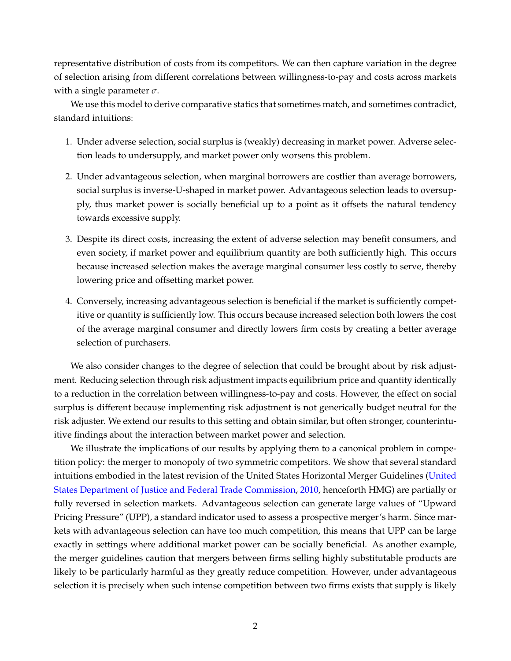representative distribution of costs from its competitors. We can then capture variation in the degree of selection arising from different correlations between willingness-to-pay and costs across markets with a single parameter *σ*.

We use this model to derive comparative statics that sometimes match, and sometimes contradict, standard intuitions:

- 1. Under adverse selection, social surplus is (weakly) decreasing in market power. Adverse selection leads to undersupply, and market power only worsens this problem.
- 2. Under advantageous selection, when marginal borrowers are costlier than average borrowers, social surplus is inverse-U-shaped in market power. Advantageous selection leads to oversupply, thus market power is socially beneficial up to a point as it offsets the natural tendency towards excessive supply.
- 3. Despite its direct costs, increasing the extent of adverse selection may benefit consumers, and even society, if market power and equilibrium quantity are both sufficiently high. This occurs because increased selection makes the average marginal consumer less costly to serve, thereby lowering price and offsetting market power.
- 4. Conversely, increasing advantageous selection is beneficial if the market is sufficiently competitive or quantity is sufficiently low. This occurs because increased selection both lowers the cost of the average marginal consumer and directly lowers firm costs by creating a better average selection of purchasers.

We also consider changes to the degree of selection that could be brought about by risk adjustment. Reducing selection through risk adjustment impacts equilibrium price and quantity identically to a reduction in the correlation between willingness-to-pay and costs. However, the effect on social surplus is different because implementing risk adjustment is not generically budget neutral for the risk adjuster. We extend our results to this setting and obtain similar, but often stronger, counterintuitive findings about the interaction between market power and selection.

We illustrate the implications of our results by applying them to a canonical problem in competition policy: the merger to monopoly of two symmetric competitors. We show that several standard intuitions embodied in the latest revision of the United States Horizontal Merger Guidelines [\(United](#page-42-1) [States Department of Justice and Federal Trade Commission,](#page-42-1) [2010,](#page-42-1) henceforth HMG) are partially or fully reversed in selection markets. Advantageous selection can generate large values of "Upward Pricing Pressure" (UPP), a standard indicator used to assess a prospective merger's harm. Since markets with advantageous selection can have too much competition, this means that UPP can be large exactly in settings where additional market power can be socially beneficial. As another example, the merger guidelines caution that mergers between firms selling highly substitutable products are likely to be particularly harmful as they greatly reduce competition. However, under advantageous selection it is precisely when such intense competition between two firms exists that supply is likely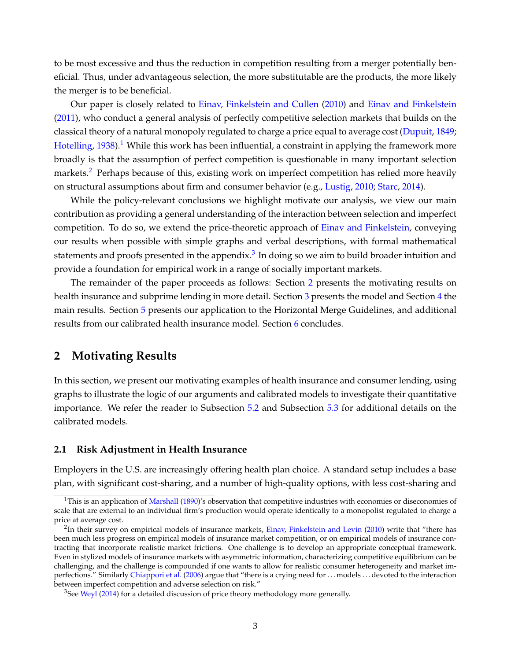to be most excessive and thus the reduction in competition resulting from a merger potentially beneficial. Thus, under advantageous selection, the more substitutable are the products, the more likely the merger is to be beneficial.

Our paper is closely related to [Einav, Finkelstein and Cullen](#page-41-1) [\(2010\)](#page-41-1) and [Einav and Finkelstein](#page-41-2) [\(2011\)](#page-41-2), who conduct a general analysis of perfectly competitive selection markets that builds on the classical theory of a natural monopoly regulated to charge a price equal to average cost [\(Dupuit,](#page-41-3) [1849;](#page-41-3) [Hotelling,](#page-42-2) [1938\)](#page-42-2).<sup>[1](#page-4-0)</sup> While this work has been influential, a constraint in applying the framework more broadly is that the assumption of perfect competition is questionable in many important selection markets.<sup>[2](#page-4-1)</sup> Perhaps because of this, existing work on imperfect competition has relied more heavily on structural assumptions about firm and consumer behavior (e.g., [Lustig,](#page-42-3) [2010;](#page-42-3) [Starc,](#page-42-4) [2014\)](#page-42-4).

While the policy-relevant conclusions we highlight motivate our analysis, we view our main contribution as providing a general understanding of the interaction between selection and imperfect competition. To do so, we extend the price-theoretic approach of [Einav and Finkelstein,](#page-41-2) conveying our results when possible with simple graphs and verbal descriptions, with formal mathematical statements and proofs presented in the appendix. $^3$  $^3$  In doing so we aim to build broader intuition and provide a foundation for empirical work in a range of socially important markets.

The remainder of the paper proceeds as follows: Section [2](#page-4-3) presents the motivating results on health insurance and subprime lending in more detail. Section [3](#page-10-0) presents the model and Section [4](#page-18-0) the main results. Section [5](#page-27-0) presents our application to the Horizontal Merge Guidelines, and additional results from our calibrated health insurance model. Section [6](#page-39-0) concludes.

# <span id="page-4-3"></span>**2 Motivating Results**

In this section, we present our motivating examples of health insurance and consumer lending, using graphs to illustrate the logic of our arguments and calibrated models to investigate their quantitative importance. We refer the reader to Subsection [5.2](#page-30-0) and Subsection [5.3](#page-38-0) for additional details on the calibrated models.

### <span id="page-4-4"></span>**2.1 Risk Adjustment in Health Insurance**

Employers in the U.S. are increasingly offering health plan choice. A standard setup includes a base plan, with significant cost-sharing, and a number of high-quality options, with less cost-sharing and

<span id="page-4-0"></span><sup>&</sup>lt;sup>1</sup>This is an application of [Marshall](#page-42-5) [\(1890\)](#page-42-5)'s observation that competitive industries with economies or diseconomies of scale that are external to an individual firm's production would operate identically to a monopolist regulated to charge a price at average cost.

<span id="page-4-1"></span><sup>&</sup>lt;sup>2</sup>In their survey on empirical models of insurance markets, [Einav, Finkelstein and Levin](#page-41-4) [\(2010\)](#page-41-4) write that "there has been much less progress on empirical models of insurance market competition, or on empirical models of insurance contracting that incorporate realistic market frictions. One challenge is to develop an appropriate conceptual framework. Even in stylized models of insurance markets with asymmetric information, characterizing competitive equilibrium can be challenging, and the challenge is compounded if one wants to allow for realistic consumer heterogeneity and market im-perfections." Similarly [Chiappori et al.](#page-40-2) [\(2006\)](#page-40-2) argue that "there is a crying need for ...models ...devoted to the interaction between imperfect competition and adverse selection on risk."

<span id="page-4-2"></span><sup>&</sup>lt;sup>3</sup>See [Weyl](#page-43-2) [\(2014\)](#page-43-2) for a detailed discussion of price theory methodology more generally.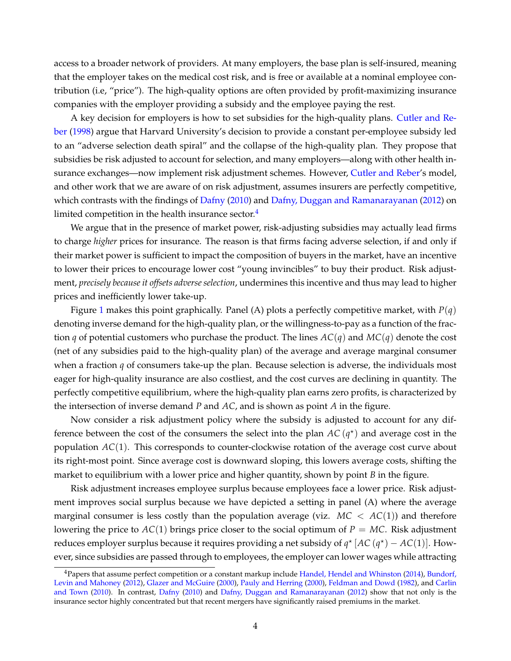access to a broader network of providers. At many employers, the base plan is self-insured, meaning that the employer takes on the medical cost risk, and is free or available at a nominal employee contribution (i.e, "price"). The high-quality options are often provided by profit-maximizing insurance companies with the employer providing a subsidy and the employee paying the rest.

A key decision for employers is how to set subsidies for the high-quality plans. [Cutler and Re](#page-40-3)[ber](#page-40-3) [\(1998\)](#page-40-3) argue that Harvard University's decision to provide a constant per-employee subsidy led to an "adverse selection death spiral" and the collapse of the high-quality plan. They propose that subsidies be risk adjusted to account for selection, and many employers—along with other health insurance exchanges—now implement risk adjustment schemes. However, [Cutler and Reber'](#page-40-3)s model, and other work that we are aware of on risk adjustment, assumes insurers are perfectly competitive, which contrasts with the findings of [Dafny](#page-40-4) [\(2010\)](#page-40-4) and [Dafny, Duggan and Ramanarayanan](#page-40-5) [\(2012\)](#page-40-5) on limited competition in the health insurance sector. $4$ 

We argue that in the presence of market power, risk-adjusting subsidies may actually lead firms to charge *higher* prices for insurance. The reason is that firms facing adverse selection, if and only if their market power is sufficient to impact the composition of buyers in the market, have an incentive to lower their prices to encourage lower cost "young invincibles" to buy their product. Risk adjustment, *precisely because it offsets adverse selection*, undermines this incentive and thus may lead to higher prices and inefficiently lower take-up.

Figure [1](#page-6-0) makes this point graphically. Panel (A) plots a perfectly competitive market, with *P*(*q*) denoting inverse demand for the high-quality plan, or the willingness-to-pay as a function of the fraction *q* of potential customers who purchase the product. The lines *AC*(*q*) and *MC*(*q*) denote the cost (net of any subsidies paid to the high-quality plan) of the average and average marginal consumer when a fraction *q* of consumers take-up the plan. Because selection is adverse, the individuals most eager for high-quality insurance are also costliest, and the cost curves are declining in quantity. The perfectly competitive equilibrium, where the high-quality plan earns zero profits, is characterized by the intersection of inverse demand *P* and *AC*, and is shown as point *A* in the figure.

Now consider a risk adjustment policy where the subsidy is adjusted to account for any difference between the cost of the consumers the select into the plan  $AC(q^{\star})$  and average cost in the population *AC*(1). This corresponds to counter-clockwise rotation of the average cost curve about its right-most point. Since average cost is downward sloping, this lowers average costs, shifting the market to equilibrium with a lower price and higher quantity, shown by point *B* in the figure.

Risk adjustment increases employee surplus because employees face a lower price. Risk adjustment improves social surplus because we have depicted a setting in panel (A) where the average marginal consumer is less costly than the population average (viz.  $MC < AC(1)$ ) and therefore lowering the price to  $AC(1)$  brings price closer to the social optimum of  $P = MC$ . Risk adjustment reduces employer surplus because it requires providing a net subsidy of  $q^*$   $[AC(q^*) - AC(1)]$ . However, since subsidies are passed through to employees, the employer can lower wages while attracting

<span id="page-5-0"></span><sup>4</sup>Papers that assume perfect competition or a constant markup include [Handel, Hendel and Whinston](#page-41-5) [\(2014\)](#page-41-5), [Bundorf,](#page-40-6) [Levin and Mahoney](#page-40-6) [\(2012\)](#page-40-6), [Glazer and McGuire](#page-41-6) [\(2000\)](#page-41-6), [Pauly and Herring](#page-42-6) [\(2000\)](#page-42-6), [Feldman and Dowd](#page-41-7) [\(1982\)](#page-41-7), and [Carlin](#page-40-7) [and Town](#page-40-7) [\(2010\)](#page-40-7). In contrast, [Dafny](#page-40-4) [\(2010\)](#page-40-4) and [Dafny, Duggan and Ramanarayanan](#page-40-5) [\(2012\)](#page-40-5) show that not only is the insurance sector highly concentrated but that recent mergers have significantly raised premiums in the market.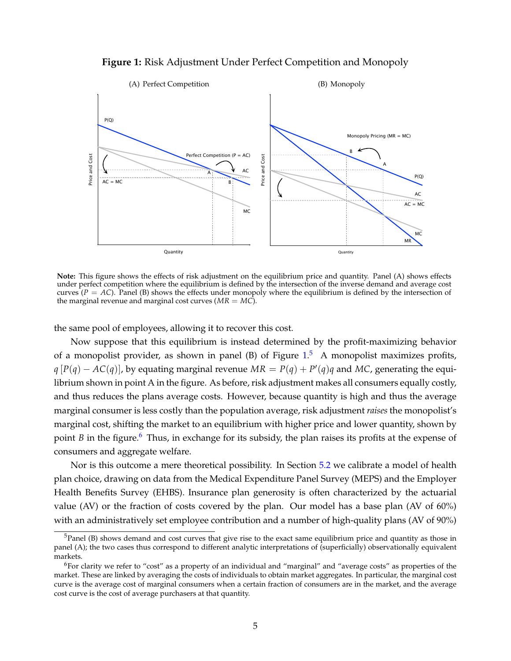

<span id="page-6-0"></span>

**Note:** This figure shows the effects of risk adjustment on the equilibrium price and quantity. Panel (A) shows effects under perfect competition where the equilibrium is defined by the intersection of the inverse demand and average cost curves  $(P = AC)$ . Panel (B) shows the effects under monopoly where the equilibrium is defined by the intersection of the marginal revenue and marginal cost curves  $(MR = MC)$ .

the same pool of employees, allowing it to recover this cost.

Now suppose that this equilibrium is instead determined by the profit-maximizing behavior of a monopolist provider, as shown in panel (B) of Figure  $1<sup>5</sup>$  $1<sup>5</sup>$  $1<sup>5</sup>$  A monopolist maximizes profits, *q* [ $P(q) − AC(q)$ ], by equating marginal revenue  $MR = P(q) + P'(q)q$  and MC, generating the equilibrium shown in point A in the figure. As before, risk adjustment makes all consumers equally costly, and thus reduces the plans average costs. However, because quantity is high and thus the average marginal consumer is less costly than the population average, risk adjustment *raises* the monopolist's marginal cost, shifting the market to an equilibrium with higher price and lower quantity, shown by point *B* in the figure.<sup>[6](#page-6-2)</sup> Thus, in exchange for its subsidy, the plan raises its profits at the expense of consumers and aggregate welfare.

Nor is this outcome a mere theoretical possibility. In Section [5.2](#page-30-0) we calibrate a model of health plan choice, drawing on data from the Medical Expenditure Panel Survey (MEPS) and the Employer Health Benefits Survey (EHBS). Insurance plan generosity is often characterized by the actuarial value (AV) or the fraction of costs covered by the plan. Our model has a base plan (AV of 60%) with an administratively set employee contribution and a number of high-quality plans (AV of 90%)

<span id="page-6-1"></span> $<sup>5</sup>$ Panel (B) shows demand and cost curves that give rise to the exact same equilibrium price and quantity as those in</sup> panel (A); the two cases thus correspond to different analytic interpretations of (superficially) observationally equivalent markets.

<span id="page-6-2"></span><sup>&</sup>lt;sup>6</sup>For clarity we refer to "cost" as a property of an individual and "marginal" and "average costs" as properties of the market. These are linked by averaging the costs of individuals to obtain market aggregates. In particular, the marginal cost curve is the average cost of marginal consumers when a certain fraction of consumers are in the market, and the average cost curve is the cost of average purchasers at that quantity.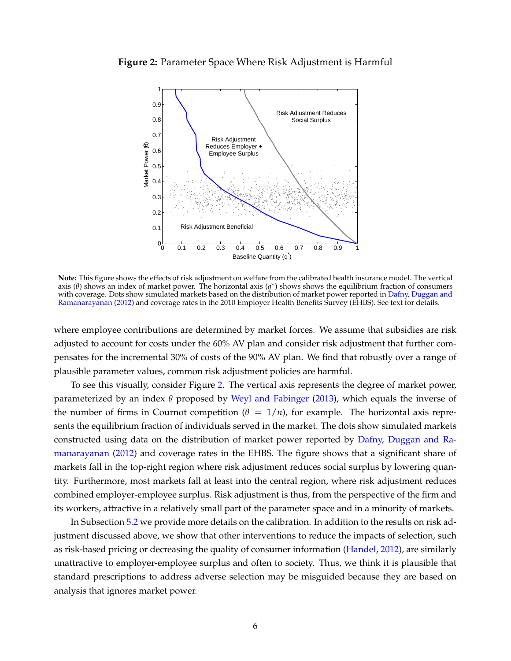<span id="page-7-0"></span>



**Note:** This figure shows the effects of risk adjustment on welfare from the calibrated health insurance model. The vertical axis (*θ*) shows an index of market power. The horizontal axis (*q* ? ) shows shows the equilibrium fraction of consumers with coverage. Dots show simulated markets based on the distribution of market power reported in [Dafny, Duggan and](#page-40-5) [Ramanarayanan](#page-40-5) [\(2012\)](#page-40-5) and coverage rates in the 2010 Employer Health Benefits Survey (EHBS). See text for details.

where employee contributions are determined by market forces. We assume that subsidies are risk adjusted to account for costs under the 60% AV plan and consider risk adjustment that further compensates for the incremental 30% of costs of the 90% AV plan. We find that robustly over a range of plausible parameter values, common risk adjustment policies are harmful.

To see this visually, consider Figure [2.](#page-7-0) The vertical axis represents the degree of market power, parameterized by an index *θ* proposed by [Weyl and Fabinger](#page-43-0) [\(2013\)](#page-43-0), which equals the inverse of the number of firms in Cournot competition ( $\theta = 1/n$ ), for example. The horizontal axis represents the equilibrium fraction of individuals served in the market. The dots show simulated markets constructed using data on the distribution of market power reported by [Dafny, Duggan and Ra](#page-40-5)[manarayanan](#page-40-5) [\(2012\)](#page-40-5) and coverage rates in the EHBS. The figure shows that a significant share of markets fall in the top-right region where risk adjustment reduces social surplus by lowering quantity. Furthermore, most markets fall at least into the central region, where risk adjustment reduces combined employer-employee surplus. Risk adjustment is thus, from the perspective of the firm and its workers, attractive in a relatively small part of the parameter space and in a minority of markets.

In Subsection [5.2](#page-30-0) we provide more details on the calibration. In addition to the results on risk adjustment discussed above, we show that other interventions to reduce the impacts of selection, such as risk-based pricing or decreasing the quality of consumer information [\(Handel,](#page-41-8) [2012\)](#page-41-8), are similarly unattractive to employer-employee surplus and often to society. Thus, we think it is plausible that standard prescriptions to address adverse selection may be misguided because they are based on analysis that ignores market power.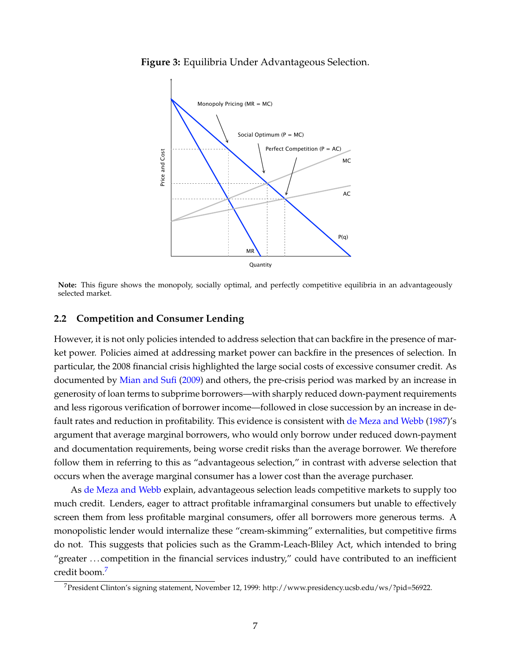<span id="page-8-1"></span>**Figure 3:** Equilibria Under Advantageous Selection.



**Note:** This figure shows the monopoly, socially optimal, and perfectly competitive equilibria in an advantageously selected market.

#### **2.2 Competition and Consumer Lending**

However, it is not only policies intended to address selection that can backfire in the presence of market power. Policies aimed at addressing market power can backfire in the presences of selection. In particular, the 2008 financial crisis highlighted the large social costs of excessive consumer credit. As documented by [Mian and Sufi](#page-42-7) [\(2009\)](#page-42-7) and others, the pre-crisis period was marked by an increase in generosity of loan terms to subprime borrowers—with sharply reduced down-payment requirements and less rigorous verification of borrower income—followed in close succession by an increase in default rates and reduction in profitability. This evidence is consistent with [de Meza and Webb](#page-41-9) [\(1987\)](#page-41-9)'s argument that average marginal borrowers, who would only borrow under reduced down-payment and documentation requirements, being worse credit risks than the average borrower. We therefore follow them in referring to this as "advantageous selection," in contrast with adverse selection that occurs when the average marginal consumer has a lower cost than the average purchaser.

As [de Meza and Webb](#page-41-9) explain, advantageous selection leads competitive markets to supply too much credit. Lenders, eager to attract profitable inframarginal consumers but unable to effectively screen them from less profitable marginal consumers, offer all borrowers more generous terms. A monopolistic lender would internalize these "cream-skimming" externalities, but competitive firms do not. This suggests that policies such as the Gramm-Leach-Bliley Act, which intended to bring "greater . . . competition in the financial services industry," could have contributed to an inefficient credit boom.[7](#page-8-0)

<span id="page-8-0"></span><sup>&</sup>lt;sup>7</sup> President Clinton's signing statement, November 12, 1999: http://www.presidency.ucsb.edu/ws/?pid=56922.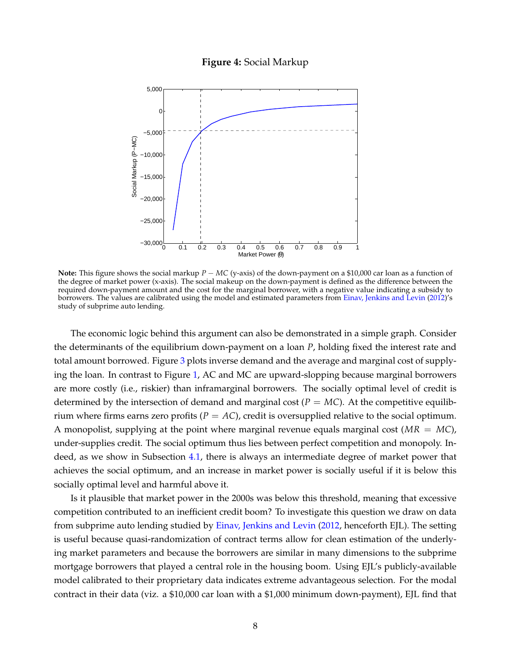### **Figure 4:** Social Markup

<span id="page-9-0"></span>

**Note:** This figure shows the social markup *P* − *MC* (y-axis) of the down-payment on a \$10,000 car loan as a function of the degree of market power (x-axis). The social makeup on the down-payment is defined as the difference between the required down-payment amount and the cost for the marginal borrower, with a negative value indicating a subsidy to borrowers. The values are calibrated using the model and estimated parameters from [Einav, Jenkins and Levin](#page-41-0) [\(2012\)](#page-41-0)'s study of subprime auto lending.

The economic logic behind this argument can also be demonstrated in a simple graph. Consider the determinants of the equilibrium down-payment on a loan *P*, holding fixed the interest rate and total amount borrowed. Figure [3](#page-8-1) plots inverse demand and the average and marginal cost of supplying the loan. In contrast to Figure [1,](#page-6-0) AC and MC are upward-slopping because marginal borrowers are more costly (i.e., riskier) than inframarginal borrowers. The socially optimal level of credit is determined by the intersection of demand and marginal cost ( $P = MC$ ). At the competitive equilibrium where firms earns zero profits  $(P = AC)$ , credit is oversupplied relative to the social optimum. A monopolist, supplying at the point where marginal revenue equals marginal cost (*MR* = *MC*), under-supplies credit. The social optimum thus lies between perfect competition and monopoly. Indeed, as we show in Subsection [4.1,](#page-18-1) there is always an intermediate degree of market power that achieves the social optimum, and an increase in market power is socially useful if it is below this socially optimal level and harmful above it.

Is it plausible that market power in the 2000s was below this threshold, meaning that excessive competition contributed to an inefficient credit boom? To investigate this question we draw on data from subprime auto lending studied by [Einav, Jenkins and Levin](#page-41-0) [\(2012,](#page-41-0) henceforth EJL). The setting is useful because quasi-randomization of contract terms allow for clean estimation of the underlying market parameters and because the borrowers are similar in many dimensions to the subprime mortgage borrowers that played a central role in the housing boom. Using EJL's publicly-available model calibrated to their proprietary data indicates extreme advantageous selection. For the modal contract in their data (viz. a \$10,000 car loan with a \$1,000 minimum down-payment), EJL find that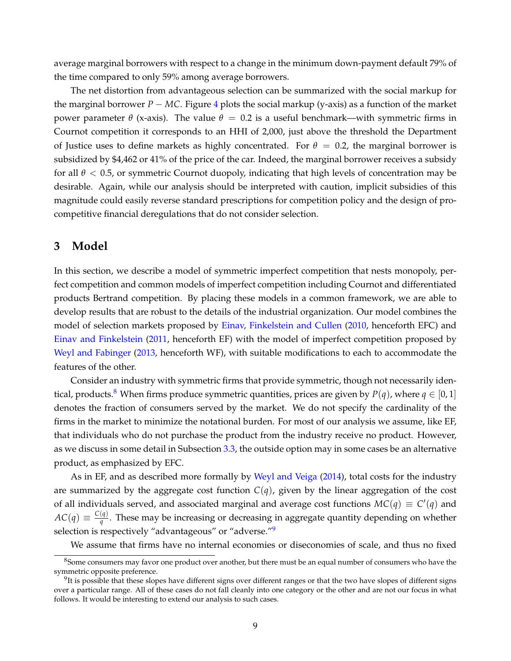average marginal borrowers with respect to a change in the minimum down-payment default 79% of the time compared to only 59% among average borrowers.

The net distortion from advantageous selection can be summarized with the social markup for the marginal borrower *P* − *MC*. Figure [4](#page-9-0) plots the social markup (y-axis) as a function of the market power parameter *θ* (x-axis). The value  $θ = 0.2$  is a useful benchmark—with symmetric firms in Cournot competition it corresponds to an HHI of 2,000, just above the threshold the Department of Justice uses to define markets as highly concentrated. For  $\theta = 0.2$ , the marginal borrower is subsidized by \$4,462 or 41% of the price of the car. Indeed, the marginal borrower receives a subsidy for all *θ* < 0.5, or symmetric Cournot duopoly, indicating that high levels of concentration may be desirable. Again, while our analysis should be interpreted with caution, implicit subsidies of this magnitude could easily reverse standard prescriptions for competition policy and the design of procompetitive financial deregulations that do not consider selection.

# <span id="page-10-0"></span>**3 Model**

In this section, we describe a model of symmetric imperfect competition that nests monopoly, perfect competition and common models of imperfect competition including Cournot and differentiated products Bertrand competition. By placing these models in a common framework, we are able to develop results that are robust to the details of the industrial organization. Our model combines the model of selection markets proposed by [Einav, Finkelstein and Cullen](#page-41-1) [\(2010,](#page-41-1) henceforth EFC) and [Einav and Finkelstein](#page-41-2) [\(2011,](#page-41-2) henceforth EF) with the model of imperfect competition proposed by [Weyl and Fabinger](#page-43-0) [\(2013,](#page-43-0) henceforth WF), with suitable modifications to each to accommodate the features of the other.

Consider an industry with symmetric firms that provide symmetric, though not necessarily iden-tical, products.<sup>[8](#page-10-1)</sup> When firms produce symmetric quantities, prices are given by  $P(q)$ , where  $q \in [0,1]$ denotes the fraction of consumers served by the market. We do not specify the cardinality of the firms in the market to minimize the notational burden. For most of our analysis we assume, like EF, that individuals who do not purchase the product from the industry receive no product. However, as we discuss in some detail in Subsection [3.3,](#page-16-0) the outside option may in some cases be an alternative product, as emphasized by EFC.

As in EF, and as described more formally by [Weyl and Veiga](#page-43-3) [\(2014\)](#page-43-3), total costs for the industry are summarized by the aggregate cost function  $C(q)$ , given by the linear aggregation of the cost of all individuals served, and associated marginal and average cost functions  $MC(q) \equiv C'(q)$  and  $AC(q) \equiv \frac{C(q)}{q}$ *q* . These may be increasing or decreasing in aggregate quantity depending on whether selection is respectively "advantageous" or "adverse."[9](#page-10-2)

We assume that firms have no internal economies or diseconomies of scale, and thus no fixed

<span id="page-10-1"></span><sup>&</sup>lt;sup>8</sup>Some consumers may favor one product over another, but there must be an equal number of consumers who have the symmetric opposite preference.

<span id="page-10-2"></span> $9$ It is possible that these slopes have different signs over different ranges or that the two have slopes of different signs over a particular range. All of these cases do not fall cleanly into one category or the other and are not our focus in what follows. It would be interesting to extend our analysis to such cases.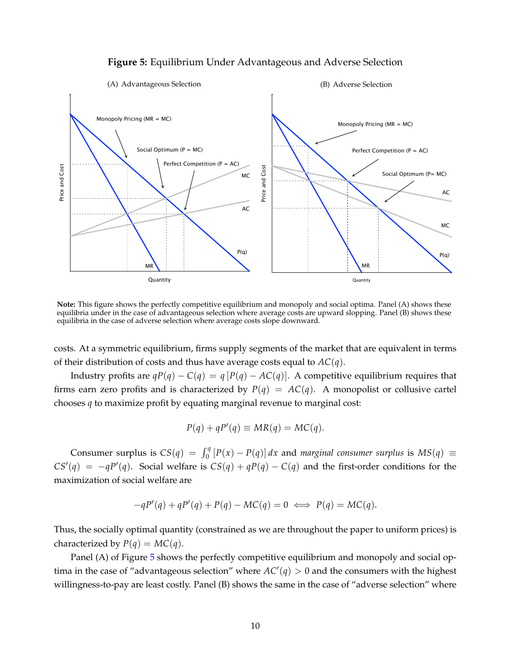# **Figure 5:** Equilibrium Under Advantageous and Adverse Selection

<span id="page-11-0"></span>

**Note:** This figure shows the perfectly competitive equilibrium and monopoly and social optima. Panel (A) shows these equilibria under in the case of advantageous selection where average costs are upward slopping. Panel (B) shows these equilibria in the case of adverse selection where average costs slope downward.

costs. At a symmetric equilibrium, firms supply segments of the market that are equivalent in terms of their distribution of costs and thus have average costs equal to *AC*(*q*).

Industry profits are  $qP(q) - C(q) = q[P(q) - AC(q)]$ . A competitive equilibrium requires that firms earn zero profits and is characterized by  $P(q) = AC(q)$ . A monopolist or collusive cartel chooses *q* to maximize profit by equating marginal revenue to marginal cost:

$$
P(q) + qP'(q) \equiv MR(q) = MC(q).
$$

Consumer surplus is  $CS(q) = \int_0^q [P(x) - P(q)] dx$  and *marginal consumer surplus* is  $MS(q) \equiv$  $CS'(q) = -qP'(q)$ . Social welfare is  $CS(q) + qP(q) - C(q)$  and the first-order conditions for the maximization of social welfare are

$$
-qP'(q) + qP'(q) + P(q) - MC(q) = 0 \iff P(q) = MC(q).
$$

Thus, the socially optimal quantity (constrained as we are throughout the paper to uniform prices) is characterized by  $P(q) = MC(q)$ .

Panel (A) of Figure [5](#page-11-0) shows the perfectly competitive equilibrium and monopoly and social optima in the case of "advantageous selection" where  $AC'(q) > 0$  and the consumers with the highest willingness-to-pay are least costly. Panel (B) shows the same in the case of "adverse selection" where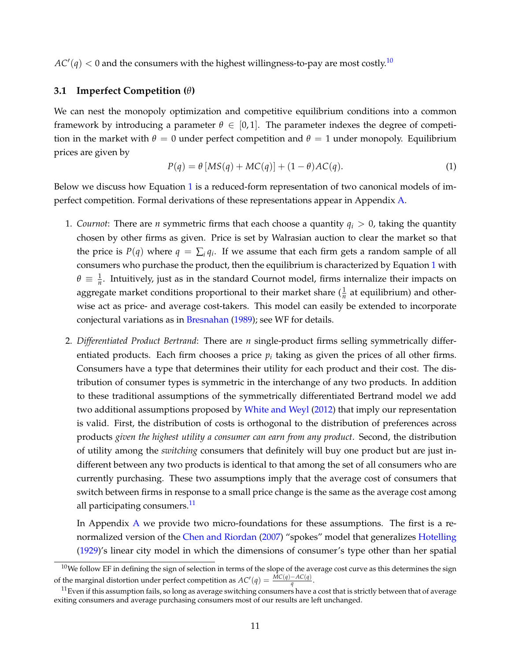$AC'(q) < 0$  and the consumers with the highest willingness-to-pay are most costly. $^{10}$  $^{10}$  $^{10}$ 

### **3.1 Imperfect Competition (***θ***)**

We can nest the monopoly optimization and competitive equilibrium conditions into a common framework by introducing a parameter  $\theta \in [0,1]$ . The parameter indexes the degree of competition in the market with  $\theta = 0$  under perfect competition and  $\theta = 1$  under monopoly. Equilibrium prices are given by

<span id="page-12-1"></span>
$$
P(q) = \theta \left[ MS(q) + MC(q) \right] + (1 - \theta)AC(q). \tag{1}
$$

Below we discuss how Equation [1](#page-12-1) is a reduced-form representation of two canonical models of imperfect competition. Formal derivations of these representations appear in Appendix [A.](#page-44-0)

- 1. *Cournot*: There are *n* symmetric firms that each choose a quantity *q<sup>i</sup>* > 0, taking the quantity chosen by other firms as given. Price is set by Walrasian auction to clear the market so that the price is  $P(q)$  where  $q = \sum_i q_i$ . If we assume that each firm gets a random sample of all consumers who purchase the product, then the equilibrium is characterized by Equation [1](#page-12-1) with  $\theta \equiv \frac{1}{n}$ . Intuitively, just as in the standard Cournot model, firms internalize their impacts on aggregate market conditions proportional to their market share  $(\frac{1}{n}$  at equilibrium) and otherwise act as price- and average cost-takers. This model can easily be extended to incorporate conjectural variations as in [Bresnahan](#page-40-1) [\(1989\)](#page-40-1); see WF for details.
- 2. *Differentiated Product Bertrand*: There are *n* single-product firms selling symmetrically differentiated products. Each firm chooses a price  $p_i$  taking as given the prices of all other firms. Consumers have a type that determines their utility for each product and their cost. The distribution of consumer types is symmetric in the interchange of any two products. In addition to these traditional assumptions of the symmetrically differentiated Bertrand model we add two additional assumptions proposed by [White and Weyl](#page-43-1) [\(2012\)](#page-43-1) that imply our representation is valid. First, the distribution of costs is orthogonal to the distribution of preferences across products *given the highest utility a consumer can earn from any product*. Second, the distribution of utility among the *switching* consumers that definitely will buy one product but are just indifferent between any two products is identical to that among the set of all consumers who are currently purchasing. These two assumptions imply that the average cost of consumers that switch between firms in response to a small price change is the same as the average cost among all participating consumers.<sup>[11](#page-12-2)</sup>

In [A](#page-44-0)ppendix  $\bf{A}$  we provide two micro-foundations for these assumptions. The first is a renormalized version of the [Chen and Riordan](#page-40-8) [\(2007\)](#page-40-8) "spokes" model that generalizes [Hotelling](#page-42-8) [\(1929\)](#page-42-8)'s linear city model in which the dimensions of consumer's type other than her spatial

<span id="page-12-0"></span> $10$ We follow EF in defining the sign of selection in terms of the slope of the average cost curve as this determines the sign of the marginal distortion under perfect competition as  $AC'(q) = \frac{MC(q) - AC(q)}{q}$ .

<span id="page-12-2"></span> $11$  Even if this assumption fails, so long as average switching consumers have a cost that is strictly between that of average exiting consumers and average purchasing consumers most of our results are left unchanged.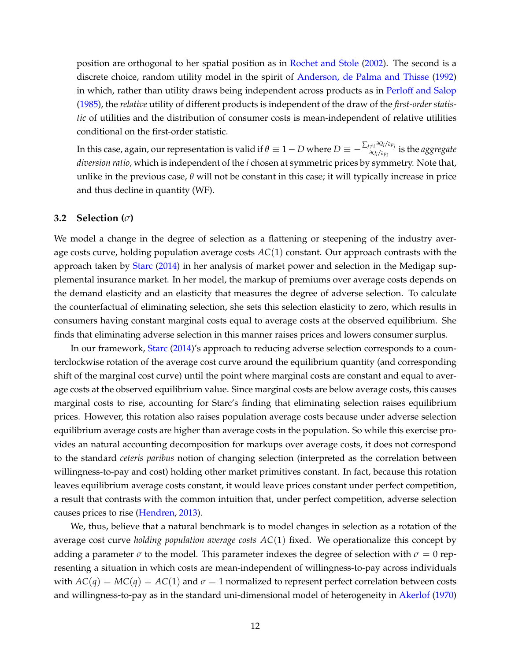position are orthogonal to her spatial position as in [Rochet and Stole](#page-42-0) [\(2002\)](#page-42-0). The second is a discrete choice, random utility model in the spirit of [Anderson, de Palma and Thisse](#page-40-9) [\(1992\)](#page-40-9) in which, rather than utility draws being independent across products as in [Perloff and Salop](#page-42-9) [\(1985\)](#page-42-9), the *relative* utility of different products is independent of the draw of the *first-order statistic* of utilities and the distribution of consumer costs is mean-independent of relative utilities conditional on the first-order statistic.

In this case, again, our representation is valid if  $\theta\equiv 1-D$  where  $D\equiv -\frac{\sum_{j\neq i}\partial Q_j/\partial p_j}{\partial Q_j/\partial p_j}$ *<sup>∂</sup>Qi*/*∂pi* is the *aggregate diversion ratio*, which is independent of the *i* chosen at symmetric prices by symmetry. Note that, unlike in the previous case,  $\theta$  will not be constant in this case; it will typically increase in price and thus decline in quantity (WF).

#### **3.2 Selection (***σ***)**

We model a change in the degree of selection as a flattening or steepening of the industry average costs curve, holding population average costs *AC*(1) constant. Our approach contrasts with the approach taken by [Starc](#page-42-4) [\(2014\)](#page-42-4) in her analysis of market power and selection in the Medigap supplemental insurance market. In her model, the markup of premiums over average costs depends on the demand elasticity and an elasticity that measures the degree of adverse selection. To calculate the counterfactual of eliminating selection, she sets this selection elasticity to zero, which results in consumers having constant marginal costs equal to average costs at the observed equilibrium. She finds that eliminating adverse selection in this manner raises prices and lowers consumer surplus.

In our framework, [Starc](#page-42-4) [\(2014\)](#page-42-4)'s approach to reducing adverse selection corresponds to a counterclockwise rotation of the average cost curve around the equilibrium quantity (and corresponding shift of the marginal cost curve) until the point where marginal costs are constant and equal to average costs at the observed equilibrium value. Since marginal costs are below average costs, this causes marginal costs to rise, accounting for Starc's finding that eliminating selection raises equilibrium prices. However, this rotation also raises population average costs because under adverse selection equilibrium average costs are higher than average costs in the population. So while this exercise provides an natural accounting decomposition for markups over average costs, it does not correspond to the standard *ceteris paribus* notion of changing selection (interpreted as the correlation between willingness-to-pay and cost) holding other market primitives constant. In fact, because this rotation leaves equilibrium average costs constant, it would leave prices constant under perfect competition, a result that contrasts with the common intuition that, under perfect competition, adverse selection causes prices to rise [\(Hendren,](#page-42-10) [2013\)](#page-42-10).

We, thus, believe that a natural benchmark is to model changes in selection as a rotation of the average cost curve *holding population average costs AC*(1) fixed. We operationalize this concept by adding a parameter  $\sigma$  to the model. This parameter indexes the degree of selection with  $\sigma = 0$  representing a situation in which costs are mean-independent of willingness-to-pay across individuals with  $AC(q) = MC(q) = AC(1)$  and  $\sigma = 1$  normalized to represent perfect correlation between costs and willingness-to-pay as in the standard uni-dimensional model of heterogeneity in [Akerlof](#page-40-10) [\(1970\)](#page-40-10)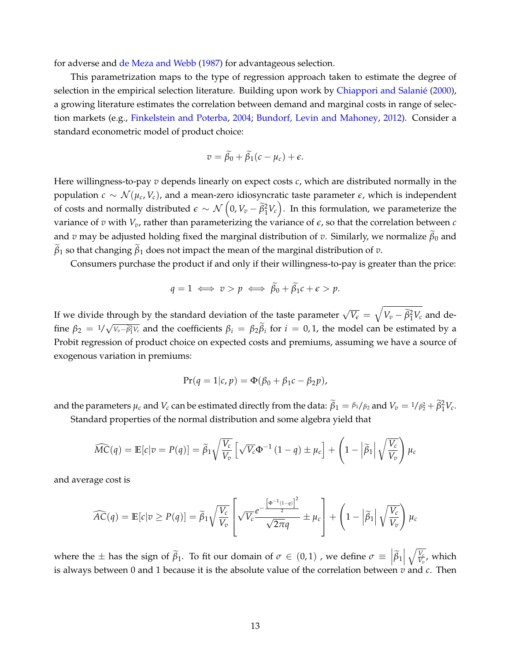for adverse and [de Meza and Webb](#page-41-9) [\(1987\)](#page-41-9) for advantageous selection.

This parametrization maps to the type of regression approach taken to estimate the degree of selection in the empirical selection literature. Building upon work by [Chiappori and Salanié](#page-40-11) [\(2000\)](#page-40-11), a growing literature estimates the correlation between demand and marginal costs in range of selection markets (e.g., [Finkelstein and Poterba,](#page-41-10) [2004;](#page-41-10) [Bundorf, Levin and Mahoney,](#page-40-6) [2012\)](#page-40-6). Consider a standard econometric model of product choice:

$$
v = \widetilde{\beta}_0 + \widetilde{\beta}_1(c - \mu_c) + \epsilon.
$$

Here willingness-to-pay *v* depends linearly on expect costs *c*, which are distributed normally in the population *c* ∼ N (*µ<sup>c</sup>* , *Vc*), and a mean-zero idiosyncratic taste parameter *e*, which is independent of costs and normally distributed  $\epsilon \sim \mathcal{N}\left(0, V_v - \widetilde{\beta}_1^2 V_c\right)$ . In this formulation, we parameterize the variance of  $v$  with  $V_v$ , rather than parameterizing the variance of  $\epsilon$ , so that the correlation between  $c$ and *v* may be adjusted holding fixed the marginal distribution of *v*. Similarly, we normalize  $\tilde{\beta}_0$  and  $\beta_1$  so that changing  $\beta_1$  does not impact the mean of the marginal distribution of *v*.

Consumers purchase the product if and only if their willingness-to-pay is greater than the price:

$$
q = 1 \iff v > p \iff \widetilde{\beta}_0 + \widetilde{\beta}_1 c + \epsilon > p.
$$

If we divide through by the standard deviation of the taste parameter  $\sqrt{V_e} = \sqrt{V_v - \tilde{\beta}_1^2 V_c}$  and define  $\beta_2 = 1/\sqrt{v_v-\tilde{\beta}_1^2v_c}$  and the coefficients  $\beta_i = \beta_2\beta_i$  for  $i = 0,1$ , the model can be estimated by a Probit regression of product choice on expected costs and premiums, assuming we have a source of exogenous variation in premiums:

$$
Pr(q = 1|c, p) = \Phi(\beta_0 + \beta_1 c - \beta_2 p),
$$

and the parameters  $\mu_c$  and  $V_c$  can be estimated directly from the data:  $\tilde{\beta}_1 = \frac{\beta_1}{\beta_2}$  and  $V_v = \frac{1}{\beta_2^2} + \tilde{\beta}_1^2 V_c$ .

Standard properties of the normal distribution and some algebra yield that

$$
\widehat{MC}(q) = \mathbb{E}[c|v = P(q)] = \widetilde{\beta}_1 \sqrt{\frac{V_c}{V_v}} \left[ \sqrt{V_c} \Phi^{-1} (1-q) \pm \mu_c \right] + \left( 1 - \left| \widetilde{\beta}_1 \right| \sqrt{\frac{V_c}{V_v}} \right) \mu_c
$$

and average cost is

$$
\widehat{AC}(q) = \mathbb{E}[c|v \ge P(q)] = \widetilde{\beta}_1 \sqrt{\frac{V_c}{V_v}} \left[ \sqrt{V_c} \frac{e^{-\frac{\left[\Phi^{-1}(1-q)\right]^2}{2}}}{\sqrt{2\pi}q} \pm \mu_c \right] + \left(1 - \left|\widetilde{\beta}_1\right| \sqrt{\frac{V_c}{V_v}}\right) \mu_c
$$

where the  $\pm$  has the sign of  $\tilde{\beta}_1$ . To fit our domain of  $\sigma \in (0,1)$  , we define  $\sigma \equiv |\tilde{\beta}_1|$  $\sqrt{\frac{V_c}{V_c}}$  $\frac{V_c}{V_v}$ , which is always between 0 and 1 because it is the absolute value of the correlation between *v* and *c*. Then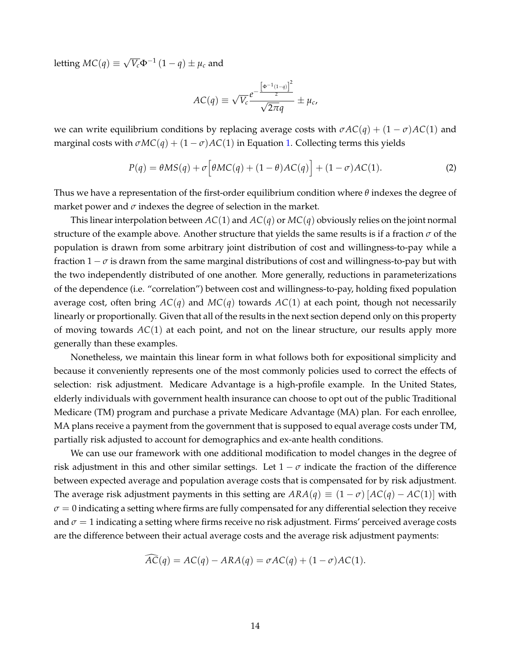letting  $MC(q) \equiv$  $\sqrt{V_c} \Phi^{-1} (1 - q) \pm \mu_c$  and

$$
AC(q) \equiv \sqrt{V_c} \frac{e^{-\frac{[\Phi^{-1}(1-q)]^2}{2}}}{\sqrt{2\pi}q} \pm \mu_c,
$$

we can write equilibrium conditions by replacing average costs with  $\sigma AC(q) + (1 - \sigma)AC(1)$  and marginal costs with  $\sigma MC(q) + (1 - \sigma)AC(1)$  in Equation [1.](#page-12-1) Collecting terms this yields

<span id="page-15-0"></span>
$$
P(q) = \theta MS(q) + \sigma \Big[ \theta MC(q) + (1 - \theta)AC(q) \Big] + (1 - \sigma)AC(1). \tag{2}
$$

Thus we have a representation of the first-order equilibrium condition where *θ* indexes the degree of market power and  $\sigma$  indexes the degree of selection in the market.

This linear interpolation between  $AC(1)$  and  $AC(q)$  or  $MC(q)$  obviously relies on the joint normal structure of the example above. Another structure that yields the same results is if a fraction *σ* of the population is drawn from some arbitrary joint distribution of cost and willingness-to-pay while a fraction  $1 - \sigma$  is drawn from the same marginal distributions of cost and willingness-to-pay but with the two independently distributed of one another. More generally, reductions in parameterizations of the dependence (i.e. "correlation") between cost and willingness-to-pay, holding fixed population average cost, often bring *AC*(*q*) and *MC*(*q*) towards *AC*(1) at each point, though not necessarily linearly or proportionally. Given that all of the results in the next section depend only on this property of moving towards *AC*(1) at each point, and not on the linear structure, our results apply more generally than these examples.

Nonetheless, we maintain this linear form in what follows both for expositional simplicity and because it conveniently represents one of the most commonly policies used to correct the effects of selection: risk adjustment. Medicare Advantage is a high-profile example. In the United States, elderly individuals with government health insurance can choose to opt out of the public Traditional Medicare (TM) program and purchase a private Medicare Advantage (MA) plan. For each enrollee, MA plans receive a payment from the government that is supposed to equal average costs under TM, partially risk adjusted to account for demographics and ex-ante health conditions.

We can use our framework with one additional modification to model changes in the degree of risk adjustment in this and other similar settings. Let  $1 - \sigma$  indicate the fraction of the difference between expected average and population average costs that is compensated for by risk adjustment. The average risk adjustment payments in this setting are  $ARA(q) \equiv (1 - \sigma) [AC(q) - AC(1)]$  with  $\sigma = 0$  indicating a setting where firms are fully compensated for any differential selection they receive and  $\sigma = 1$  indicating a setting where firms receive no risk adjustment. Firms' perceived average costs are the difference between their actual average costs and the average risk adjustment payments:

$$
\widehat{AC}(q) = AC(q) - ARA(q) = \sigma AC(q) + (1 - \sigma)AC(1).
$$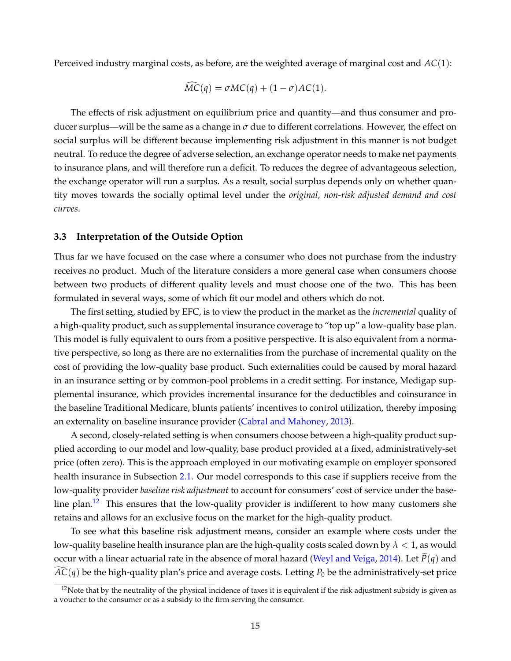Perceived industry marginal costs, as before, are the weighted average of marginal cost and *AC*(1):

$$
\widehat{MC}(q) = \sigma MC(q) + (1 - \sigma)AC(1).
$$

The effects of risk adjustment on equilibrium price and quantity—and thus consumer and producer surplus—will be the same as a change in  $\sigma$  due to different correlations. However, the effect on social surplus will be different because implementing risk adjustment in this manner is not budget neutral. To reduce the degree of adverse selection, an exchange operator needs to make net payments to insurance plans, and will therefore run a deficit. To reduces the degree of advantageous selection, the exchange operator will run a surplus. As a result, social surplus depends only on whether quantity moves towards the socially optimal level under the *original, non-risk adjusted demand and cost curves*.

### <span id="page-16-0"></span>**3.3 Interpretation of the Outside Option**

Thus far we have focused on the case where a consumer who does not purchase from the industry receives no product. Much of the literature considers a more general case when consumers choose between two products of different quality levels and must choose one of the two. This has been formulated in several ways, some of which fit our model and others which do not.

The first setting, studied by EFC, is to view the product in the market as the *incremental* quality of a high-quality product, such as supplemental insurance coverage to "top up" a low-quality base plan. This model is fully equivalent to ours from a positive perspective. It is also equivalent from a normative perspective, so long as there are no externalities from the purchase of incremental quality on the cost of providing the low-quality base product. Such externalities could be caused by moral hazard in an insurance setting or by common-pool problems in a credit setting. For instance, Medigap supplemental insurance, which provides incremental insurance for the deductibles and coinsurance in the baseline Traditional Medicare, blunts patients' incentives to control utilization, thereby imposing an externality on baseline insurance provider [\(Cabral and Mahoney,](#page-40-12) [2013\)](#page-40-12).

A second, closely-related setting is when consumers choose between a high-quality product supplied according to our model and low-quality, base product provided at a fixed, administratively-set price (often zero). This is the approach employed in our motivating example on employer sponsored health insurance in Subsection [2.1.](#page-4-4) Our model corresponds to this case if suppliers receive from the low-quality provider *baseline risk adjustment* to account for consumers' cost of service under the base-line plan.<sup>[12](#page-16-1)</sup> This ensures that the low-quality provider is indifferent to how many customers she retains and allows for an exclusive focus on the market for the high-quality product.

To see what this baseline risk adjustment means, consider an example where costs under the low-quality baseline health insurance plan are the high-quality costs scaled down by *λ* < 1, as would occur with a linear actuarial rate in the absence of moral hazard [\(Weyl and Veiga,](#page-43-3) [2014\)](#page-43-3). Let  $P(q)$  and  $AC(q)$  be the high-quality plan's price and average costs. Letting  $P_0$  be the administratively-set price

<span id="page-16-1"></span> $12$ Note that by the neutrality of the physical incidence of taxes it is equivalent if the risk adjustment subsidy is given as a voucher to the consumer or as a subsidy to the firm serving the consumer.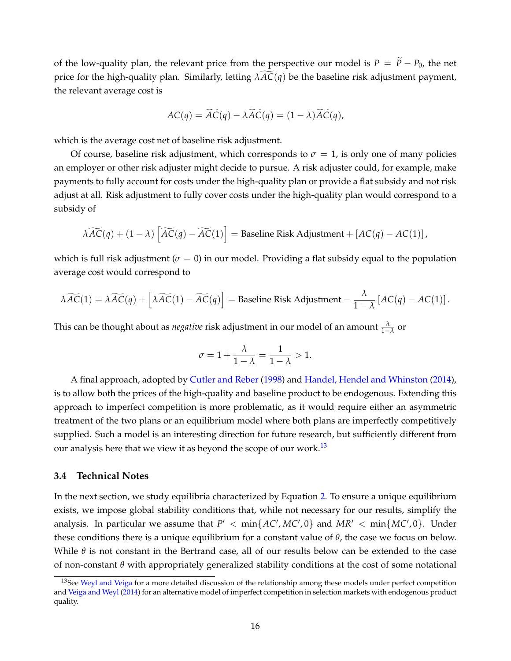of the low-quality plan, the relevant price from the perspective our model is  $P = \tilde{P} - P_0$ , the net price for the high-quality plan. Similarly, letting  $\lambda AC(q)$  be the baseline risk adjustment payment, the relevant average cost is

$$
AC(q) = \widetilde{AC}(q) - \lambda \widetilde{AC}(q) = (1 - \lambda) \widetilde{AC}(q),
$$

which is the average cost net of baseline risk adjustment.

Of course, baseline risk adjustment, which corresponds to  $\sigma = 1$ , is only one of many policies an employer or other risk adjuster might decide to pursue. A risk adjuster could, for example, make payments to fully account for costs under the high-quality plan or provide a flat subsidy and not risk adjust at all. Risk adjustment to fully cover costs under the high-quality plan would correspond to a subsidy of

$$
\widetilde{\lambda AC}(q) + (1 - \lambda) \left[ \widetilde{AC}(q) - \widetilde{AC}(1) \right] = \text{Baseline Risk Adjustment} + [AC(q) - AC(1)],
$$

which is full risk adjustment ( $\sigma = 0$ ) in our model. Providing a flat subsidy equal to the population average cost would correspond to

$$
\lambda \widetilde{AC}(1) = \lambda \widetilde{AC}(q) + \left[ \lambda \widetilde{AC}(1) - \widetilde{AC}(q) \right] = \text{Baseline Risk Adjustment} - \frac{\lambda}{1 - \lambda} \left[ AC(q) - AC(1) \right].
$$

This can be thought about as *negative* risk adjustment in our model of an amount  $\frac{\lambda}{1-\lambda}$  or

$$
\sigma = 1 + \frac{\lambda}{1 - \lambda} = \frac{1}{1 - \lambda} > 1.
$$

A final approach, adopted by [Cutler and Reber](#page-40-3) [\(1998\)](#page-40-3) and [Handel, Hendel and Whinston](#page-41-5) [\(2014\)](#page-41-5), is to allow both the prices of the high-quality and baseline product to be endogenous. Extending this approach to imperfect competition is more problematic, as it would require either an asymmetric treatment of the two plans or an equilibrium model where both plans are imperfectly competitively supplied. Such a model is an interesting direction for future research, but sufficiently different from our analysis here that we view it as beyond the scope of our work.<sup>[13](#page-17-0)</sup>

### **3.4 Technical Notes**

In the next section, we study equilibria characterized by Equation [2.](#page-15-0) To ensure a unique equilibrium exists, we impose global stability conditions that, while not necessary for our results, simplify the analysis. In particular we assume that  $P' < min\{AC', MC', 0\}$  and  $MR' < min\{MC', 0\}$ . Under these conditions there is a unique equilibrium for a constant value of *θ*, the case we focus on below. While *θ* is not constant in the Bertrand case, all of our results below can be extended to the case of non-constant *θ* with appropriately generalized stability conditions at the cost of some notational

<span id="page-17-0"></span><sup>&</sup>lt;sup>13</sup>See [Weyl and Veiga](#page-43-3) for a more detailed discussion of the relationship among these models under perfect competition and [Veiga and Weyl](#page-42-11) [\(2014\)](#page-42-11) for an alternative model of imperfect competition in selection markets with endogenous product quality.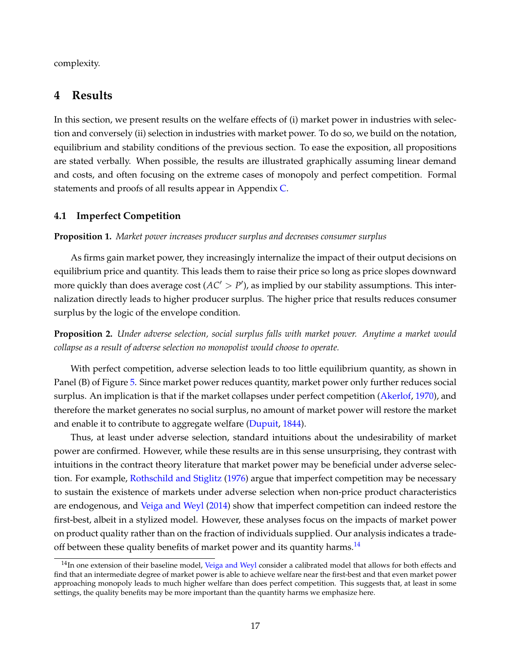complexity.

# <span id="page-18-0"></span>**4 Results**

In this section, we present results on the welfare effects of (i) market power in industries with selection and conversely (ii) selection in industries with market power. To do so, we build on the notation, equilibrium and stability conditions of the previous section. To ease the exposition, all propositions are stated verbally. When possible, the results are illustrated graphically assuming linear demand and costs, and often focusing on the extreme cases of monopoly and perfect competition. Formal statements and proofs of all results appear in Appendix [C.](#page-49-0)

### <span id="page-18-1"></span>**4.1 Imperfect Competition**

**Proposition 1.** *Market power increases producer surplus and decreases consumer surplus*

As firms gain market power, they increasingly internalize the impact of their output decisions on equilibrium price and quantity. This leads them to raise their price so long as price slopes downward more quickly than does average cost  $(AC' > P')$ , as implied by our stability assumptions. This internalization directly leads to higher producer surplus. The higher price that results reduces consumer surplus by the logic of the envelope condition.

**Proposition 2.** *Under adverse selection, social surplus falls with market power. Anytime a market would collapse as a result of adverse selection no monopolist would choose to operate.*

With perfect competition, adverse selection leads to too little equilibrium quantity, as shown in Panel (B) of Figure [5.](#page-11-0) Since market power reduces quantity, market power only further reduces social surplus. An implication is that if the market collapses under perfect competition [\(Akerlof,](#page-40-10) [1970\)](#page-40-10), and therefore the market generates no social surplus, no amount of market power will restore the market and enable it to contribute to aggregate welfare [\(Dupuit,](#page-41-11) [1844\)](#page-41-11).

Thus, at least under adverse selection, standard intuitions about the undesirability of market power are confirmed. However, while these results are in this sense unsurprising, they contrast with intuitions in the contract theory literature that market power may be beneficial under adverse selection. For example, [Rothschild and Stiglitz](#page-42-12) [\(1976\)](#page-42-12) argue that imperfect competition may be necessary to sustain the existence of markets under adverse selection when non-price product characteristics are endogenous, and [Veiga and Weyl](#page-42-11) [\(2014\)](#page-42-11) show that imperfect competition can indeed restore the first-best, albeit in a stylized model. However, these analyses focus on the impacts of market power on product quality rather than on the fraction of individuals supplied. Our analysis indicates a trade-off between these quality benefits of market power and its quantity harms.<sup>[14](#page-18-2)</sup>

<span id="page-18-2"></span> $14$ In one extension of their baseline model, [Veiga and Weyl](#page-42-11) consider a calibrated model that allows for both effects and find that an intermediate degree of market power is able to achieve welfare near the first-best and that even market power approaching monopoly leads to much higher welfare than does perfect competition. This suggests that, at least in some settings, the quality benefits may be more important than the quantity harms we emphasize here.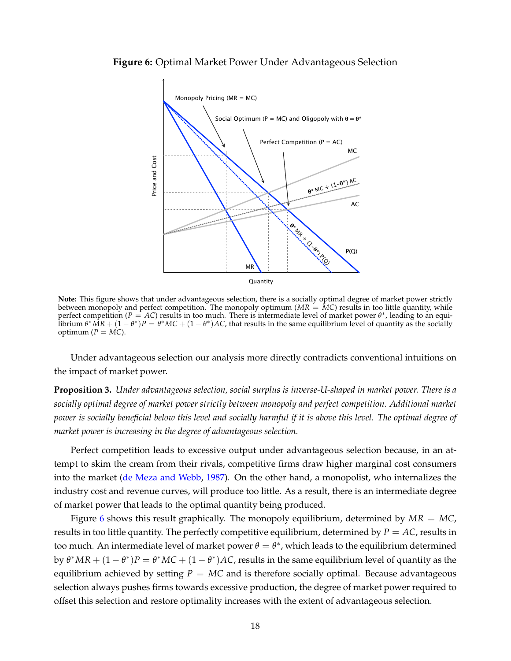#### <span id="page-19-0"></span>**Figure 6:** Optimal Market Power Under Advantageous Selection



**Note:** This figure shows that under advantageous selection, there is a socially optimal degree of market power strictly between monopoly and perfect competition. The monopoly optimum ( $MR = MC$ ) results in too little quantity, while perfect competition ( $P = AC$ ) results in too much. There is intermediate level of market power  $\theta^*$ , leading to an equilibrium  $\theta^* M R + (1-\theta^*) P = \theta^* M C + (1-\theta^*) A C$ , that results in the same equilibrium level of quantity as the socially optimum  $(P = MC)$ .

Under advantageous selection our analysis more directly contradicts conventional intuitions on the impact of market power.

**Proposition 3.** *Under advantageous selection, social surplus is inverse-U-shaped in market power. There is a socially optimal degree of market power strictly between monopoly and perfect competition. Additional market power is socially beneficial below this level and socially harmful if it is above this level. The optimal degree of market power is increasing in the degree of advantageous selection.*

Perfect competition leads to excessive output under advantageous selection because, in an attempt to skim the cream from their rivals, competitive firms draw higher marginal cost consumers into the market [\(de Meza and Webb,](#page-41-9) [1987\)](#page-41-9). On the other hand, a monopolist, who internalizes the industry cost and revenue curves, will produce too little. As a result, there is an intermediate degree of market power that leads to the optimal quantity being produced.

Figure [6](#page-19-0) shows this result graphically. The monopoly equilibrium, determined by *MR* = *MC*, results in too little quantity. The perfectly competitive equilibrium, determined by  $P = AC$ , results in too much. An intermediate level of market power  $\theta = \theta^*$ , which leads to the equilibrium determined by  $\theta^*MR + (1 - \theta^*)P = \theta^*MC + (1 - \theta^*)AC$ , results in the same equilibrium level of quantity as the equilibrium achieved by setting  $P = MC$  and is therefore socially optimal. Because advantageous selection always pushes firms towards excessive production, the degree of market power required to offset this selection and restore optimality increases with the extent of advantageous selection.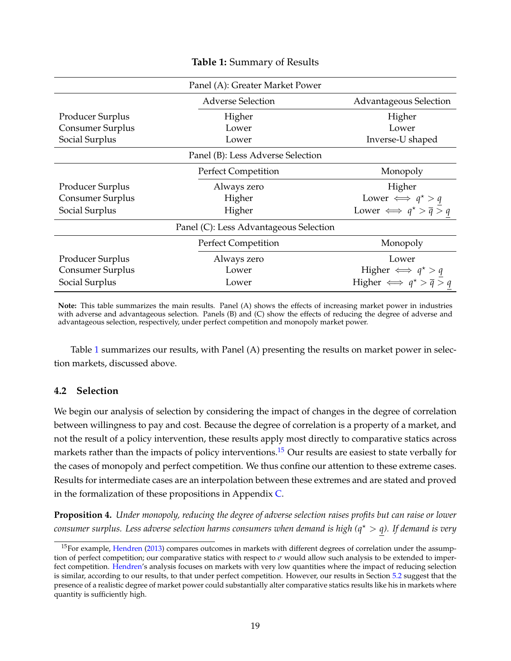<span id="page-20-0"></span>

| Panel (A): Greater Market Power        |                                               |                                     |  |  |
|----------------------------------------|-----------------------------------------------|-------------------------------------|--|--|
|                                        | <b>Adverse Selection</b>                      | <b>Advantageous Selection</b>       |  |  |
| Producer Surplus                       | Higher                                        | Higher                              |  |  |
| Consumer Surplus                       | Lower                                         | Lower                               |  |  |
| Social Surplus                         | Lower                                         | Inverse-U shaped                    |  |  |
| Panel (B): Less Adverse Selection      |                                               |                                     |  |  |
|                                        | Perfect Competition                           | Monopoly                            |  |  |
| Producer Surplus                       | Always zero                                   | Higher                              |  |  |
| Consumer Surplus                       | Higher                                        | Lower $\iff q^* > q$                |  |  |
| Social Surplus                         | Higher                                        | Lower $\iff q^* > \overline{q} > q$ |  |  |
| Panel (C): Less Advantageous Selection |                                               |                                     |  |  |
|                                        | <b>Perfect Competition</b>                    | Monopoly                            |  |  |
| Producer Surplus                       | Always zero                                   | Lower                               |  |  |
| Consumer Surplus                       | Lower                                         | Higher $\iff q^* > q$               |  |  |
| Social Surplus                         | Higher $\iff q^* > \overline{q} > q$<br>Lower |                                     |  |  |

### **Table 1:** Summary of Results

**Note:** This table summarizes the main results. Panel (A) shows the effects of increasing market power in industries with adverse and advantageous selection. Panels (B) and (C) show the effects of reducing the degree of adverse and advantageous selection, respectively, under perfect competition and monopoly market power.

Table [1](#page-20-0) summarizes our results, with Panel (A) presenting the results on market power in selection markets, discussed above.

# **4.2 Selection**

We begin our analysis of selection by considering the impact of changes in the degree of correlation between willingness to pay and cost. Because the degree of correlation is a property of a market, and not the result of a policy intervention, these results apply most directly to comparative statics across markets rather than the impacts of policy interventions.<sup>[15](#page-20-1)</sup> Our results are easiest to state verbally for the cases of monopoly and perfect competition. We thus confine our attention to these extreme cases. Results for intermediate cases are an interpolation between these extremes and are stated and proved in the formalization of these propositions in Appendix  $C$ .

<span id="page-20-2"></span>**Proposition 4.** *Under monopoly, reducing the degree of adverse selection raises profits but can raise or lower consumer surplus. Less adverse selection harms consumers when demand is high (q*? > *q). If demand is very*

<span id="page-20-1"></span><sup>&</sup>lt;sup>15</sup>For example, [Hendren](#page-42-10) [\(2013\)](#page-42-10) compares outcomes in markets with different degrees of correlation under the assumption of perfect competition; our comparative statics with respect to  $\sigma$  would allow such analysis to be extended to imper-fect competition. [Hendren'](#page-42-10)s analysis focuses on markets with very low quantities where the impact of reducing selection is similar, according to our results, to that under perfect competition. However, our results in Section [5.2](#page-30-0) suggest that the presence of a realistic degree of market power could substantially alter comparative statics results like his in markets where quantity is sufficiently high.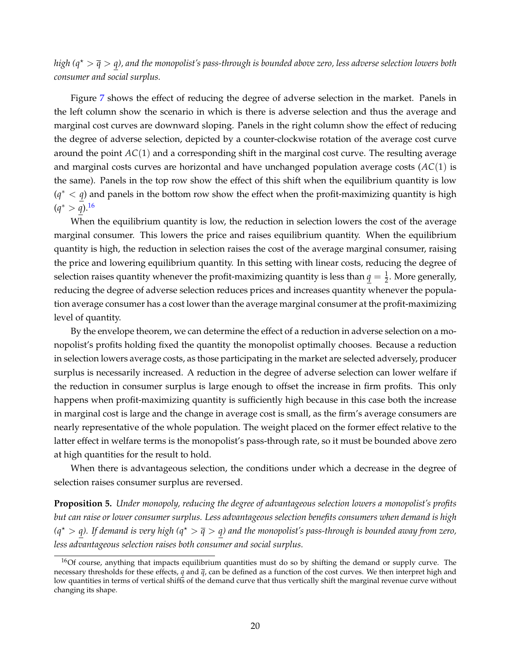*high (q*? > *q* > *q), and the monopolist's pass-through is bounded above zero, less adverse selection lowers both consumer and social surplus.*

Figure [7](#page-22-0) shows the effect of reducing the degree of adverse selection in the market. Panels in the left column show the scenario in which is there is adverse selection and thus the average and marginal cost curves are downward sloping. Panels in the right column show the effect of reducing the degree of adverse selection, depicted by a counter-clockwise rotation of the average cost curve around the point *AC*(1) and a corresponding shift in the marginal cost curve. The resulting average and marginal costs curves are horizontal and have unchanged population average costs (*AC*(1) is the same). Panels in the top row show the effect of this shift when the equilibrium quantity is low  $(q^* < q)$  and panels in the bottom row show the effect when the profit-maximizing quantity is high (*q* <sup>∗</sup> > *q*).[16](#page-21-0)

When the equilibrium quantity is low, the reduction in selection lowers the cost of the average marginal consumer. This lowers the price and raises equilibrium quantity. When the equilibrium quantity is high, the reduction in selection raises the cost of the average marginal consumer, raising the price and lowering equilibrium quantity. In this setting with linear costs, reducing the degree of selection raises quantity whenever the profit-maximizing quantity is less than  $q=\frac{1}{2}.$  More generally, reducing the degree of adverse selection reduces prices and increases quantity whenever the population average consumer has a cost lower than the average marginal consumer at the profit-maximizing level of quantity.

By the envelope theorem, we can determine the effect of a reduction in adverse selection on a monopolist's profits holding fixed the quantity the monopolist optimally chooses. Because a reduction in selection lowers average costs, as those participating in the market are selected adversely, producer surplus is necessarily increased. A reduction in the degree of adverse selection can lower welfare if the reduction in consumer surplus is large enough to offset the increase in firm profits. This only happens when profit-maximizing quantity is sufficiently high because in this case both the increase in marginal cost is large and the change in average cost is small, as the firm's average consumers are nearly representative of the whole population. The weight placed on the former effect relative to the latter effect in welfare terms is the monopolist's pass-through rate, so it must be bounded above zero at high quantities for the result to hold.

When there is advantageous selection, the conditions under which a decrease in the degree of selection raises consumer surplus are reversed.

<span id="page-21-1"></span>**Proposition 5.** *Under monopoly, reducing the degree of advantageous selection lowers a monopolist's profits but can raise or lower consumer surplus. Less advantageous selection benefits consumers when demand is high*  $(q^* > q)$ . If demand is very high  $(q^* > \overline{q} > q)$  and the monopolist's pass-through is bounded away from zero, *less advantageous selection raises both consumer and social surplus.*

<span id="page-21-0"></span><sup>&</sup>lt;sup>16</sup>Of course, anything that impacts equilibrium quantities must do so by shifting the demand or supply curve. The necessary thresholds for these effects, *q* and *q*, can be defined as a function of the cost curves. We then interpret high and low quantities in terms of vertical shifts of the demand curve that thus vertically shift the marginal revenue curve without changing its shape.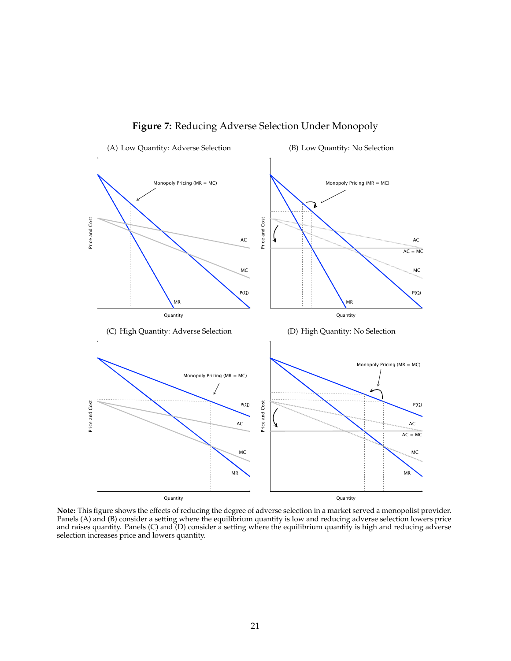<span id="page-22-0"></span>

**Figure 7:** Reducing Adverse Selection Under Monopoly

**Note:** This figure shows the effects of reducing the degree of adverse selection in a market served a monopolist provider. Panels (A) and (B) consider a setting where the equilibrium quantity is low and reducing adverse selection lowers price and raises quantity. Panels (C) and (D) consider a setting where the equilibrium quantity is high and reducing adverse selection increases price and lowers quantity.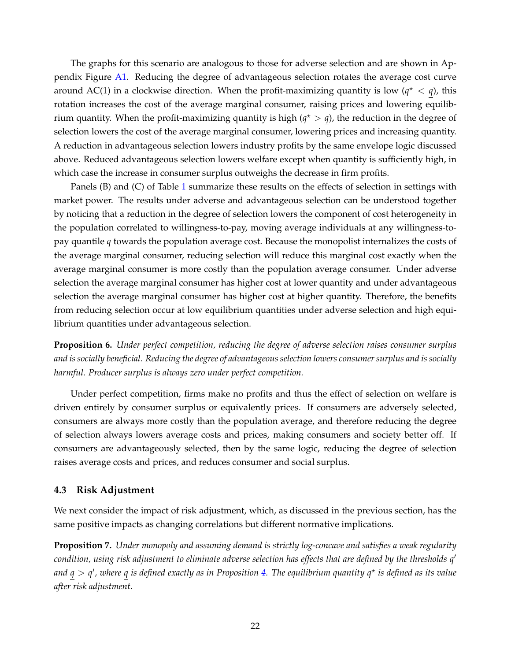The graphs for this scenario are analogous to those for adverse selection and are shown in Appendix Figure [A1.](#page-55-0) Reducing the degree of advantageous selection rotates the average cost curve around AC(1) in a clockwise direction. When the profit-maximizing quantity is low  $(q^* < q)$ , this rotation increases the cost of the average marginal consumer, raising prices and lowering equilibrium quantity. When the profit-maximizing quantity is high  $(q^* > q)$ , the reduction in the degree of selection lowers the cost of the average marginal consumer, lowering prices and increasing quantity. A reduction in advantageous selection lowers industry profits by the same envelope logic discussed above. Reduced advantageous selection lowers welfare except when quantity is sufficiently high, in which case the increase in consumer surplus outweighs the decrease in firm profits.

Panels (B) and (C) of Table [1](#page-20-0) summarize these results on the effects of selection in settings with market power. The results under adverse and advantageous selection can be understood together by noticing that a reduction in the degree of selection lowers the component of cost heterogeneity in the population correlated to willingness-to-pay, moving average individuals at any willingness-topay quantile *q* towards the population average cost. Because the monopolist internalizes the costs of the average marginal consumer, reducing selection will reduce this marginal cost exactly when the average marginal consumer is more costly than the population average consumer. Under adverse selection the average marginal consumer has higher cost at lower quantity and under advantageous selection the average marginal consumer has higher cost at higher quantity. Therefore, the benefits from reducing selection occur at low equilibrium quantities under adverse selection and high equilibrium quantities under advantageous selection.

**Proposition 6.** *Under perfect competition, reducing the degree of adverse selection raises consumer surplus and is socially beneficial. Reducing the degree of advantageous selection lowers consumer surplus and is socially harmful. Producer surplus is always zero under perfect competition.*

Under perfect competition, firms make no profits and thus the effect of selection on welfare is driven entirely by consumer surplus or equivalently prices. If consumers are adversely selected, consumers are always more costly than the population average, and therefore reducing the degree of selection always lowers average costs and prices, making consumers and society better off. If consumers are advantageously selected, then by the same logic, reducing the degree of selection raises average costs and prices, and reduces consumer and social surplus.

### **4.3 Risk Adjustment**

We next consider the impact of risk adjustment, which, as discussed in the previous section, has the same positive impacts as changing correlations but different normative implications.

**Proposition 7.** *Under monopoly and assuming demand is strictly log-concave and satisfies a weak regularity condition, using risk adjustment to eliminate adverse selection has effects that are defined by the thresholds q*<sup>0</sup> *and q* > *q* 0 *, where q is defined exactly as in Proposition [4.](#page-20-2) The equilibrium quantity q*? *is defined as its value after risk adjustment.*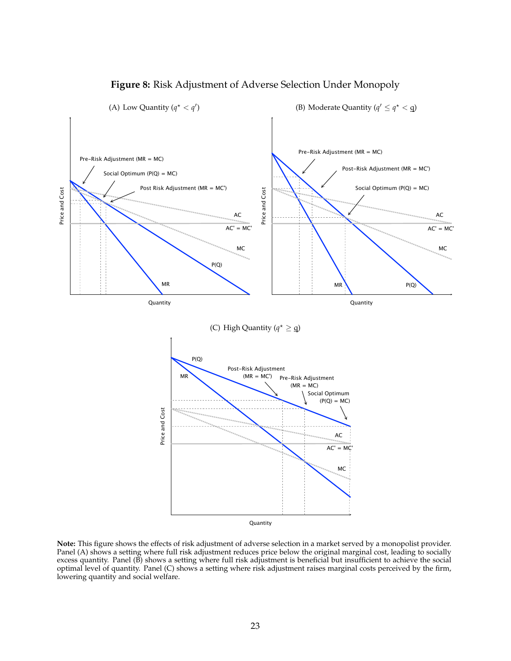<span id="page-24-0"></span>

# **Figure 8:** Risk Adjustment of Adverse Selection Under Monopoly

**Note:** This figure shows the effects of risk adjustment of adverse selection in a market served by a monopolist provider. Panel (A) shows a setting where full risk adjustment reduces price below the original marginal cost, leading to socially excess quantity. Panel (B) shows a setting where full risk adjustment is beneficial but insufficient to achieve the social optimal level of quantity. Panel (C) shows a setting where risk adjustment raises marginal costs perceived by the firm, lowering quantity and social welfare.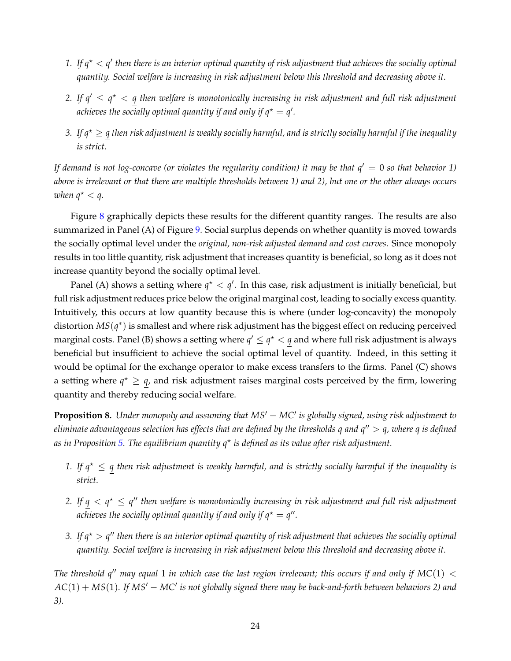- 1. If  $q^* < q'$  then there is an interior optimal quantity of risk adjustment that achieves the socially optimal *quantity. Social welfare is increasing in risk adjustment below this threshold and decreasing above it.*
- 2. If  $q' \leq q^{\star} < q$  then welfare is monotonically increasing in risk adjustment and full risk adjustment achieves the socially optimal quantity if and only if  $q^* = q'$ .
- *3.* If  $q^* \geq q$  *then risk adjustment is weakly socially harmful, and is strictly socially harmful if the inequality is strict.*

*If demand is not log-concave (or violates the regularity condition) it may be that*  $q' = 0$  *so that behavior 1) above is irrelevant or that there are multiple thresholds between 1) and 2), but one or the other always occurs when*  $q^* < q$ .

Figure [8](#page-24-0) graphically depicts these results for the different quantity ranges. The results are also summarized in Panel (A) of Figure [9.](#page-26-0) Social surplus depends on whether quantity is moved towards the socially optimal level under the *original, non-risk adjusted demand and cost curves*. Since monopoly results in too little quantity, risk adjustment that increases quantity is beneficial, so long as it does not increase quantity beyond the socially optimal level.

Panel (A) shows a setting where  $q^* < q'$ . In this case, risk adjustment is initially beneficial, but full risk adjustment reduces price below the original marginal cost, leading to socially excess quantity. Intuitively, this occurs at low quantity because this is where (under log-concavity) the monopoly distortion *MS*(*q* ∗ ) is smallest and where risk adjustment has the biggest effect on reducing perceived marginal costs. Panel (B) shows a setting where  $q' \leq q^\star < q$  and where full risk adjustment is always beneficial but insufficient to achieve the social optimal level of quantity. Indeed, in this setting it would be optimal for the exchange operator to make excess transfers to the firms. Panel (C) shows a setting where  $q^* \geq q$ , and risk adjustment raises marginal costs perceived by the firm, lowering quantity and thereby reducing social welfare.

**Proposition 8.** Under monopoly and assuming that MS' – MC' is globally signed, using risk adjustment to *eliminate advantageous selection has effects that are defined by the thresholds q and q*<sup>00</sup> > *q, where q is defined as in Proposition [5.](#page-21-1) The equilibrium quantity q*? *is defined as its value after risk adjustment.*

- *1. If*  $q^* \leq q$  *then risk adjustment is weakly harmful, and is strictly socially harmful if the inequality is strict.*
- 2. If  $q < q^* \leq q''$  then welfare is monotonically increasing in risk adjustment and full risk adjustment achieves the socially optimal quantity if and only if  $q^* = q''$ .
- 3. If  $q^{\star} > q''$  then there is an interior optimal quantity of risk adjustment that achieves the socially optimal *quantity. Social welfare is increasing in risk adjustment below this threshold and decreasing above it.*

*The threshold q<sup>n</sup>* may equal 1 *in which case the last region irrelevant; this occurs if and only if MC*(1)  $\lt$  $AC(1) + MS(1)$ . If  $MS' - MC'$  is not globally signed there may be back-and-forth between behaviors 2) and *3).*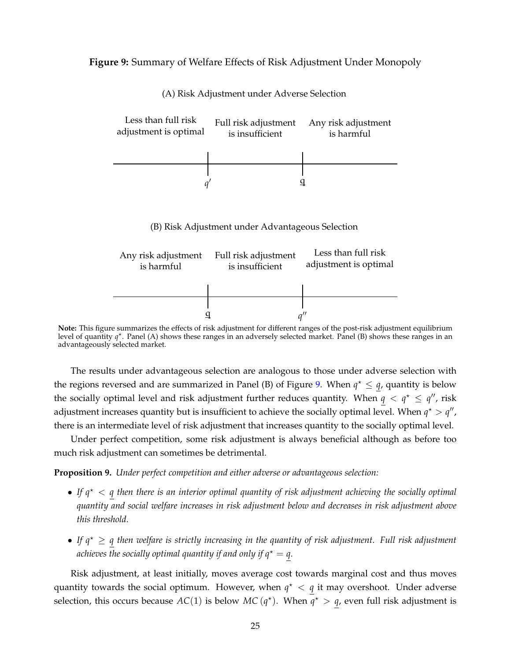### <span id="page-26-0"></span>**Figure 9:** Summary of Welfare Effects of Risk Adjustment Under Monopoly



(A) Risk Adjustment under Adverse Selection

**Note:** This figure summarizes the effects of risk adjustment for different ranges of the post-risk adjustment equilibrium level of quantity  $q^*$ . Panel (A) shows these ranges in an adversely selected market. Panel (B) shows these ranges in an advantageously selected market.

The results under advantageous selection are analogous to those under adverse selection with the regions reversed and are summarized in Panel (B) of Figure [9.](#page-26-0) When  $q^* \leq q$ , quantity is below the socially optimal level and risk adjustment further reduces quantity. When  $q < q^* \leq q''$ , risk adjustment increases quantity but is insufficient to achieve the socially optimal level. When  $q^* > q''$ , there is an intermediate level of risk adjustment that increases quantity to the socially optimal level.

Under perfect competition, some risk adjustment is always beneficial although as before too much risk adjustment can sometimes be detrimental.

**Proposition 9.** *Under perfect competition and either adverse or advantageous selection:*

- If  $q^*$   $\lt q$  *then there is an interior optimal quantity of risk adjustment achieving the socially optimal quantity and social welfare increases in risk adjustment below and decreases in risk adjustment above this threshold.*
- If  $q^* \geq q$  then welfare is strictly increasing in the quantity of risk adjustment. Full risk adjustment *achieves the socially optimal quantity if and only if*  $q^* = q$ *.*

Risk adjustment, at least initially, moves average cost towards marginal cost and thus moves quantity towards the social optimum. However, when  $q^* < q$  it may overshoot. Under adverse selection, this occurs because  $AC(1)$  is below  $MC(q^*)$ . When  $q^* > q$ , even full risk adjustment is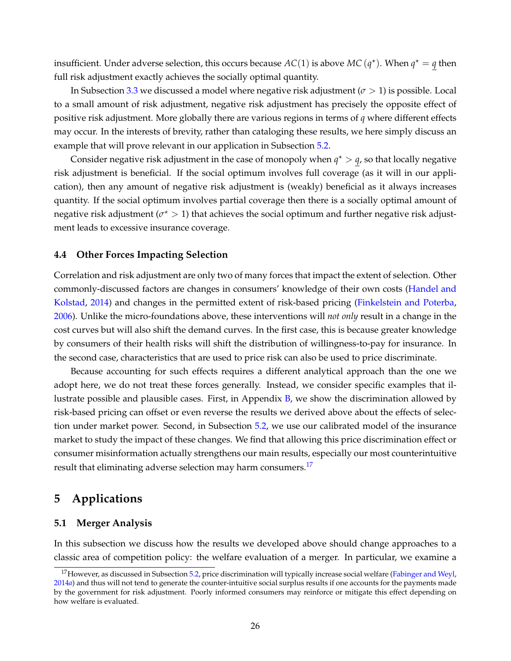insufficient. Under adverse selection, this occurs because  $AC(1)$  is above  $MC(q^*)$ . When  $q^* = q$  then full risk adjustment exactly achieves the socially optimal quantity.

In Subsection [3.3](#page-16-0) we discussed a model where negative risk adjustment ( $\sigma > 1$ ) is possible. Local to a small amount of risk adjustment, negative risk adjustment has precisely the opposite effect of positive risk adjustment. More globally there are various regions in terms of *q* where different effects may occur. In the interests of brevity, rather than cataloging these results, we here simply discuss an example that will prove relevant in our application in Subsection [5.2.](#page-30-0)

Consider negative risk adjustment in the case of monopoly when  $q^* > q$ , so that locally negative risk adjustment is beneficial. If the social optimum involves full coverage (as it will in our application), then any amount of negative risk adjustment is (weakly) beneficial as it always increases quantity. If the social optimum involves partial coverage then there is a socially optimal amount of negative risk adjustment ( $\sigma^\star > 1$ ) that achieves the social optimum and further negative risk adjustment leads to excessive insurance coverage.

# **4.4 Other Forces Impacting Selection**

Correlation and risk adjustment are only two of many forces that impact the extent of selection. Other commonly-discussed factors are changes in consumers' knowledge of their own costs [\(Handel and](#page-41-12) [Kolstad,](#page-41-12) [2014\)](#page-41-12) and changes in the permitted extent of risk-based pricing [\(Finkelstein and Poterba,](#page-41-13) [2006\)](#page-41-13). Unlike the micro-foundations above, these interventions will *not only* result in a change in the cost curves but will also shift the demand curves. In the first case, this is because greater knowledge by consumers of their health risks will shift the distribution of willingness-to-pay for insurance. In the second case, characteristics that are used to price risk can also be used to price discriminate.

Because accounting for such effects requires a different analytical approach than the one we adopt here, we do not treat these forces generally. Instead, we consider specific examples that illustrate possible and plausible cases. First, in Appendix  $B$ , we show the discrimination allowed by risk-based pricing can offset or even reverse the results we derived above about the effects of selec-tion under market power. Second, in Subsection [5.2,](#page-30-0) we use our calibrated model of the insurance market to study the impact of these changes. We find that allowing this price discrimination effect or consumer misinformation actually strengthens our main results, especially our most counterintuitive result that eliminating adverse selection may harm consumers.<sup>[17](#page-27-1)</sup>

# <span id="page-27-0"></span>**5 Applications**

### **5.1 Merger Analysis**

In this subsection we discuss how the results we developed above should change approaches to a classic area of competition policy: the welfare evaluation of a merger. In particular, we examine a

<span id="page-27-1"></span><sup>&</sup>lt;sup>17</sup>However, as discussed in Subsection [5.2,](#page-30-0) price discrimination will typically increase social welfare [\(Fabinger and Weyl,](#page-41-14) [2014](#page-41-14)*a*) and thus will not tend to generate the counter-intuitive social surplus results if one accounts for the payments made by the government for risk adjustment. Poorly informed consumers may reinforce or mitigate this effect depending on how welfare is evaluated.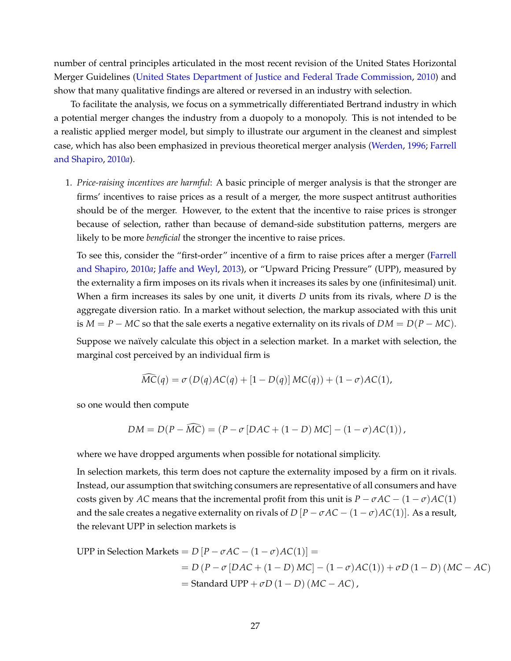number of central principles articulated in the most recent revision of the United States Horizontal Merger Guidelines [\(United States Department of Justice and Federal Trade Commission,](#page-42-1) [2010\)](#page-42-1) and show that many qualitative findings are altered or reversed in an industry with selection.

To facilitate the analysis, we focus on a symmetrically differentiated Bertrand industry in which a potential merger changes the industry from a duopoly to a monopoly. This is not intended to be a realistic applied merger model, but simply to illustrate our argument in the cleanest and simplest case, which has also been emphasized in previous theoretical merger analysis [\(Werden,](#page-43-4) [1996;](#page-43-4) [Farrell](#page-41-15) [and Shapiro,](#page-41-15) [2010](#page-41-15)*a*).

1. *Price-raising incentives are harmful*: A basic principle of merger analysis is that the stronger are firms' incentives to raise prices as a result of a merger, the more suspect antitrust authorities should be of the merger. However, to the extent that the incentive to raise prices is stronger because of selection, rather than because of demand-side substitution patterns, mergers are likely to be more *beneficial* the stronger the incentive to raise prices.

To see this, consider the "first-order" incentive of a firm to raise prices after a merger [\(Farrell](#page-41-15) [and Shapiro,](#page-41-15) [2010](#page-41-15)*a*; [Jaffe and Weyl,](#page-42-13) [2013\)](#page-42-13), or "Upward Pricing Pressure" (UPP), measured by the externality a firm imposes on its rivals when it increases its sales by one (infinitesimal) unit. When a firm increases its sales by one unit, it diverts *D* units from its rivals, where *D* is the aggregate diversion ratio. In a market without selection, the markup associated with this unit is  $M = P - MC$  so that the sale exerts a negative externality on its rivals of  $DM = D(P - MC)$ .

Suppose we naïvely calculate this object in a selection market. In a market with selection, the marginal cost perceived by an individual firm is

$$
\widehat{MC}(q) = \sigma(D(q)AC(q) + [1 - D(q)]MC(q)) + (1 - \sigma)AC(1),
$$

so one would then compute

$$
DM = D(P - \widehat{MC}) = (P - \sigma [DAC + (1 - D) MC] - (1 - \sigma)AC(1)),
$$

where we have dropped arguments when possible for notational simplicity.

In selection markets, this term does not capture the externality imposed by a firm on it rivals. Instead, our assumption that switching consumers are representative of all consumers and have costs given by *AC* means that the incremental profit from this unit is  $P - \sigma AC - (1 - \sigma)AC(1)$ and the sale creates a negative externality on rivals of  $D[P - \sigma AC - (1 - \sigma)AC(1)]$ . As a result, the relevant UPP in selection markets is

UPP in Selection Markets = 
$$
D [P - \sigma AC - (1 - \sigma)AC(1)] =
$$
  
=  $D (P - \sigma [DAC + (1 - D) MC] - (1 - \sigma)AC(1)) + \sigma D (1 - D) (MC - AC)$   
= Standard UPP +  $\sigma D (1 - D) (MC - AC)$ ,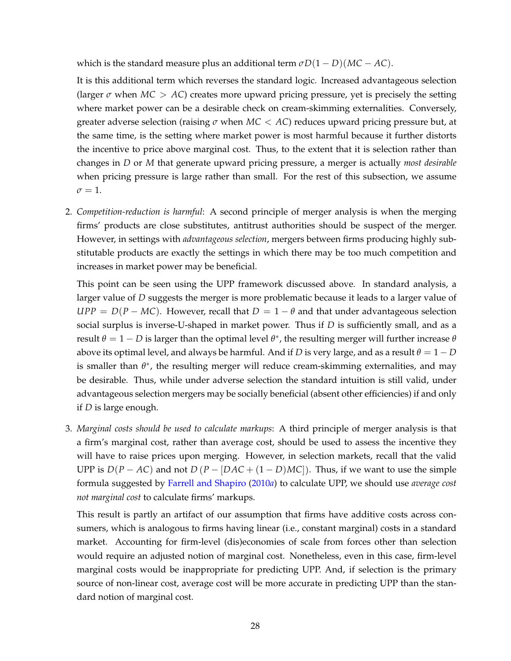which is the standard measure plus an additional term  $\sigma D(1 - D)(MC - AC)$ .

It is this additional term which reverses the standard logic. Increased advantageous selection (larger  $\sigma$  when  $MC > AC$ ) creates more upward pricing pressure, yet is precisely the setting where market power can be a desirable check on cream-skimming externalities. Conversely, greater adverse selection (raising  $\sigma$  when  $MC < AC$ ) reduces upward pricing pressure but, at the same time, is the setting where market power is most harmful because it further distorts the incentive to price above marginal cost. Thus, to the extent that it is selection rather than changes in *D* or *M* that generate upward pricing pressure, a merger is actually *most desirable* when pricing pressure is large rather than small. For the rest of this subsection, we assume  $\sigma = 1$ .

2. *Competition-reduction is harmful*: A second principle of merger analysis is when the merging firms' products are close substitutes, antitrust authorities should be suspect of the merger. However, in settings with *advantageous selection*, mergers between firms producing highly substitutable products are exactly the settings in which there may be too much competition and increases in market power may be beneficial.

This point can be seen using the UPP framework discussed above. In standard analysis, a larger value of *D* suggests the merger is more problematic because it leads to a larger value of  $UPP = D(P - MC)$ . However, recall that  $D = 1 - \theta$  and that under advantageous selection social surplus is inverse-U-shaped in market power. Thus if *D* is sufficiently small, and as a  ${\rm result} \theta = 1 - D$  is larger than the optimal level  $\theta^*$ , the resulting merger will further increase  $\theta$ above its optimal level, and always be harmful. And if *D* is very large, and as a result  $\theta = 1 - D$ is smaller than  $\theta^*$ , the resulting merger will reduce cream-skimming externalities, and may be desirable. Thus, while under adverse selection the standard intuition is still valid, under advantageous selection mergers may be socially beneficial (absent other efficiencies) if and only if *D* is large enough.

3. *Marginal costs should be used to calculate markups*: A third principle of merger analysis is that a firm's marginal cost, rather than average cost, should be used to assess the incentive they will have to raise prices upon merging. However, in selection markets, recall that the valid UPP is  $D(P - AC)$  and not  $D(P - [DAC + (1 - D)MC])$ . Thus, if we want to use the simple formula suggested by [Farrell and Shapiro](#page-41-15) [\(2010](#page-41-15)*a*) to calculate UPP, we should use *average cost not marginal cost* to calculate firms' markups.

This result is partly an artifact of our assumption that firms have additive costs across consumers, which is analogous to firms having linear (i.e., constant marginal) costs in a standard market. Accounting for firm-level (dis)economies of scale from forces other than selection would require an adjusted notion of marginal cost. Nonetheless, even in this case, firm-level marginal costs would be inappropriate for predicting UPP. And, if selection is the primary source of non-linear cost, average cost will be more accurate in predicting UPP than the standard notion of marginal cost.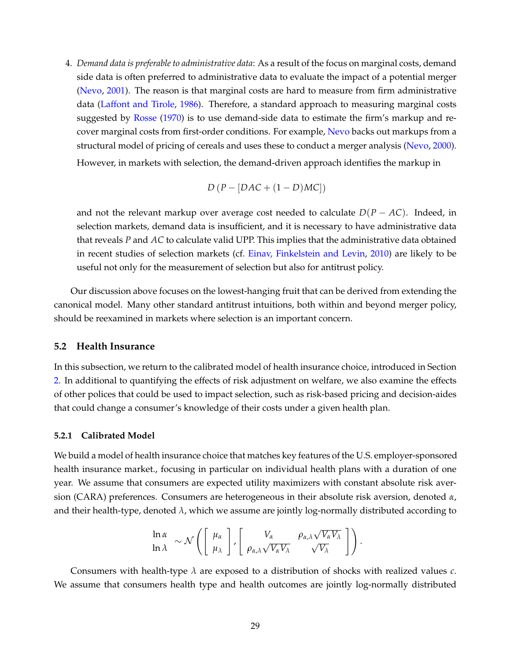4. *Demand data is preferable to administrative data*: As a result of the focus on marginal costs, demand side data is often preferred to administrative data to evaluate the impact of a potential merger [\(Nevo,](#page-42-14) [2001\)](#page-42-14). The reason is that marginal costs are hard to measure from firm administrative data [\(Laffont and Tirole,](#page-42-15) [1986\)](#page-42-15). Therefore, a standard approach to measuring marginal costs suggested by [Rosse](#page-42-16) [\(1970\)](#page-42-16) is to use demand-side data to estimate the firm's markup and recover marginal costs from first-order conditions. For example, [Nevo](#page-42-14) backs out markups from a structural model of pricing of cereals and uses these to conduct a merger analysis [\(Nevo,](#page-42-17) [2000\)](#page-42-17). However, in markets with selection, the demand-driven approach identifies the markup in

$$
D(P - [DAC + (1 - D)MC])
$$

and not the relevant markup over average cost needed to calculate  $D(P - AC)$ . Indeed, in selection markets, demand data is insufficient, and it is necessary to have administrative data that reveals *P* and *AC* to calculate valid UPP. This implies that the administrative data obtained in recent studies of selection markets (cf. [Einav, Finkelstein and Levin,](#page-41-4) [2010\)](#page-41-4) are likely to be useful not only for the measurement of selection but also for antitrust policy.

Our discussion above focuses on the lowest-hanging fruit that can be derived from extending the canonical model. Many other standard antitrust intuitions, both within and beyond merger policy, should be reexamined in markets where selection is an important concern.

### <span id="page-30-0"></span>**5.2 Health Insurance**

In this subsection, we return to the calibrated model of health insurance choice, introduced in Section [2.](#page-4-3) In additional to quantifying the effects of risk adjustment on welfare, we also examine the effects of other polices that could be used to impact selection, such as risk-based pricing and decision-aides that could change a consumer's knowledge of their costs under a given health plan.

#### **5.2.1 Calibrated Model**

We build a model of health insurance choice that matches key features of the U.S. employer-sponsored health insurance market., focusing in particular on individual health plans with a duration of one year. We assume that consumers are expected utility maximizers with constant absolute risk aversion (CARA) preferences. Consumers are heterogeneous in their absolute risk aversion, denoted *α*, and their health-type, denoted *λ*, which we assume are jointly log-normally distributed according to

$$
\ln \alpha \sim \mathcal{N}\left(\left[\begin{array}{c} \mu_{\alpha} \\ \mu_{\lambda} \end{array}\right], \left[\begin{array}{cc} V_{\alpha} & \rho_{\alpha,\lambda}\sqrt{V_{\alpha}V_{\lambda}} \\ \rho_{\alpha,\lambda}\sqrt{V_{\alpha}V_{\lambda}} & \sqrt{V_{\lambda}} \end{array}\right]\right)
$$

.

Consumers with health-type *λ* are exposed to a distribution of shocks with realized values *c*. We assume that consumers health type and health outcomes are jointly log-normally distributed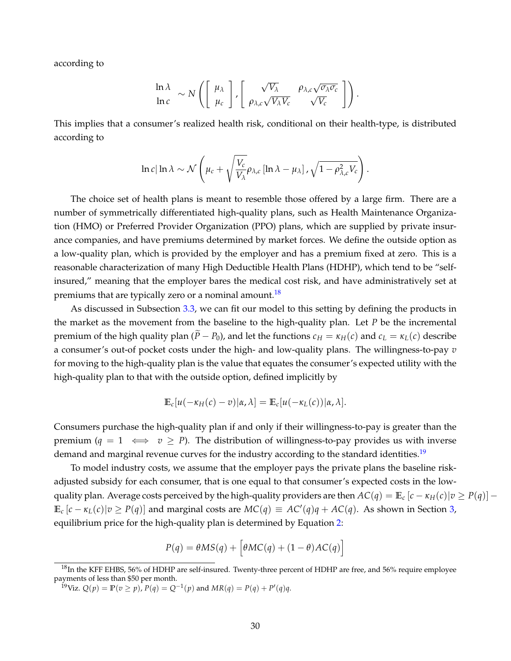according to

$$
\ln \lambda \quad \sim N\left(\begin{bmatrix} \mu_{\lambda} \\ \mu_c \end{bmatrix}, \begin{bmatrix} \sqrt{V_{\lambda}} & \rho_{\lambda,c}\sqrt{\sigma_{\lambda}\sigma_c} \\ \rho_{\lambda,c}\sqrt{V_{\lambda}V_c} & \sqrt{V_c} \end{bmatrix}\right).
$$

This implies that a consumer's realized health risk, conditional on their health-type, is distributed according to

$$
\ln c |\ln \lambda \sim \mathcal{N}\left(\mu_c + \sqrt{\frac{V_c}{V_{\lambda}}}\rho_{\lambda,c} [\ln \lambda - \mu_{\lambda}] \cdot \sqrt{1 - \rho_{\lambda,c}^2 V_c}\right).
$$

The choice set of health plans is meant to resemble those offered by a large firm. There are a number of symmetrically differentiated high-quality plans, such as Health Maintenance Organization (HMO) or Preferred Provider Organization (PPO) plans, which are supplied by private insurance companies, and have premiums determined by market forces. We define the outside option as a low-quality plan, which is provided by the employer and has a premium fixed at zero. This is a reasonable characterization of many High Deductible Health Plans (HDHP), which tend to be "selfinsured," meaning that the employer bares the medical cost risk, and have administratively set at premiums that are typically zero or a nominal amount.<sup>[18](#page-31-0)</sup>

As discussed in Subsection [3.3,](#page-16-0) we can fit our model to this setting by defining the products in the market as the movement from the baseline to the high-quality plan. Let *P* be the incremental premium of the high quality plan ( $\tilde{P} - P_0$ ), and let the functions  $c_H = \kappa_H(c)$  and  $c_L = \kappa_L(c)$  describe a consumer's out-of pocket costs under the high- and low-quality plans. The willingness-to-pay *v* for moving to the high-quality plan is the value that equates the consumer's expected utility with the high-quality plan to that with the outside option, defined implicitly by

$$
\mathbb{E}_c[u(-\kappa_H(c)-v)|\alpha,\lambda]=\mathbb{E}_c[u(-\kappa_L(c))|\alpha,\lambda].
$$

Consumers purchase the high-quality plan if and only if their willingness-to-pay is greater than the premium  $(q = 1 \iff v \ge P)$ . The distribution of willingness-to-pay provides us with inverse demand and marginal revenue curves for the industry according to the standard identities.<sup>[19](#page-31-1)</sup>

To model industry costs, we assume that the employer pays the private plans the baseline riskadjusted subsidy for each consumer, that is one equal to that consumer's expected costs in the lowquality plan. Average costs perceived by the high-quality providers are then  $AC(q) = \mathbb{E}_c [c - \kappa_H(c) | v \geq P(q)]$  –  $\mathbb{E}_c [c - \kappa_L(c)|v \ge P(q)]$  and marginal costs are  $MC(q) \equiv AC'(q)q + AC(q)$ . As shown in Section [3,](#page-10-0) equilibrium price for the high-quality plan is determined by Equation [2:](#page-15-0)

$$
P(q) = \theta MS(q) + \left[\theta MC(q) + (1 - \theta)AC(q)\right]
$$

<span id="page-31-0"></span><sup>&</sup>lt;sup>18</sup>In the KFF EHBS, 56% of HDHP are self-insured. Twenty-three percent of HDHP are free, and 56% require employee payments of less than \$50 per month.

<span id="page-31-1"></span><sup>&</sup>lt;sup>19</sup>Viz.  $Q(p) = \mathbb{P}(v \ge p)$ ,  $P(q) = Q^{-1}(p)$  and  $MR(q) = P(q) + P'(q)q$ .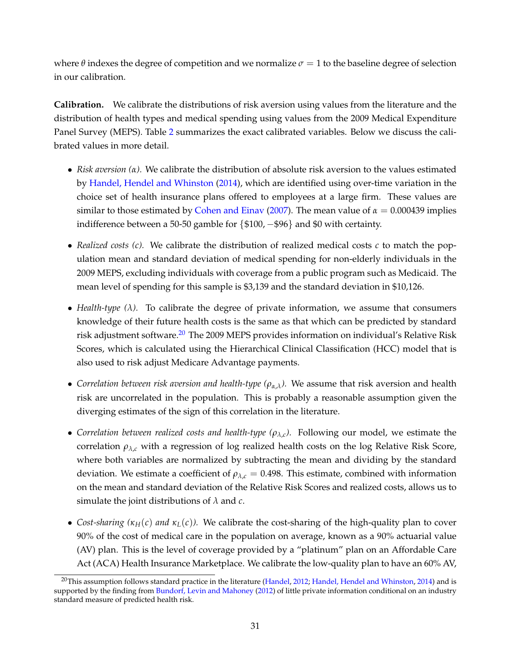where  $\theta$  indexes the degree of competition and we normalize  $\sigma = 1$  to the baseline degree of selection in our calibration.

**Calibration.** We calibrate the distributions of risk aversion using values from the literature and the distribution of health types and medical spending using values from the 2009 Medical Expenditure Panel Survey (MEPS). Table [2](#page-33-0) summarizes the exact calibrated variables. Below we discuss the calibrated values in more detail.

- *Risk aversion (α).* We calibrate the distribution of absolute risk aversion to the values estimated by [Handel, Hendel and Whinston](#page-41-5) [\(2014\)](#page-41-5), which are identified using over-time variation in the choice set of health insurance plans offered to employees at a large firm. These values are similar to those estimated by [Cohen and Einav](#page-40-13) [\(2007\)](#page-40-13). The mean value of  $\alpha = 0.000439$  implies indifference between a 50-50 gamble for {\$100, −\$96} and \$0 with certainty.
- *Realized costs (c).* We calibrate the distribution of realized medical costs *c* to match the population mean and standard deviation of medical spending for non-elderly individuals in the 2009 MEPS, excluding individuals with coverage from a public program such as Medicaid. The mean level of spending for this sample is \$3,139 and the standard deviation in \$10,126.
- *Health-type (λ).* To calibrate the degree of private information, we assume that consumers knowledge of their future health costs is the same as that which can be predicted by standard risk adjustment software.<sup>[20](#page-32-0)</sup> The 2009 MEPS provides information on individual's Relative Risk Scores, which is calculated using the Hierarchical Clinical Classification (HCC) model that is also used to risk adjust Medicare Advantage payments.
- *Correlation between risk aversion and health-type*  $(\rho_{\alpha,\lambda})$ . We assume that risk aversion and health risk are uncorrelated in the population. This is probably a reasonable assumption given the diverging estimates of the sign of this correlation in the literature.
- *Correlation between realized costs and health-type (ρλ*,*<sup>c</sup> ).* Following our model, we estimate the correlation  $\rho_{\lambda,c}$  with a regression of log realized health costs on the log Relative Risk Score, where both variables are normalized by subtracting the mean and dividing by the standard deviation. We estimate a coefficient of  $\rho_{\lambda,c} = 0.498$ . This estimate, combined with information on the mean and standard deviation of the Relative Risk Scores and realized costs, allows us to simulate the joint distributions of *λ* and *c*.
- *Cost-sharing*  $(\kappa_H(c)$  *and*  $\kappa_L(c)$ *).* We calibrate the cost-sharing of the high-quality plan to cover 90% of the cost of medical care in the population on average, known as a 90% actuarial value (AV) plan. This is the level of coverage provided by a "platinum" plan on an Affordable Care Act (ACA) Health Insurance Marketplace. We calibrate the low-quality plan to have an 60% AV,

<span id="page-32-0"></span><sup>&</sup>lt;sup>20</sup>This assumption follows standard practice in the literature [\(Handel,](#page-41-8) [2012;](#page-41-8) [Handel, Hendel and Whinston,](#page-41-5) [2014\)](#page-41-5) and is supported by the finding from [Bundorf, Levin and Mahoney](#page-40-6) [\(2012\)](#page-40-6) of little private information conditional on an industry standard measure of predicted health risk.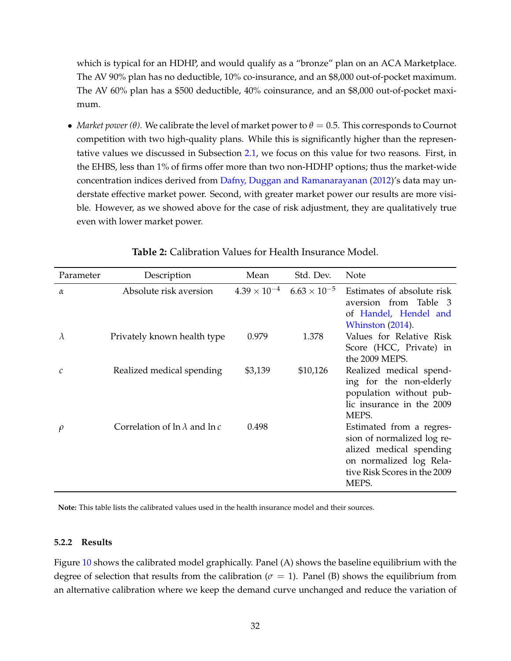which is typical for an HDHP, and would qualify as a "bronze" plan on an ACA Marketplace. The AV 90% plan has no deductible, 10% co-insurance, and an \$8,000 out-of-pocket maximum. The AV 60% plan has a \$500 deductible, 40% coinsurance, and an \$8,000 out-of-pocket maximum.

• *Market power* (*θ*). We calibrate the level of market power to  $\theta = 0.5$ . This corresponds to Cournot competition with two high-quality plans. While this is significantly higher than the representative values we discussed in Subsection [2.1,](#page-4-4) we focus on this value for two reasons. First, in the EHBS, less than 1% of firms offer more than two non-HDHP options; thus the market-wide concentration indices derived from [Dafny, Duggan and Ramanarayanan](#page-40-5) [\(2012\)](#page-40-5)'s data may understate effective market power. Second, with greater market power our results are more visible. However, as we showed above for the case of risk adjustment, they are qualitatively true even with lower market power.

<span id="page-33-0"></span>

| Parameter | Description                              | Mean                  | Std. Dev.             | Note                                                                                                                                                  |
|-----------|------------------------------------------|-----------------------|-----------------------|-------------------------------------------------------------------------------------------------------------------------------------------------------|
| $\alpha$  | Absolute risk aversion                   | $4.39 \times 10^{-4}$ | $6.63 \times 10^{-5}$ | Estimates of absolute risk<br>aversion from Table 3<br>of Handel, Hendel and<br>Whinston (2014).                                                      |
| $\lambda$ | Privately known health type              | 0.979                 | 1.378                 | Values for Relative Risk<br>Score (HCC, Private) in<br>the 2009 MEPS.                                                                                 |
| C         | Realized medical spending                | \$3,139               | \$10,126              | Realized medical spend-<br>ing for the non-elderly<br>population without pub-<br>lic insurance in the 2009<br>MEPS.                                   |
| $\rho$    | Correlation of $\ln \lambda$ and $\ln c$ | 0.498                 |                       | Estimated from a regres-<br>sion of normalized log re-<br>alized medical spending<br>on normalized log Rela-<br>tive Risk Scores in the 2009<br>MEPS. |

# **Table 2:** Calibration Values for Health Insurance Model.

**Note:** This table lists the calibrated values used in the health insurance model and their sources.

#### **5.2.2 Results**

Figure [10](#page-35-0) shows the calibrated model graphically. Panel (A) shows the baseline equilibrium with the degree of selection that results from the calibration ( $\sigma = 1$ ). Panel (B) shows the equilibrium from an alternative calibration where we keep the demand curve unchanged and reduce the variation of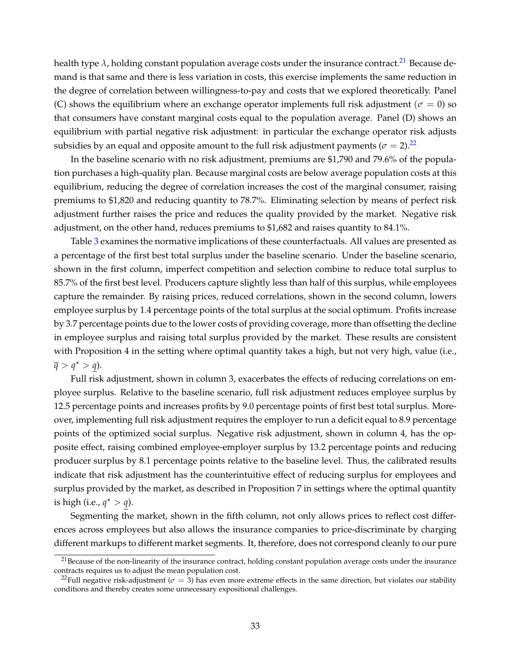health type  $\lambda$ , holding constant population average costs under the insurance contract.<sup>[21](#page-34-0)</sup> Because demand is that same and there is less variation in costs, this exercise implements the same reduction in the degree of correlation between willingness-to-pay and costs that we explored theoretically. Panel (C) shows the equilibrium where an exchange operator implements full risk adjustment ( $\sigma = 0$ ) so that consumers have constant marginal costs equal to the population average. Panel (D) shows an equilibrium with partial negative risk adjustment: in particular the exchange operator risk adjusts subsidies by an equal and opposite amount to the full risk adjustment payments ( $\sigma = 2$ ).<sup>[22](#page-34-1)</sup>

In the baseline scenario with no risk adjustment, premiums are \$1,790 and 79.6% of the population purchases a high-quality plan. Because marginal costs are below average population costs at this equilibrium, reducing the degree of correlation increases the cost of the marginal consumer, raising premiums to \$1,820 and reducing quantity to 78.7%. Eliminating selection by means of perfect risk adjustment further raises the price and reduces the quality provided by the market. Negative risk adjustment, on the other hand, reduces premiums to \$1,682 and raises quantity to 84.1%.

Table [3](#page-36-0) examines the normative implications of these counterfactuals. All values are presented as a percentage of the first best total surplus under the baseline scenario. Under the baseline scenario, shown in the first column, imperfect competition and selection combine to reduce total surplus to 85.7% of the first best level. Producers capture slightly less than half of this surplus, while employees capture the remainder. By raising prices, reduced correlations, shown in the second column, lowers employee surplus by 1.4 percentage points of the total surplus at the social optimum. Profits increase by 3.7 percentage points due to the lower costs of providing coverage, more than offsetting the decline in employee surplus and raising total surplus provided by the market. These results are consistent with Proposition 4 in the setting where optimal quantity takes a high, but not very high, value (i.e.,  $\overline{q} > q^* > q$ ).

Full risk adjustment, shown in column 3, exacerbates the effects of reducing correlations on employee surplus. Relative to the baseline scenario, full risk adjustment reduces employee surplus by 12.5 percentage points and increases profits by 9.0 percentage points of first best total surplus. Moreover, implementing full risk adjustment requires the employer to run a deficit equal to 8.9 percentage points of the optimized social surplus. Negative risk adjustment, shown in column 4, has the opposite effect, raising combined employee-employer surplus by 13.2 percentage points and reducing producer surplus by 8.1 percentage points relative to the baseline level. Thus, the calibrated results indicate that risk adjustment has the counterintuitive effect of reducing surplus for employees and surplus provided by the market, as described in Proposition 7 in settings where the optimal quantity is high (i.e.,  $q^* > q$ ).

Segmenting the market, shown in the fifth column, not only allows prices to reflect cost differences across employees but also allows the insurance companies to price-discriminate by charging different markups to different market segments. It, therefore, does not correspond cleanly to our pure

<span id="page-34-0"></span> $21$ Because of the non-linearity of the insurance contract, holding constant population average costs under the insurance contracts requires us to adjust the mean population cost.

<span id="page-34-1"></span><sup>&</sup>lt;sup>22</sup>Full negative risk-adjustment ( $\sigma = 3$ ) has even more extreme effects in the same direction, but violates our stability conditions and thereby creates some unnecessary expositional challenges.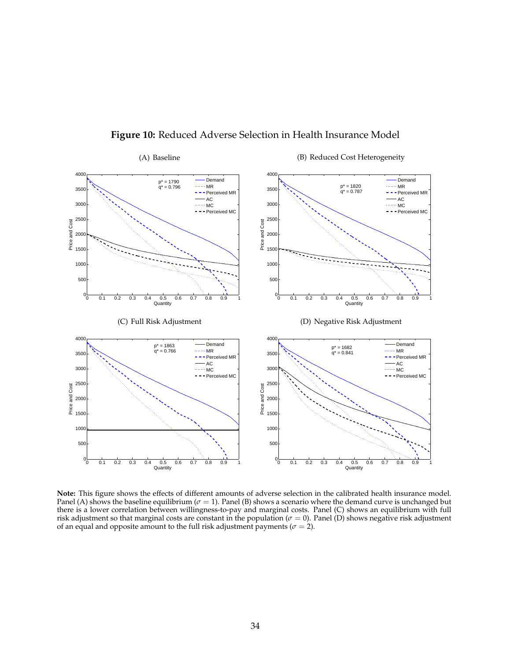<span id="page-35-0"></span>

# **Figure 10:** Reduced Adverse Selection in Health Insurance Model

**Note:** This figure shows the effects of different amounts of adverse selection in the calibrated health insurance model. Panel (A) shows the baseline equilibrium ( $\sigma = 1$ ). Panel (B) shows a scenario where the demand curve is unchanged but there is a lower correlation between willingness-to-pay and marginal costs. Panel (C) shows an equilibrium with full risk adjustment so that marginal costs are constant in the population ( $\sigma = 0$ ). Panel (D) shows negative risk adjustment of an equal and opposite amount to the full risk adjustment payments ( $\sigma = 2$ ).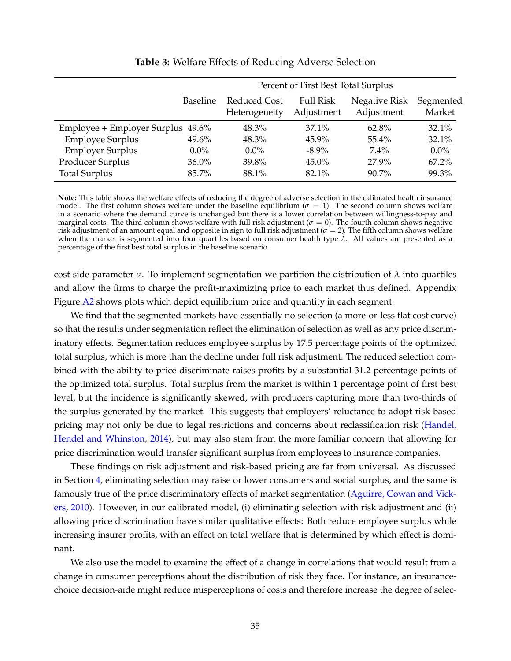<span id="page-36-0"></span>

|                                   | Percent of First Best Total Surplus |                               |                                |                             |                     |
|-----------------------------------|-------------------------------------|-------------------------------|--------------------------------|-----------------------------|---------------------|
|                                   | <b>Baseline</b>                     | Reduced Cost<br>Heterogeneity | <b>Full Risk</b><br>Adjustment | Negative Risk<br>Adjustment | Segmented<br>Market |
| Employee + Employer Surplus 49.6% |                                     | 48.3%                         | $37.1\%$                       | 62.8%                       | 32.1%               |
| <b>Employee Surplus</b>           | 49.6%                               | 48.3%                         | $45.9\%$                       | $55.4\%$                    | 32.1%               |
| <b>Employer Surplus</b>           | $0.0\%$                             | $0.0\%$                       | $-8.9\%$                       | $7.4\%$                     | $0.0\%$             |
| Producer Surplus                  | $36.0\%$                            | 39.8%                         | $45.0\%$                       | 27.9%                       | $67.2\%$            |
| <b>Total Surplus</b>              | 85.7%                               | 88.1%                         | 82.1%                          | $90.7\%$                    | 99.3%               |

#### **Table 3:** Welfare Effects of Reducing Adverse Selection

**Note:** This table shows the welfare effects of reducing the degree of adverse selection in the calibrated health insurance model. The first column shows welfare under the baseline equilibrium ( $\sigma = 1$ ). The second column shows welfare in a scenario where the demand curve is unchanged but there is a lower correlation between willingness-to-pay and marginal costs. The third column shows welfare with full risk adjustment ( $\sigma = 0$ ). The fourth column shows negative risk adjustment of an amount equal and opposite in sign to full risk adjustment ( $\sigma = 2$ ). The fifth column shows welfare when the market is segmented into four quartiles based on consumer health type *λ*. All values are presented as a percentage of the first best total surplus in the baseline scenario.

cost-side parameter  $\sigma$ . To implement segmentation we partition the distribution of  $\lambda$  into quartiles and allow the firms to charge the profit-maximizing price to each market thus defined. Appendix Figure [A2](#page-56-0) shows plots which depict equilibrium price and quantity in each segment.

We find that the segmented markets have essentially no selection (a more-or-less flat cost curve) so that the results under segmentation reflect the elimination of selection as well as any price discriminatory effects. Segmentation reduces employee surplus by 17.5 percentage points of the optimized total surplus, which is more than the decline under full risk adjustment. The reduced selection combined with the ability to price discriminate raises profits by a substantial 31.2 percentage points of the optimized total surplus. Total surplus from the market is within 1 percentage point of first best level, but the incidence is significantly skewed, with producers capturing more than two-thirds of the surplus generated by the market. This suggests that employers' reluctance to adopt risk-based pricing may not only be due to legal restrictions and concerns about reclassification risk [\(Handel,](#page-41-5) [Hendel and Whinston,](#page-41-5) [2014\)](#page-41-5), but may also stem from the more familiar concern that allowing for price discrimination would transfer significant surplus from employees to insurance companies.

These findings on risk adjustment and risk-based pricing are far from universal. As discussed in Section [4,](#page-18-0) eliminating selection may raise or lower consumers and social surplus, and the same is famously true of the price discriminatory effects of market segmentation [\(Aguirre, Cowan and Vick](#page-40-14)[ers,](#page-40-14) [2010\)](#page-40-14). However, in our calibrated model, (i) eliminating selection with risk adjustment and (ii) allowing price discrimination have similar qualitative effects: Both reduce employee surplus while increasing insurer profits, with an effect on total welfare that is determined by which effect is dominant.

We also use the model to examine the effect of a change in correlations that would result from a change in consumer perceptions about the distribution of risk they face. For instance, an insurancechoice decision-aide might reduce misperceptions of costs and therefore increase the degree of selec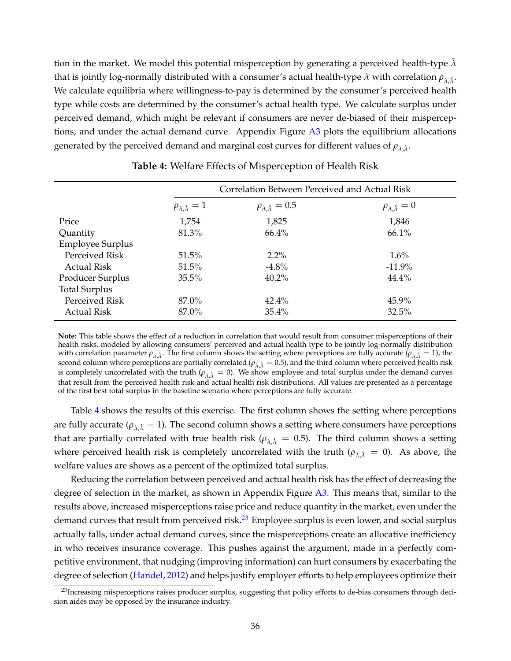tion in the market. We model this potential misperception by generating a perceived health-type  $\lambda$ that is jointly log-normally distributed with a consumer's actual health-type  $\lambda$  with correlation  $\rho_{\lambda,\hat\lambda} .$ We calculate equilibria where willingness-to-pay is determined by the consumer's perceived health type while costs are determined by the consumer's actual health type. We calculate surplus under perceived demand, which might be relevant if consumers are never de-biased of their misperceptions, and under the actual demand curve. Appendix Figure [A3](#page-57-0) plots the equilibrium allocations generated by the perceived demand and marginal cost curves for different values of  $\rho_{\lambda,\hat{\lambda}}.$ 

<span id="page-37-0"></span>

|                         | Correlation Between Perceived and Actual Risk |                                    |                                  |
|-------------------------|-----------------------------------------------|------------------------------------|----------------------------------|
|                         | $\rho_{\lambda,\hat{\lambda}}=1$              | $\rho_{\lambda,\hat{\lambda}}=0.5$ | $\rho_{\lambda,\hat{\lambda}}=0$ |
| Price                   | 1,754                                         | 1,825                              | 1,846                            |
| Quantity                | 81.3%                                         | 66.4%                              | 66.1%                            |
| <b>Employee Surplus</b> |                                               |                                    |                                  |
| Perceived Risk          | 51.5%                                         | $2.2\%$                            | $1.6\%$                          |
| Actual Risk             | 51.5%                                         | $-4.8\%$                           | $-11.9%$                         |
| Producer Surplus        | 35.5%                                         | $40.2\%$                           | 44.4%                            |
| <b>Total Surplus</b>    |                                               |                                    |                                  |
| Perceived Risk          | 87.0%                                         | $42.4\%$                           | 45.9%                            |
| <b>Actual Risk</b>      | 87.0%                                         | 35.4%                              | 32.5%                            |

**Table 4:** Welfare Effects of Misperception of Health Risk

**Note:** This table shows the effect of a reduction in correlation that would result from consumer misperceptions of their health risks, modeled by allowing consumers' perceived and actual health type to be jointly log-normally distribution with correlation parameter  $\rho_{\lambda,\hat{\lambda}}$ . The first column shows the setting where perceptions are fully accurate  $(\rho_{\lambda,\hat{\lambda}}=1)$ , the second column where perceptions are partially correlated ( $\rho_{\lambda,\lambda} = 0.5$ ), and the third column where perceived health risk is completely uncorrelated with the truth ( $\rho_{\lambda\hat{\lambda}}=0$ ). We show employee and total surplus under the demand curves that result from the perceived health risk and actual health risk distributions. All values are presented as a percentage of the first best total surplus in the baseline scenario where perceptions are fully accurate.

Table [4](#page-37-0) shows the results of this exercise. The first column shows the setting where perceptions are fully accurate ( $\rho_{\lambda,\hat{\lambda}}=1$ ). The second column shows a setting where consumers have perceptions that are partially correlated with true health risk ( $\rho_{\lambda,\lambda} = 0.5$ ). The third column shows a setting where perceived health risk is completely uncorrelated with the truth ( $\rho_{\lambda \hat{\lambda}} = 0$ ). As above, the welfare values are shows as a percent of the optimized total surplus.

Reducing the correlation between perceived and actual health risk has the effect of decreasing the degree of selection in the market, as shown in Appendix Figure [A3.](#page-57-0) This means that, similar to the results above, increased misperceptions raise price and reduce quantity in the market, even under the demand curves that result from perceived risk.<sup>[23](#page-37-1)</sup> Employee surplus is even lower, and social surplus actually falls, under actual demand curves, since the misperceptions create an allocative inefficiency in who receives insurance coverage. This pushes against the argument, made in a perfectly competitive environment, that nudging (improving information) can hurt consumers by exacerbating the degree of selection [\(Handel,](#page-41-8) [2012\)](#page-41-8) and helps justify employer efforts to help employees optimize their

<span id="page-37-1"></span><sup>&</sup>lt;sup>23</sup> Increasing misperceptions raises producer surplus, suggesting that policy efforts to de-bias consumers through decision aides may be opposed by the insurance industry.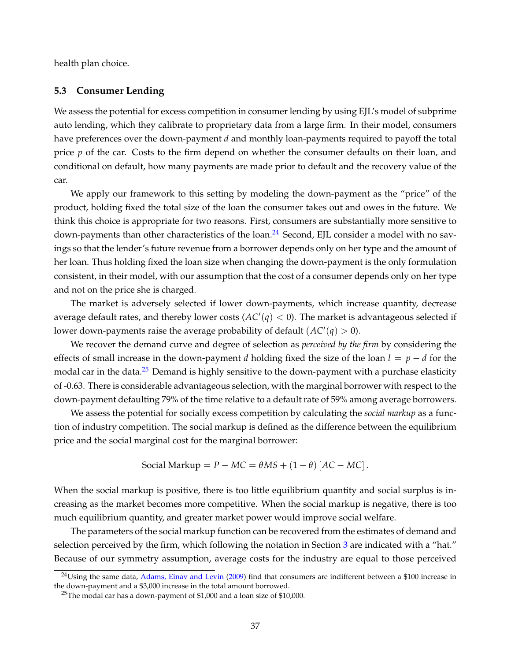health plan choice.

### <span id="page-38-0"></span>**5.3 Consumer Lending**

We assess the potential for excess competition in consumer lending by using EJL's model of subprime auto lending, which they calibrate to proprietary data from a large firm. In their model, consumers have preferences over the down-payment *d* and monthly loan-payments required to payoff the total price *p* of the car. Costs to the firm depend on whether the consumer defaults on their loan, and conditional on default, how many payments are made prior to default and the recovery value of the car.

We apply our framework to this setting by modeling the down-payment as the "price" of the product, holding fixed the total size of the loan the consumer takes out and owes in the future. We think this choice is appropriate for two reasons. First, consumers are substantially more sensitive to down-payments than other characteristics of the loan.<sup>[24](#page-38-1)</sup> Second, EJL consider a model with no savings so that the lender's future revenue from a borrower depends only on her type and the amount of her loan. Thus holding fixed the loan size when changing the down-payment is the only formulation consistent, in their model, with our assumption that the cost of a consumer depends only on her type and not on the price she is charged.

The market is adversely selected if lower down-payments, which increase quantity, decrease average default rates, and thereby lower costs ( $AC'(q) < 0$ ). The market is advantageous selected if lower down-payments raise the average probability of default  $(AC'(q) > 0)$ .

We recover the demand curve and degree of selection as *perceived by the firm* by considering the effects of small increase in the down-payment *d* holding fixed the size of the loan *l* = *p* − *d* for the modal car in the data.<sup>[25](#page-38-2)</sup> Demand is highly sensitive to the down-payment with a purchase elasticity of -0.63. There is considerable advantageous selection, with the marginal borrower with respect to the down-payment defaulting 79% of the time relative to a default rate of 59% among average borrowers.

We assess the potential for socially excess competition by calculating the *social markup* as a function of industry competition. The social markup is defined as the difference between the equilibrium price and the social marginal cost for the marginal borrower:

$$
Social Markup = P - MC = \theta MS + (1 - \theta) [AC - MC].
$$

When the social markup is positive, there is too little equilibrium quantity and social surplus is increasing as the market becomes more competitive. When the social markup is negative, there is too much equilibrium quantity, and greater market power would improve social welfare.

The parameters of the social markup function can be recovered from the estimates of demand and selection perceived by the firm, which following the notation in Section [3](#page-10-0) are indicated with a "hat." Because of our symmetry assumption, average costs for the industry are equal to those perceived

<span id="page-38-1"></span> $24$ Using the same data, [Adams, Einav and Levin](#page-40-15) [\(2009\)](#page-40-15) find that consumers are indifferent between a \$100 increase in the down-payment and a \$3,000 increase in the total amount borrowed.

<span id="page-38-2"></span><sup>&</sup>lt;sup>25</sup>The modal car has a down-payment of \$1,000 and a loan size of \$10,000.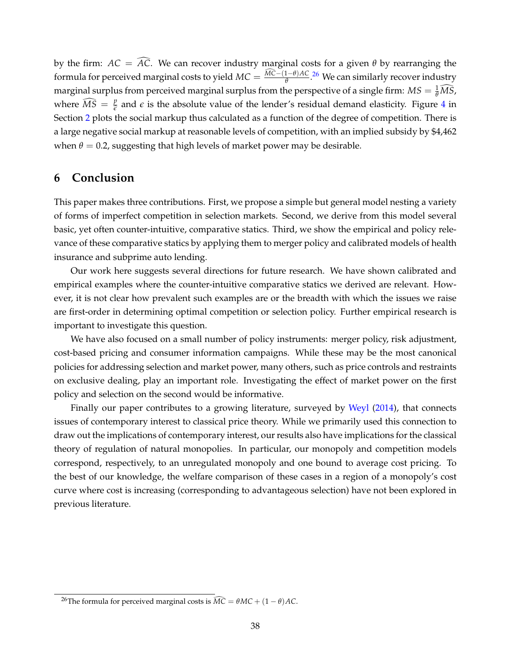by the firm:  $AC = \widehat{AC}$ . We can recover industry marginal costs for a given  $\theta$  by rearranging the formula for perceived marginal costs to yield  $MC = \frac{MC-(1-\theta)AC}{\theta}$ .<sup>[26](#page-39-1)</sup> We can similarly recover industry marginal surplus from perceived marginal surplus from the perspective of a single firm:  $MS = \frac{1}{\theta} \widehat{MS}$ , where  $\widehat{MS} = \frac{p}{\widehat{\epsilon}}$  $\frac{b}{\epsilon}$  and  $\epsilon$  is the absolute value of the lender's residual demand elasticity. Figure [4](#page-9-0) in Section [2](#page-4-3) plots the social markup thus calculated as a function of the degree of competition. There is a large negative social markup at reasonable levels of competition, with an implied subsidy by \$4,462 when  $\theta = 0.2$ , suggesting that high levels of market power may be desirable.

# <span id="page-39-0"></span>**6 Conclusion**

This paper makes three contributions. First, we propose a simple but general model nesting a variety of forms of imperfect competition in selection markets. Second, we derive from this model several basic, yet often counter-intuitive, comparative statics. Third, we show the empirical and policy relevance of these comparative statics by applying them to merger policy and calibrated models of health insurance and subprime auto lending.

Our work here suggests several directions for future research. We have shown calibrated and empirical examples where the counter-intuitive comparative statics we derived are relevant. However, it is not clear how prevalent such examples are or the breadth with which the issues we raise are first-order in determining optimal competition or selection policy. Further empirical research is important to investigate this question.

We have also focused on a small number of policy instruments: merger policy, risk adjustment, cost-based pricing and consumer information campaigns. While these may be the most canonical policies for addressing selection and market power, many others, such as price controls and restraints on exclusive dealing, play an important role. Investigating the effect of market power on the first policy and selection on the second would be informative.

Finally our paper contributes to a growing literature, surveyed by [Weyl](#page-43-2) [\(2014\)](#page-43-2), that connects issues of contemporary interest to classical price theory. While we primarily used this connection to draw out the implications of contemporary interest, our results also have implications for the classical theory of regulation of natural monopolies. In particular, our monopoly and competition models correspond, respectively, to an unregulated monopoly and one bound to average cost pricing. To the best of our knowledge, the welfare comparison of these cases in a region of a monopoly's cost curve where cost is increasing (corresponding to advantageous selection) have not been explored in previous literature.

<span id="page-39-1"></span><sup>&</sup>lt;sup>26</sup>The formula for perceived marginal costs is  $\widehat{MC} = \theta MC + (1 - \theta)AC$ .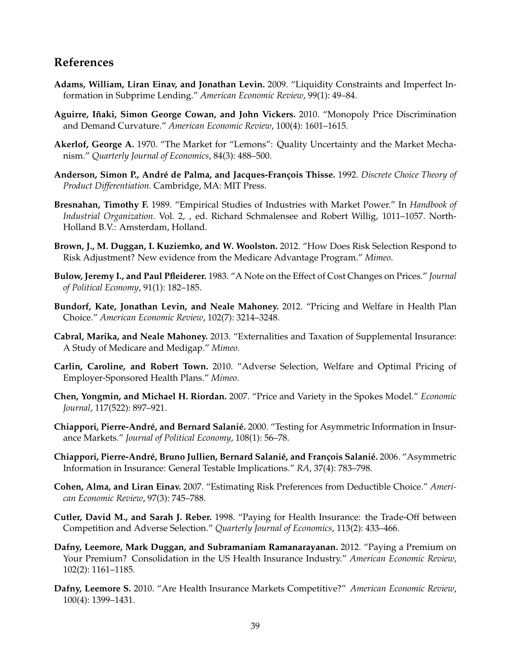# **References**

- <span id="page-40-15"></span>**Adams, William, Liran Einav, and Jonathan Levin.** 2009. "Liquidity Constraints and Imperfect Information in Subprime Lending." *American Economic Review*, 99(1): 49–84.
- <span id="page-40-14"></span>**Aguirre, Iñaki, Simon George Cowan, and John Vickers.** 2010. "Monopoly Price Discrimination and Demand Curvature." *American Economic Review*, 100(4): 1601–1615.
- <span id="page-40-10"></span>**Akerlof, George A.** 1970. "The Market for "Lemons": Quality Uncertainty and the Market Mechanism." *Quarterly Journal of Economics*, 84(3): 488–500.
- <span id="page-40-9"></span>**Anderson, Simon P., André de Palma, and Jacques-François Thisse.** 1992. *Discrete Choice Theory of Product Differentiation.* Cambridge, MA: MIT Press.
- <span id="page-40-1"></span>**Bresnahan, Timothy F.** 1989. "Empirical Studies of Industries with Market Power." In *Handbook of Industrial Organization*. Vol. 2, , ed. Richard Schmalensee and Robert Willig, 1011–1057. North-Holland B.V.: Amsterdam, Holland.
- <span id="page-40-0"></span>**Brown, J., M. Duggan, I. Kuziemko, and W. Woolston.** 2012. "How Does Risk Selection Respond to Risk Adjustment? New evidence from the Medicare Advantage Program." *Mimeo*.
- <span id="page-40-16"></span>**Bulow, Jeremy I., and Paul Pfleiderer.** 1983. "A Note on the Effect of Cost Changes on Prices." *Journal of Political Economy*, 91(1): 182–185.
- <span id="page-40-6"></span>**Bundorf, Kate, Jonathan Levin, and Neale Mahoney.** 2012. "Pricing and Welfare in Health Plan Choice." *American Economic Review*, 102(7): 3214–3248.
- <span id="page-40-12"></span>**Cabral, Marika, and Neale Mahoney.** 2013. "Externalities and Taxation of Supplemental Insurance: A Study of Medicare and Medigap." *Mimeo*.
- <span id="page-40-7"></span>**Carlin, Caroline, and Robert Town.** 2010. "Adverse Selection, Welfare and Optimal Pricing of Employer-Sponsored Health Plans." *Mimeo*.
- <span id="page-40-8"></span>**Chen, Yongmin, and Michael H. Riordan.** 2007. "Price and Variety in the Spokes Model." *Economic Journal*, 117(522): 897–921.
- <span id="page-40-11"></span>**Chiappori, Pierre-André, and Bernard Salanié.** 2000. "Testing for Asymmetric Information in Insurance Markets." *Journal of Political Economy*, 108(1): 56–78.
- <span id="page-40-2"></span>**Chiappori, Pierre-André, Bruno Jullien, Bernard Salanié, and François Salanié.** 2006. "Asymmetric Information in Insurance: General Testable Implications." *RA*, 37(4): 783–798.
- <span id="page-40-13"></span>**Cohen, Alma, and Liran Einav.** 2007. "Estimating Risk Preferences from Deductible Choice." *American Economic Review*, 97(3): 745–788.
- <span id="page-40-3"></span>**Cutler, David M., and Sarah J. Reber.** 1998. "Paying for Health Insurance: the Trade-Off between Competition and Adverse Selection." *Quarterly Journal of Economics*, 113(2): 433–466.
- <span id="page-40-5"></span>**Dafny, Leemore, Mark Duggan, and Subramaniam Ramanarayanan.** 2012. "Paying a Premium on Your Premium? Consolidation in the US Health Insurance Industry." *American Economic Review*, 102(2): 1161–1185.
- <span id="page-40-4"></span>**Dafny, Leemore S.** 2010. "Are Health Insurance Markets Competitive?" *American Economic Review*, 100(4): 1399–1431.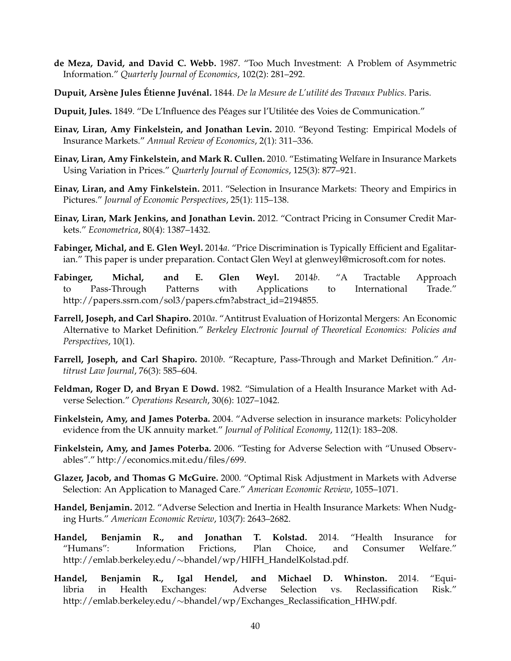- <span id="page-41-9"></span>**de Meza, David, and David C. Webb.** 1987. "Too Much Investment: A Problem of Asymmetric Information." *Quarterly Journal of Economics*, 102(2): 281–292.
- <span id="page-41-11"></span>**Dupuit, Arsène Jules Étienne Juvénal.** 1844. *De la Mesure de L'utilité des Travaux Publics.* Paris.
- <span id="page-41-3"></span>**Dupuit, Jules.** 1849. "De L'Influence des Péages sur l'Utilitée des Voies de Communication."
- <span id="page-41-4"></span>**Einav, Liran, Amy Finkelstein, and Jonathan Levin.** 2010. "Beyond Testing: Empirical Models of Insurance Markets." *Annual Review of Economics*, 2(1): 311–336.
- <span id="page-41-1"></span>**Einav, Liran, Amy Finkelstein, and Mark R. Cullen.** 2010. "Estimating Welfare in Insurance Markets Using Variation in Prices." *Quarterly Journal of Economics*, 125(3): 877–921.
- <span id="page-41-2"></span>**Einav, Liran, and Amy Finkelstein.** 2011. "Selection in Insurance Markets: Theory and Empirics in Pictures." *Journal of Economic Perspectives*, 25(1): 115–138.
- <span id="page-41-0"></span>**Einav, Liran, Mark Jenkins, and Jonathan Levin.** 2012. "Contract Pricing in Consumer Credit Markets." *Econometrica*, 80(4): 1387–1432.
- <span id="page-41-14"></span>**Fabinger, Michal, and E. Glen Weyl.** 2014*a*. "Price Discrimination is Typically Efficient and Egalitarian." This paper is under preparation. Contact Glen Weyl at glenweyl@microsoft.com for notes.
- <span id="page-41-17"></span>**Fabinger, Michal, and E. Glen Weyl.** 2014*b*. "A Tractable Approach to Pass-Through Patterns with Applications to International Trade." http://papers.ssrn.com/sol3/papers.cfm?abstract\_id=2194855.
- <span id="page-41-15"></span>**Farrell, Joseph, and Carl Shapiro.** 2010*a*. "Antitrust Evaluation of Horizontal Mergers: An Economic Alternative to Market Definition." *Berkeley Electronic Journal of Theoretical Economics: Policies and Perspectives*, 10(1).
- <span id="page-41-16"></span>**Farrell, Joseph, and Carl Shapiro.** 2010*b*. "Recapture, Pass-Through and Market Definition." *Antitrust Law Journal*, 76(3): 585–604.
- <span id="page-41-7"></span>**Feldman, Roger D, and Bryan E Dowd.** 1982. "Simulation of a Health Insurance Market with Adverse Selection." *Operations Research*, 30(6): 1027–1042.
- <span id="page-41-10"></span>**Finkelstein, Amy, and James Poterba.** 2004. "Adverse selection in insurance markets: Policyholder evidence from the UK annuity market." *Journal of Political Economy*, 112(1): 183–208.
- <span id="page-41-13"></span>**Finkelstein, Amy, and James Poterba.** 2006. "Testing for Adverse Selection with "Unused Observables"." http://economics.mit.edu/files/699.
- <span id="page-41-6"></span>**Glazer, Jacob, and Thomas G McGuire.** 2000. "Optimal Risk Adjustment in Markets with Adverse Selection: An Application to Managed Care." *American Economic Review*, 1055–1071.
- <span id="page-41-8"></span>**Handel, Benjamin.** 2012. "Adverse Selection and Inertia in Health Insurance Markets: When Nudging Hurts." *American Economic Review*, 103(7): 2643–2682.
- <span id="page-41-12"></span>**Handel, Benjamin R., and Jonathan T. Kolstad.** 2014. "Health Insurance for "Humans": Information Frictions, Plan Choice, and Consumer Welfare." http://emlab.berkeley.edu/∼bhandel/wp/HIFH\_HandelKolstad.pdf.
- <span id="page-41-5"></span>**Handel, Benjamin R., Igal Hendel, and Michael D. Whinston.** 2014. "Equilibria in Health Exchanges: Adverse Selection vs. Reclassification Risk." http://emlab.berkeley.edu/∼bhandel/wp/Exchanges\_Reclassification\_HHW.pdf.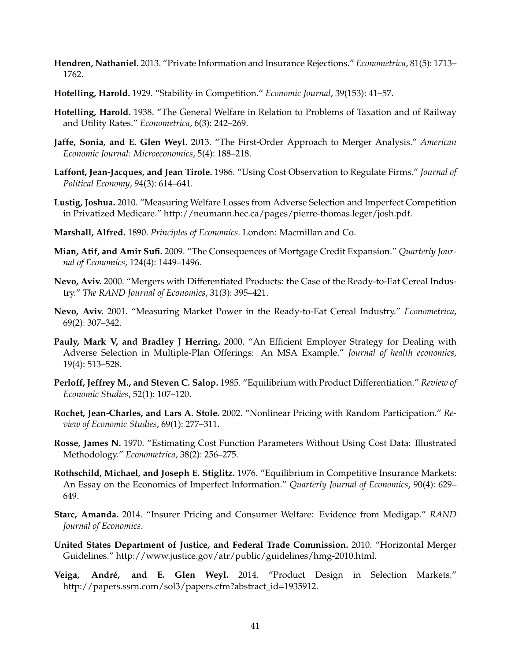- <span id="page-42-10"></span>**Hendren, Nathaniel.** 2013. "Private Information and Insurance Rejections." *Econometrica*, 81(5): 1713– 1762.
- <span id="page-42-8"></span>**Hotelling, Harold.** 1929. "Stability in Competition." *Economic Journal*, 39(153): 41–57.
- <span id="page-42-2"></span>**Hotelling, Harold.** 1938. "The General Welfare in Relation to Problems of Taxation and of Railway and Utility Rates." *Econometrica*, 6(3): 242–269.
- <span id="page-42-13"></span>**Jaffe, Sonia, and E. Glen Weyl.** 2013. "The First-Order Approach to Merger Analysis." *American Economic Journal: Microeconomics*, 5(4): 188–218.
- <span id="page-42-15"></span>**Laffont, Jean-Jacques, and Jean Tirole.** 1986. "Using Cost Observation to Regulate Firms." *Journal of Political Economy*, 94(3): 614–641.
- <span id="page-42-3"></span>**Lustig, Joshua.** 2010. "Measuring Welfare Losses from Adverse Selection and Imperfect Competition in Privatized Medicare." http://neumann.hec.ca/pages/pierre-thomas.leger/josh.pdf.
- <span id="page-42-5"></span>**Marshall, Alfred.** 1890. *Principles of Economics.* London: Macmillan and Co.
- <span id="page-42-7"></span>**Mian, Atif, and Amir Sufi.** 2009. "The Consequences of Mortgage Credit Expansion." *Quarterly Journal of Economics*, 124(4): 1449–1496.
- <span id="page-42-17"></span>**Nevo, Aviv.** 2000. "Mergers with Differentiated Products: the Case of the Ready-to-Eat Cereal Industry." *The RAND Journal of Economics*, 31(3): 395–421.
- <span id="page-42-14"></span>**Nevo, Aviv.** 2001. "Measuring Market Power in the Ready-to-Eat Cereal Industry." *Econometrica*, 69(2): 307–342.
- <span id="page-42-6"></span>**Pauly, Mark V, and Bradley J Herring.** 2000. "An Efficient Employer Strategy for Dealing with Adverse Selection in Multiple-Plan Offerings: An MSA Example." *Journal of health economics*, 19(4): 513–528.
- <span id="page-42-9"></span>**Perloff, Jeffrey M., and Steven C. Salop.** 1985. "Equilibrium with Product Differentiation." *Review of Economic Studies*, 52(1): 107–120.
- <span id="page-42-0"></span>**Rochet, Jean-Charles, and Lars A. Stole.** 2002. "Nonlinear Pricing with Random Participation." *Review of Economic Studies*, 69(1): 277–311.
- <span id="page-42-16"></span>**Rosse, James N.** 1970. "Estimating Cost Function Parameters Without Using Cost Data: Illustrated Methodology." *Econometrica*, 38(2): 256–275.
- <span id="page-42-12"></span>**Rothschild, Michael, and Joseph E. Stiglitz.** 1976. "Equilibrium in Competitive Insurance Markets: An Essay on the Economics of Imperfect Information." *Quarterly Journal of Economics*, 90(4): 629– 649.
- <span id="page-42-4"></span>**Starc, Amanda.** 2014. "Insurer Pricing and Consumer Welfare: Evidence from Medigap." *RAND Journal of Economics*.
- <span id="page-42-1"></span>**United States Department of Justice, and Federal Trade Commission.** 2010. "Horizontal Merger Guidelines." http://www.justice.gov/atr/public/guidelines/hmg-2010.html.
- <span id="page-42-11"></span>**Veiga, André, and E. Glen Weyl.** 2014. "Product Design in Selection Markets." http://papers.ssrn.com/sol3/papers.cfm?abstract\_id=1935912.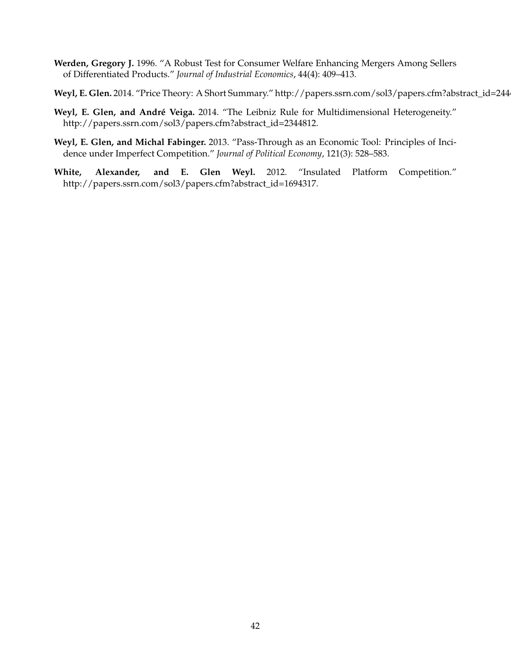- <span id="page-43-4"></span>**Werden, Gregory J.** 1996. "A Robust Test for Consumer Welfare Enhancing Mergers Among Sellers of Differentiated Products." *Journal of Industrial Economics*, 44(4): 409–413.
- <span id="page-43-2"></span>Weyl, E. Glen. 2014. "Price Theory: A Short Summary." http://papers.ssrn.com/sol3/papers.cfm?abstract\_id=244
- <span id="page-43-3"></span>**Weyl, E. Glen, and André Veiga.** 2014. "The Leibniz Rule for Multidimensional Heterogeneity." http://papers.ssrn.com/sol3/papers.cfm?abstract\_id=2344812.
- <span id="page-43-0"></span>**Weyl, E. Glen, and Michal Fabinger.** 2013. "Pass-Through as an Economic Tool: Principles of Incidence under Imperfect Competition." *Journal of Political Economy*, 121(3): 528–583.
- <span id="page-43-1"></span>**White, Alexander, and E. Glen Weyl.** 2012. "Insulated Platform Competition." http://papers.ssrn.com/sol3/papers.cfm?abstract\_id=1694317.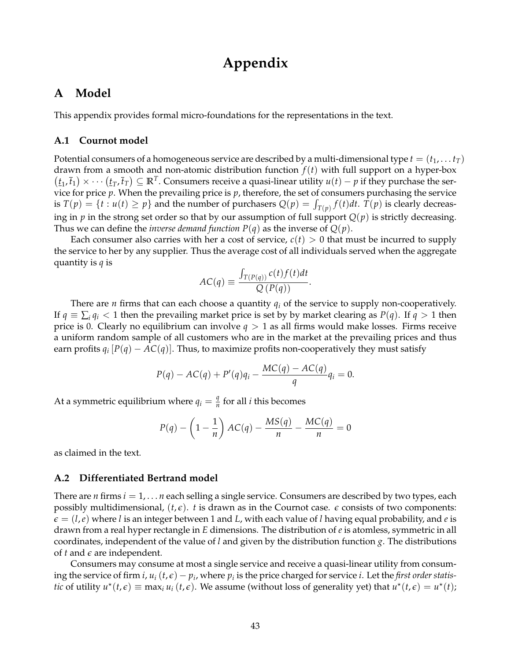# **Appendix**

# <span id="page-44-0"></span>**A Model**

This appendix provides formal micro-foundations for the representations in the text.

### **A.1 Cournot model**

Potential consumers of a homogeneous service are described by a multi-dimensional type  $t = (t_1, \ldots t_T)$ drawn from a smooth and non-atomic distribution function *f*(*t*) with full support on a hyper-box  $(t_1, \bar{t}_1) \times \cdots (t_T, \bar{t}_T) \subseteq \mathbb{R}^T$ . Consumers receive a quasi-linear utility  $u(t) - p$  if they purchase the service for price *p*. When the prevailing price is *p*, therefore, the set of consumers purchasing the service is  $T(p) = \{t : u(t) \geq p\}$  and the number of purchasers  $Q(p) = \int_{T(p)} f(t) dt$ .  $T(p)$  is clearly decreasing in  $p$  in the strong set order so that by our assumption of full support  $Q(p)$  is strictly decreasing. Thus we can define the *inverse demand function*  $P(q)$  as the inverse of  $Q(p)$ .

Each consumer also carries with her a cost of service,  $c(t) > 0$  that must be incurred to supply the service to her by any supplier. Thus the average cost of all individuals served when the aggregate quantity is *q* is

$$
AC(q) \equiv \frac{\int_{T(P(q))} c(t) f(t) dt}{Q(P(q))}.
$$

There are *n* firms that can each choose a quantity *q<sup>i</sup>* of the service to supply non-cooperatively. If  $q \equiv \sum_i q_i < 1$  then the prevailing market price is set by by market clearing as  $P(q)$ . If  $q > 1$  then price is 0. Clearly no equilibrium can involve  $q > 1$  as all firms would make losses. Firms receive a uniform random sample of all customers who are in the market at the prevailing prices and thus earn profits  $q_i$   $[P(q) - AC(q)]$ . Thus, to maximize profits non-cooperatively they must satisfy

$$
P(q) - AC(q) + P'(q)q_i - \frac{MC(q) - AC(q)}{q}q_i = 0.
$$

At a symmetric equilibrium where  $q_i = \frac{q_i}{n}$  $\frac{q}{n}$  for all *i* this becomes

$$
P(q) - \left(1 - \frac{1}{n}\right)AC(q) - \frac{MS(q)}{n} - \frac{MC(q)}{n} = 0
$$

as claimed in the text.

### **A.2 Differentiated Bertrand model**

There are *n* firms *i* = 1, . . . *n* each selling a single service. Consumers are described by two types, each possibly multidimensional,  $(t, \epsilon)$ . *t* is drawn as in the Cournot case.  $\epsilon$  consists of two components:  $\epsilon = (l, e)$  where *l* is an integer between 1 and *L*, with each value of *l* having equal probability, and *e* is drawn from a real hyper rectangle in *E* dimensions. The distribution of *e* is atomless, symmetric in all coordinates, independent of the value of *l* and given by the distribution function *g*. The distributions of *t* and *e* are independent.

Consumers may consume at most a single service and receive a quasi-linear utility from consuming the service of firm *i*,  $u_i(t,\epsilon) - p_i$ , where  $p_i$  is the price charged for service *i*. Let the *first order statistic* of utility  $u^*(t, \epsilon) \equiv \max_i u_i(t, \epsilon)$ . We assume (without loss of generality yet) that  $u^*(t, \epsilon) = u^*(t)$ ;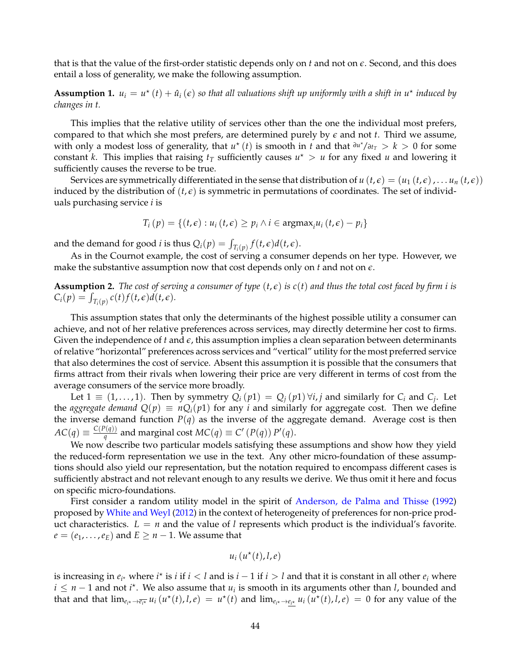that is that the value of the first-order statistic depends only on *t* and not on *e*. Second, and this does entail a loss of generality, we make the following assumption.

**Assumption 1.**  $u_i = u^*(t) + \hat{u}_i(\epsilon)$  so that all valuations shift up uniformly with a shift in  $u^*$  induced by *changes in t.*

This implies that the relative utility of services other than the one the individual most prefers, compared to that which she most prefers, are determined purely by  $\epsilon$  and not  $t$ . Third we assume, with only a modest loss of generality, that  $u^*(t)$  is smooth in *t* and that  $\frac{\partial u^*}{\partial t} > k > 0$  for some constant *k*. This implies that raising  $t_T$  sufficiently causes  $u^* > u$  for any fixed *u* and lowering it sufficiently causes the reverse to be true.

Services are symmetrically differentiated in the sense that distribution of  $u(t,\epsilon) = (u_1(t,\epsilon), \ldots, u_n(t,\epsilon))$ induced by the distribution of  $(t, \epsilon)$  is symmetric in permutations of coordinates. The set of individuals purchasing service *i* is

$$
T_i(p) = \{(t,\epsilon): u_i(t,\epsilon) \geq p_i \land i \in \operatorname{argmax}_i u_i(t,\epsilon) - p_i\}
$$

and the demand for good *i* is thus  $Q_i(p) = \int_{T_i(p)} f(t, \epsilon) d(t, \epsilon)$ .

As in the Cournot example, the cost of serving a consumer depends on her type. However, we make the substantive assumption now that cost depends only on *t* and not on *e*.

**Assumption 2.** *The cost of serving a consumer of type*  $(t, \epsilon)$  *is c(t) and thus the total cost faced by firm i is*  $C_i(p) = \int_{T_i(p)} c(t) f(t, \epsilon) d(t, \epsilon).$ 

This assumption states that only the determinants of the highest possible utility a consumer can achieve, and not of her relative preferences across services, may directly determine her cost to firms. Given the independence of *t* and *e*, this assumption implies a clean separation between determinants of relative "horizontal" preferences across services and "vertical" utility for the most preferred service that also determines the cost of service. Absent this assumption it is possible that the consumers that firms attract from their rivals when lowering their price are very different in terms of cost from the average consumers of the service more broadly.

Let  $1 \equiv (1, \ldots, 1)$ . Then by symmetry  $Q_i(p1) = Q_j(p1) \forall i, j$  and similarly for  $C_i$  and  $C_j$ . Let the *aggregate demand*  $Q(p) \equiv nQ_i(p1)$  for any *i* and similarly for aggregate cost. Then we define the inverse demand function  $P(q)$  as the inverse of the aggregate demand. Average cost is then  $AC(q) \equiv \frac{C(P(q))}{q}$  $\frac{P(q)}{q}$  and marginal cost  $MC(q) \equiv C' (P(q)) P'(q)$ .

We now describe two particular models satisfying these assumptions and show how they yield the reduced-form representation we use in the text. Any other micro-foundation of these assumptions should also yield our representation, but the notation required to encompass different cases is sufficiently abstract and not relevant enough to any results we derive. We thus omit it here and focus on specific micro-foundations.

First consider a random utility model in the spirit of [Anderson, de Palma and Thisse](#page-40-9) [\(1992\)](#page-40-9) proposed by [White and Weyl](#page-43-1) [\(2012\)](#page-43-1) in the context of heterogeneity of preferences for non-price product characteristics.  $L = n$  and the value of *l* represents which product is the individual's favorite.  $e = (e_1, \ldots, e_E)$  and  $E \geq n - 1$ . We assume that

$$
u_i(u^\star(t),l,e)
$$

is increasing in  $e_i$  where  $i^*$  is  $i$  if  $i < l$  and is  $i - 1$  if  $i > l$  and that it is constant in all other  $e_i$  where  $i \leq n-1$  and not  $i^*$ . We also assume that  $u_i$  is smooth in its arguments other than *l*, bounded and that and that  $\lim_{e_{i^*}\to e_{i^*}} u_i(u^*(t),l,e) = u^*(t)$  and  $\lim_{e_{i^*}\to e_{i^*}} u_i(u^*(t),l,e) = 0$  for any value of the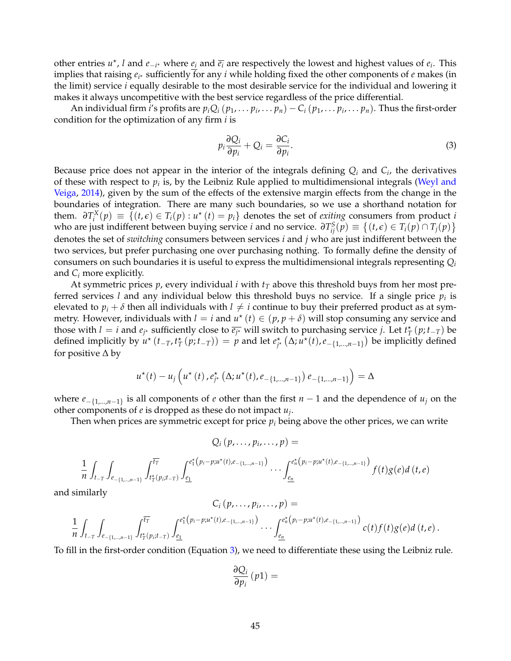other entries  $u^*$ , *l* and  $e_{-i^*}$  where  $e_i$  and  $\overline{e_i}$  are respectively the lowest and highest values of  $e_i$ . This implies that raising  $e_{i^*}$  sufficiently for any *i* while holding fixed the other components of *e* makes (in the limit) service *i* equally desirable to the most desirable service for the individual and lowering it makes it always uncompetitive with the best service regardless of the price differential.

An individual firm *i's* profits are  $p_iQ_i(p_1,\ldots p_i,\ldots p_n)-C_i(p_1,\ldots p_i,\ldots p_n)$ . Thus the first-order condition for the optimization of any firm *i* is

<span id="page-46-0"></span>
$$
p_i \frac{\partial Q_i}{\partial p_i} + Q_i = \frac{\partial C_i}{\partial p_i}.
$$
\n(3)

Because price does not appear in the interior of the integrals defining *Q<sup>i</sup>* and *C<sup>i</sup>* , the derivatives of these with respect to  $p_i$  is, by the Leibniz Rule applied to multidimensional integrals [\(Weyl and](#page-43-3) [Veiga,](#page-43-3) [2014\)](#page-43-3), given by the sum of the effects of the extensive margin effects from the change in the boundaries of integration. There are many such boundaries, so we use a shorthand notation for them.  $\partial T_i^X(p) \equiv \{ (t, \epsilon) \in T_i(p) : u^*(t) = p_i \}$  denotes the set of *exiting* consumers from product *i* who are just indifferent between buying service *i* and no service.  $\partial T_{ij}^S(p) \equiv \{(t,\epsilon) \in T_i(p) \cap T_j(p)\}$ denotes the set of *switching* consumers between services *i* and *j* who are just indifferent between the two services, but prefer purchasing one over purchasing nothing. To formally define the density of consumers on such boundaries it is useful to express the multidimensional integrals representing *Q<sup>i</sup>* and *C<sup>i</sup>* more explicitly.

At symmetric prices  $p$ , every individual  $i$  with  $t<sub>T</sub>$  above this threshold buys from her most preferred services *l* and any individual below this threshold buys no service. If a single price *p<sup>i</sup>* is elevated to  $p_i + \delta$  then all individuals with  $l \neq i$  continue to buy their preferred product as at symmetry. However, individuals with  $l = i$  and  $u^*(t) \in (p, p + \delta)$  will stop consuming any service and those with  $l = i$  and  $e_j$ <sup>\*</sup> sufficiently close to  $\overline{e_j}$ <sup>\*</sup> will switch to purchasing service *j*. Let  $t^*$ <sub>*T*</sub> (*p*; *t*<sub>-*T*</sub>) be defined implicitly by  $u^*(t_{-T}, t_T^*(p; t_{-T})) = p$  and let  $e_{j^*}^*(\Delta; u^*(t), e_{-\{1,\dots,n-1\}})$  be implicitly defined for positive ∆ by

$$
u^*(t) - u_j\left(u^*(t), e^*_{j^*}\left(\Delta; u^*(t), e_{-\{1,\dots,n-1\}}\right) e_{-\{1,\dots,n-1\}}\right) = \Delta
$$

where *e*−{1,...,*n*−1} is all components of *e* other than the first *n* − 1 and the dependence of *u<sup>j</sup>* on the other components of *e* is dropped as these do not impact *u<sup>j</sup>* .

Then when prices are symmetric except for price  $p_i$  being above the other prices, we can write

$$
Q_i(p,\ldots,p_i,\ldots,p)=
$$

$$
\frac{1}{n} \int_{t_{-T}} \int_{e_{-\{1,\ldots,n-1\}}} \int_{t_{T}^{*}(p_{i};t_{-T})}^{t_{T}^{*}} \int_{\underline{e_{1}}}^{e_{1}^{*}(p_{i}-p_{i}u^{*}(t),e_{-\{1,\ldots,n-1\}})} \ldots \int_{\underline{e_{n}}}^{e_{n}^{*}(p_{i}-p_{i}u^{*}(t),e_{-\{1,\ldots,n-1\}})} f(t)g(e)d(t,e)
$$

and similarly

$$
C_i(p,\ldots,p_i,\ldots,p) =
$$
  

$$
\frac{1}{n}\int_{t_{-T}}\int_{e_{-\{1,\ldots,n-1\}}}\int_{t_T^{\star}(p_i;t_{-T})}^{t_T^{\star}}\int_{\underline{e_1}}^{e_1^{\star}(p_i-p_iu^{\star}(t),e_{-\{1,\ldots,n-1\}})}\ldots\int_{\underline{e_n}}^{e_n^{\star}(p_i-p_iu^{\star}(t),e_{-\{1,\ldots,n-1\}})}c(t)f(t)g(e)d(t,e).
$$

To fill in the first-order condition (Equation [3\)](#page-46-0), we need to differentiate these using the Leibniz rule.

$$
\frac{\partial Q_i}{\partial p_i}\left(p\mathbb{1}\right) =
$$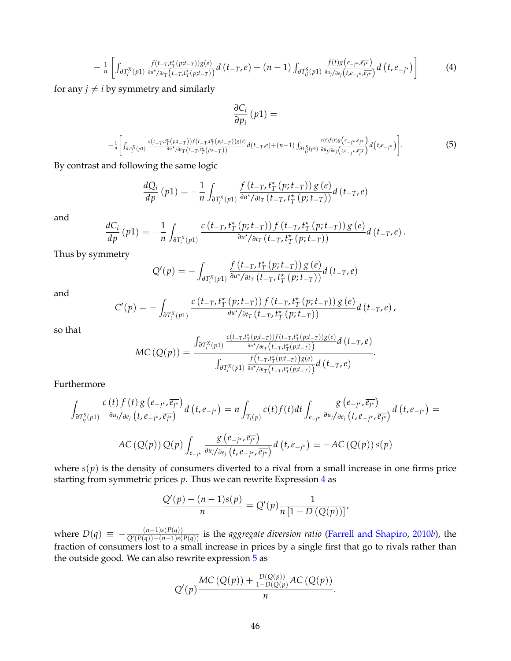<span id="page-47-0"></span>
$$
-\frac{1}{n}\left[\int_{\partial T_i^X(p_1)} \frac{f(t_{-T},t_T^*(p;t_{-T}))g(e)}{\partial u^*\partial t_T(t_{-T},t_T^*(p;t_{-T}))}d\left(t_{-T},e\right)+(n-1)\int_{\partial T_{ij}^S(p_1)} \frac{f(t)g(e_{-j^*\overline{\mathcal{R}_{j^*}}})}{\partial u_j/\partial e_j(t,e_{-j^*\overline{\mathcal{R}_{j^*}}})}d\left(t,e_{-j^*\right)\right]
$$
(4)

for any  $j \neq i$  by symmetry and similarly

$$
\frac{\partial C_i}{\partial p_i}(p1) =
$$

<span id="page-47-1"></span>
$$
-\frac{1}{n}\left[\int_{\partial T_i^X(p1)}\frac{c(t-\tau,t_T^*(p;t-\tau))f(t-\tau,t_T^*(p;t-\tau))g(e)}{\partial u^*\partial t_T(t-\tau,t_T^*(p;t-\tau))}d(t-\tau,e)+(n-1)\int_{\partial T_{ij}^S(p1)}\frac{c(t)f(t)g(e_{-j}\star\bar{e_{j}\star})}{\partial u_{j}/\partial e_j(t,e_{-j}\star\bar{e_{j}\star})}d(t,e_{-j}\star)\right].
$$
 (5)

By contrast and following the same logic

$$
\frac{dQ_i}{dp}(p1) = -\frac{1}{n} \int_{\partial T_i^X(p1)} \frac{f(t_{-T}, t_T^*(p; t_{-T})) g(e)}{\partial u^* / \partial t_T(t_{-T}, t_T^*(p; t_{-T}))} d(t_{-T}, e)
$$

and

$$
\frac{dC_i}{dp}(p1) = -\frac{1}{n} \int_{\partial T_i^X(p1)} \frac{c(t_{-T}, t_T^*(p;t_{-T})) f(t_{-T}, t_T^*(p;t_{-T})) g(e)}{\partial u^* / \partial t_T(t_{-T}, t_T^*(p;t_{-T}))} d(t_{-T}, e).
$$

Thus by symmetry

$$
Q'(p) = -\int_{\partial T_i^X(p_1)} \frac{f(t_{-T}, t_T^*(p; t_{-T})) g(e)}{\partial u^* / \partial t_T (t_{-T}, t_T^*(p; t_{-T}))} d(t_{-T}, e)
$$

and

$$
C'(p) = -\int_{\partial T_i^X(p_1)} \frac{c(t_{-T}, t_T^{\star}(p; t_{-T})) f(t_{-T}, t_T^{\star}(p; t_{-T})) g(e)}{\partial u^{\star}/\partial t_T(t_{-T}, t_T^{\star}(p; t_{-T}))} d(t_{-T}, e),
$$

so that

$$
MC(Q(p)) = \frac{\int_{\partial T_i^X(p1)} \frac{c(t_{-T}, t_T^*(p;t_{-T}))f(t_{-T}, t_T^*(p;t_{-T}))g(e)}{\frac{\partial u^*}{\partial u^*}f(t_{-T}, t_T^*(p;t_{-T}))}d(t_{-T}, e)}{\int_{\partial T_i^X(p1)} \frac{f(t_{-T}, t_T^*(p;t_{-T}))g(e)}{\frac{\partial u^*}{\partial u^*}f(t_{-T}, t_T^*(p;t_{-T}))}d(t_{-T}, e)}.
$$

Furthermore

$$
\int_{\partial T_{ij}^{S}(p1)} \frac{c(t) f(t) g(e_{-j\star}, \overline{e_{j\star}})}{\partial u_{j}/\partial e_{j} (t, e_{-j\star}, \overline{e_{j\star}})} d(t, e_{-j\star}) = n \int_{T_{i}(p)} c(t) f(t) dt \int_{e_{-j\star}} \frac{g(e_{-j\star}, \overline{e_{j\star}})}{\partial u_{j}/\partial e_{j} (t, e_{-j\star}, \overline{e_{j\star}})} d(t, e_{-j\star}) =
$$
  
AC (Q(p)) Q(p)  $\int_{e_{-j\star}} \frac{g(e_{-j\star}, \overline{e_{j\star}})}{\partial u_{j}/\partial e_{j} (t, e_{-j\star}, \overline{e_{j\star}})} d(t, e_{-j\star}) = -AC (Q(p)) s(p)$ 

where  $s(p)$  is the density of consumers diverted to a rival from a small increase in one firms price starting from symmetric prices *p*. Thus we can rewrite Expression [4](#page-47-0) as

$$
\frac{Q'(p) - (n-1)s(p)}{n} = Q'(p)\frac{1}{n[1 - D(Q(p))]'}
$$

where  $D(q) \equiv -\frac{(n-1)s(P(q))}{Q'(P(q))-(n-1)s(P)}$  $\frac{(n-1)s(P(q))}{Q'(P(q))-(n-1)s(P(q))}$  is the *aggregate diversion ratio* [\(Farrell and Shapiro,](#page-41-16) [2010](#page-41-16)*b*), the fraction of consumers lost to a small increase in prices by a single first that go to rivals rather than the outside good. We can also rewrite expression [5](#page-47-1) as

$$
Q'(p)\frac{MC(Q(p))+\frac{D(Q(p))}{1-D(Q(p)}AC(Q(p))}{n}.
$$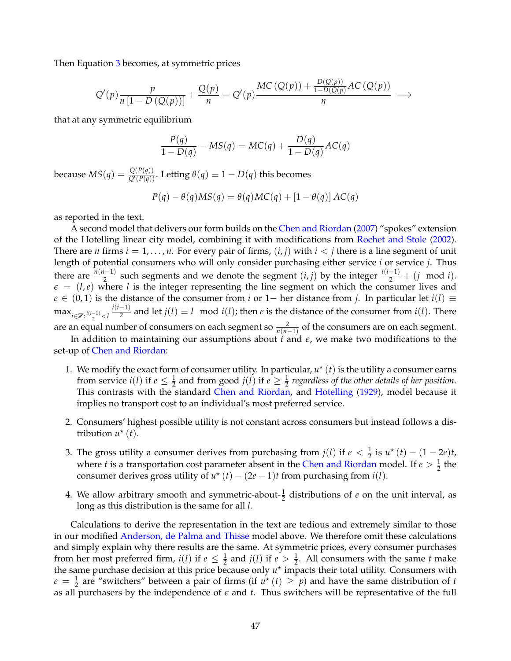Then Equation [3](#page-46-0) becomes, at symmetric prices

$$
Q'(p)\frac{p}{n\left[1-D\left(Q(p)\right)\right]} + \frac{Q(p)}{n} = Q'(p)\frac{MC\left(Q(p)\right) + \frac{D(Q(p))}{1-D(Q(p)}AC\left(Q(p)\right)}{n} \implies
$$

that at any symmetric equilibrium

$$
\frac{P(q)}{1 - D(q)} - MS(q) = MC(q) + \frac{D(q)}{1 - D(q)}AC(q)
$$

because  $MS(q) = \frac{Q(P(q))}{Q'(P(q))}$ . Letting  $\theta(q) \equiv 1 - D(q)$  this becomes

$$
P(q) - \theta(q)MS(q) = \theta(q)MC(q) + [1 - \theta(q)]AC(q)
$$

as reported in the text.

A second model that delivers our form builds on the [Chen and Riordan](#page-40-8) [\(2007\)](#page-40-8) "spokes" extension of the Hotelling linear city model, combining it with modifications from [Rochet and Stole](#page-42-0) [\(2002\)](#page-42-0). There are *n* firms  $i = 1, \ldots, n$ . For every pair of firms,  $(i, j)$  with  $i < j$  there is a line segment of unit length of potential consumers who will only consider purchasing either service *i* or service *j*. Thus there are  $\frac{n(n-1)}{2}$  such segments and we denote the segment  $(i, j)$  by the integer  $\frac{i(i-1)}{2} + (j \mod i)$ .  $\epsilon = (l, e)$  where *l* is the integer representing the line segment on which the consumer lives and *e* ∈ (0, 1) is the distance of the consumer from *i* or 1− her distance from *j*. In particular let *i*(*l*) ≡  $\max_{i \in \mathbb{Z}: \frac{i(i-1)}{2} < l}$ *i*(*i*−1)  $\frac{(-1)}{2}$  and let  $j(l) \equiv l \mod i(l)$ ; then *e* is the distance of the consumer from  $i(l)$ . There are an equal number of consumers on each segment so  $\frac{2}{n(n-1)}$  of the consumers are on each segment.

In addition to maintaining our assumptions about  $t$  and  $\epsilon$ , we make two modifications to the set-up of [Chen and Riordan:](#page-40-8)

- 1. We modify the exact form of consumer utility. In particular,  $u^*(t)$  is the utility a consumer earns from service  $i(l)$  if  $e \leq \frac{1}{2}$  and from good  $j(l)$  if  $e \geq \frac{1}{2}$  regardless of the other details of her position. This contrasts with the standard [Chen and Riordan,](#page-40-8) and [Hotelling](#page-42-8) [\(1929\)](#page-42-8), model because it implies no transport cost to an individual's most preferred service.
- 2. Consumers' highest possible utility is not constant across consumers but instead follows a distribution  $u^*(t)$ .
- 3. The gross utility a consumer derives from purchasing from  $j(l)$  if  $e < \frac{1}{2}$  is  $u^*(t) (1 2e)t$ , where *t* is a transportation cost parameter absent in the [Chen and Riordan](#page-40-8) model. If  $e > \frac{1}{2}$  the consumer derives gross utility of  $u^*(t) - (2e-1)t$  from purchasing from  $i(l)$ .
- 4. We allow arbitrary smooth and symmetric-about- $\frac{1}{2}$  distributions of *e* on the unit interval, as long as this distribution is the same for all *l*.

Calculations to derive the representation in the text are tedious and extremely similar to those in our modified [Anderson, de Palma and Thisse](#page-40-9) model above. We therefore omit these calculations and simply explain why there results are the same. At symmetric prices, every consumer purchases from her most preferred firm,  $i(l)$  if  $e \leq \frac{1}{2}$  and  $j(l)$  if  $e > \frac{1}{2}$ . All consumers with the same *t* make the same purchase decision at this price because only  $u^*$  impacts their total utility. Consumers with  $e = \frac{1}{2}$  are "switchers" between a pair of firms (if  $u^*(t) \geq p$ ) and have the same distribution of *t* as all purchasers by the independence of  $\epsilon$  and  $t$ . Thus switchers will be representative of the full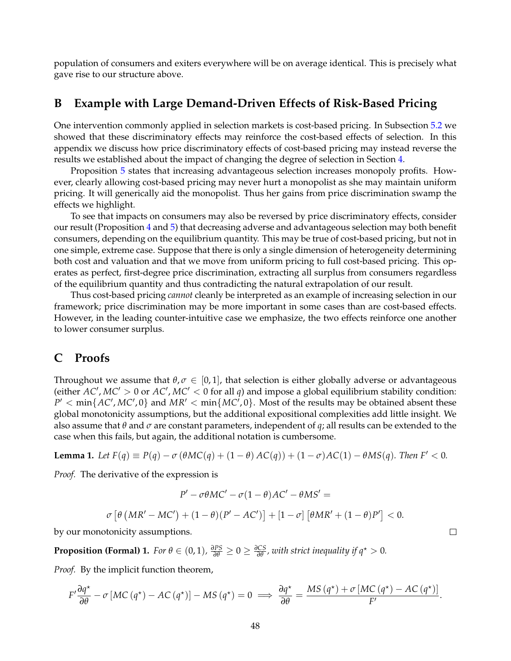population of consumers and exiters everywhere will be on average identical. This is precisely what gave rise to our structure above.

# <span id="page-49-1"></span>**B Example with Large Demand-Driven Effects of Risk-Based Pricing**

One intervention commonly applied in selection markets is cost-based pricing. In Subsection [5.2](#page-30-0) we showed that these discriminatory effects may reinforce the cost-based effects of selection. In this appendix we discuss how price discriminatory effects of cost-based pricing may instead reverse the results we established about the impact of changing the degree of selection in Section [4.](#page-18-0)

Proposition [5](#page-21-1) states that increasing advantageous selection increases monopoly profits. However, clearly allowing cost-based pricing may never hurt a monopolist as she may maintain uniform pricing. It will generically aid the monopolist. Thus her gains from price discrimination swamp the effects we highlight.

To see that impacts on consumers may also be reversed by price discriminatory effects, consider our result (Proposition [4](#page-20-2) and [5\)](#page-21-1) that decreasing adverse and advantageous selection may both benefit consumers, depending on the equilibrium quantity. This may be true of cost-based pricing, but not in one simple, extreme case. Suppose that there is only a single dimension of heterogeneity determining both cost and valuation and that we move from uniform pricing to full cost-based pricing. This operates as perfect, first-degree price discrimination, extracting all surplus from consumers regardless of the equilibrium quantity and thus contradicting the natural extrapolation of our result.

Thus cost-based pricing *cannot* cleanly be interpreted as an example of increasing selection in our framework; price discrimination may be more important in some cases than are cost-based effects. However, in the leading counter-intuitive case we emphasize, the two effects reinforce one another to lower consumer surplus.

# <span id="page-49-0"></span>**C Proofs**

Throughout we assume that  $\theta$ ,  $\sigma \in [0, 1]$ , that selection is either globally adverse or advantageous (either  $AC'$ ,  $MC' > 0$  or  $AC'$ ,  $MC' < 0$  for all  $q$ ) and impose a global equilibrium stability condition:  $P' < min\{AC', MC', 0\}$  and  $MR' < min\{MC', 0\}$ . Most of the results may be obtained absent these global monotonicity assumptions, but the additional expositional complexities add little insight. We also assume that *θ* and *σ* are constant parameters, independent of *q*; all results can be extended to the case when this fails, but again, the additional notation is cumbersome.

<span id="page-49-2"></span>**Lemma 1.** Let 
$$
F(q) \equiv P(q) - \sigma(\theta MC(q) + (1 - \theta)AC(q)) + (1 - \sigma)AC(1) - \theta MS(q)
$$
. Then  $F' < 0$ .

*Proof.* The derivative of the expression is

$$
P' - \sigma \theta MC' - \sigma (1 - \theta)AC' - \theta MS' =
$$
  

$$
\sigma \left[ \theta \left( MR' - MC' \right) + (1 - \theta)(P' - AC') \right] + [1 - \sigma] \left[ \theta MR' + (1 - \theta)P' \right] < 0.
$$

 $\Box$ 

by our monotonicity assumptions.

<span id="page-49-3"></span>**Proposition (Formal) 1.** *For*  $\theta \in (0,1)$ ,  $\frac{\partial PS}{\partial \theta} \ge 0 \ge \frac{\partial CS}{\partial \theta}$ , with strict inequality if  $q^* > 0$ .

*Proof.* By the implicit function theorem,

$$
F'\frac{\partial q^*}{\partial \theta} - \sigma \left[ MC\left(q^*\right) - AC\left(q^*\right) \right] - MS\left(q^*\right) = 0 \implies \frac{\partial q^*}{\partial \theta} = \frac{MS\left(q^*\right) + \sigma \left[MC\left(q^*\right) - AC\left(q^*\right) \right]}{F'}.
$$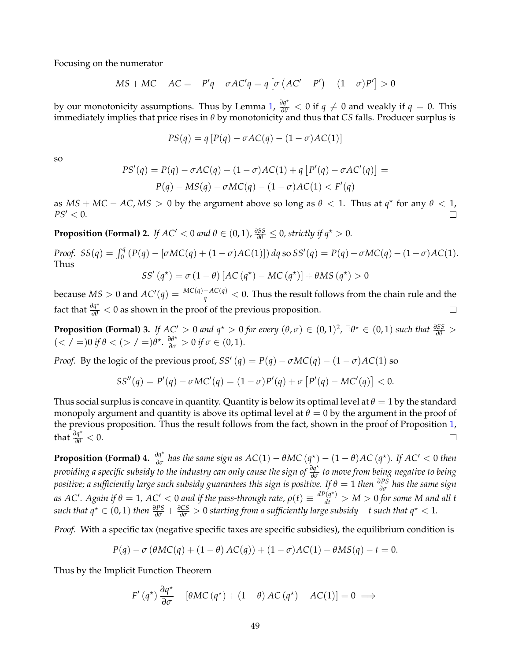Focusing on the numerator

$$
MS + MC - AC = -P'q + \sigma AC'q = q [\sigma (AC' - P') - (1 - \sigma)P'] > 0
$$

by our monotonicity assumptions. Thus by Lemma [1,](#page-49-2)  $\frac{\partial q^*}{\partial \theta} < 0$  if  $q \neq 0$  and weakly if  $q = 0$ . This immediately implies that price rises in *θ* by monotonicity and thus that *CS* falls. Producer surplus is

$$
PS(q) = q [P(q) - \sigma AC(q) - (1 - \sigma)AC(1)]
$$

so

$$
PS'(q) = P(q) - \sigma AC(q) - (1 - \sigma)AC(1) + q [P'(q) - \sigma AC'(q)] =
$$
  
 
$$
P(q) - MS(q) - \sigma MC(q) - (1 - \sigma)AC(1) < F'(q)
$$

as  $MS + MC - AC, MS > 0$  by the argument above so long as  $\theta < 1$ . Thus at  $q^*$  for any  $\theta < 1$ ,  $PS' < 0$ .  $\Box$ 

**Proposition (Formal) 2.** *If AC'* < 0 *and*  $\theta \in (0,1)$ ,  $\frac{\partial SS}{\partial \theta} \le 0$ , strictly if  $q^* > 0$ .

*Proof.*  $SS(q) = \int_0^q (P(q) - [\sigma MC(q) + (1 - \sigma)AC(1)]) dq$  so  $SS'(q) = P(q) - \sigma MC(q) - (1 - \sigma)AC(1)$ . Thus

$$
SS'(q^*) = \sigma (1 - \theta) [AC (q^*) - MC (q^*)] + \theta MS (q^*) > 0
$$

because  $MS > 0$  and  $AC'(q) = \frac{MC(q)-AC(q)}{q} < 0$ . Thus the result follows from the chain rule and the fact that  $\frac{\partial q^*}{\partial \theta} < 0$  as shown in the proof of the previous proposition.  $\Box$ 

<span id="page-50-1"></span>**Proposition (Formal) 3.** If  $AC' > 0$  and  $q^* > 0$  for every  $(\theta, \sigma) \in (0, 1)^2$ ,  $\exists \theta^* \in (0, 1)$  such that  $\frac{\partial SS}{\partial \theta} > 0$  $(<$  / =)0 if  $\theta$  <  $(>$  / =) $\theta^{\star}$ .  $\frac{\partial \theta^{\star}}{\partial \sigma}$  > 0 if  $\sigma \in (0, 1)$ *.* 

*Proof.* By the logic of the previous proof, *SS'* (*q*) =  $P(q) - \sigma MC(q) - (1 - \sigma)AC(1)$  so

$$
SS''(q) = P'(q) - \sigma MC'(q) = (1 - \sigma)P'(q) + \sigma [P'(q) - MC'(q)] < 0.
$$

Thus social surplus is concave in quantity. Quantity is below its optimal level at  $\theta = 1$  by the standard monopoly argument and quantity is above its optimal level at  $\theta = 0$  by the argument in the proof of the previous proposition. Thus the result follows from the fact, shown in the proof of Proposition [1,](#page-49-3) that  $\frac{\partial q^*}{\partial \theta} < 0$ .  $\Box$ 

<span id="page-50-0"></span>**Proposition (Formal) 4.**  $\frac{\partial q^*}{\partial \sigma}$  has the same sign as  $AC(1) - \theta MC(q^*) - (1 - \theta)AC(q^*)$ . If  $AC' < 0$  then *providing a specific subsidy to the industry can only cause the sign of <sup>∂</sup><sup>q</sup>* ? *∂σ to move from being negative to being positive; a sufficiently large such subsidy guarantees this sign is positive. If θ* = 1 *then <sup>∂</sup>PS ∂σ has the same sign*  $a$ *s*  $AC'$ . Again if  $\theta = 1$ ,  $AC' < 0$  and if the pass-through rate,  $\rho(t) \equiv \frac{dP(q^*)}{dt} > M > 0$  for some M and all t *such that*  $q^* \in (0,1)$  *then*  $\frac{\partial PS}{\partial \sigma} + \frac{\partial CS}{\partial \sigma} > 0$  *starting from a sufficiently large subsidy*  $-t$  *such that*  $q^* < 1$ *.* 

*Proof.* With a specific tax (negative specific taxes are specific subsidies), the equilibrium condition is

$$
P(q) - \sigma (\theta MC(q) + (1 - \theta) AC(q)) + (1 - \sigma) AC(1) - \theta MS(q) - t = 0.
$$

Thus by the Implicit Function Theorem

$$
F'(q^*)\frac{\partial q^*}{\partial \sigma} - [\theta MC(q^*) + (1 - \theta) AC(q^*) - AC(1)] = 0 \implies
$$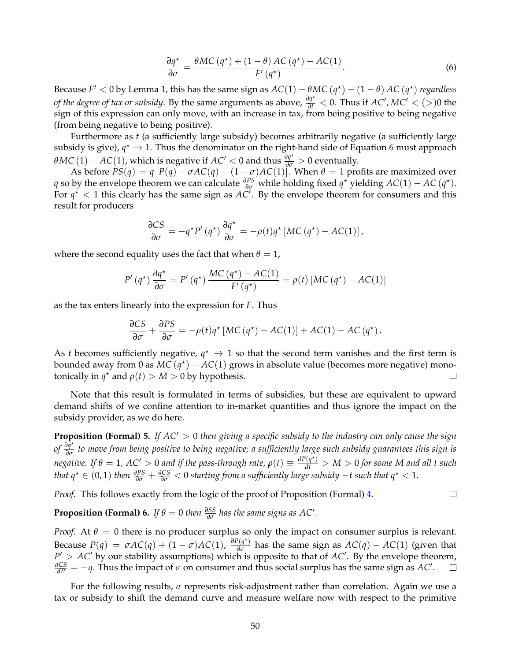<span id="page-51-0"></span>
$$
\frac{\partial q^*}{\partial \sigma} = \frac{\theta MC(q^*) + (1 - \theta) AC(q^*) - AC(1)}{F'(q^*)}.
$$
\n(6)

Because  $F' < 0$  by Lemma [1,](#page-49-2) this has the same sign as  $AC(1) - \theta MC(q^*) - (1 - \theta) AC(q^*)$  regardless *of the degree of tax or subsidy.* By the same arguments as above,  $\frac{\partial q^*}{\partial t} < 0$ . Thus if *AC'*, *MC'* < (>)0 the sign of this expression can only move, with an increase in tax, from being positive to being negative (from being negative to being positive).

Furthermore as *t* (a sufficiently large subsidy) becomes arbitrarily negative (a sufficiently large subsidy is give),  $q^* \to 1$ . Thus the denominator on the right-hand side of Equation [6](#page-51-0) must approach *θMC* (1) − *AC*(1), which is negative if *AC*<sup> $\prime$ </sup> < 0 and thus  $\frac{\partial q^{\star}}{\partial \sigma}$  > 0 eventually.

As before  $PS(q) = q [P(q) - \sigma AC(q) - (1 - \sigma)AC(1)]$ . When  $\theta = 1$  profits are maximized over *q* so by the envelope theorem we can calculate  $\frac{\partial PS}{\partial q}$  while holding fixed  $q^*$  yielding  $AC(1) - AC(q^*)$ . For  $q^*$  < 1 this clearly has the same sign as  $AC'$ . By the envelope theorem for consumers and this result for producers

$$
\frac{\partial CS}{\partial \sigma} = -q^{\star} P'(q^{\star}) \frac{\partial q^{\star}}{\partial \sigma} = -\rho(t) q^{\star} \left[ MC(q^{\star}) - AC(1) \right],
$$

where the second equality uses the fact that when  $\theta = 1$ ,

$$
P'(q^*)\frac{\partial q^*}{\partial \sigma} = P'(q^*)\frac{MC(q^*) - AC(1)}{F'(q^*)} = \rho(t) \left[MC(q^*) - AC(1)\right]
$$

as the tax enters linearly into the expression for *F*. Thus

$$
\frac{\partial CS}{\partial \sigma} + \frac{\partial PS}{\partial \sigma} = -\rho(t)q^{\star} \left[ MC\left(q^{\star}\right) - AC(1)\right] + AC(1) - AC\left(q^{\star}\right).
$$

As *t* becomes sufficiently negative,  $q^* \rightarrow 1$  so that the second term vanishes and the first term is bounded away from 0 as  $MC(q^*) - AC(1)$  grows in absolute value (becomes more negative) monotonically in  $q^*$  and  $\rho(t) > M > 0$  by hypothesis.  $\Box$ 

Note that this result is formulated in terms of subsidies, but these are equivalent to upward demand shifts of we confine attention to in-market quantities and thus ignore the impact on the subsidy provider, as we do here.

**Proposition (Formal) 5.** *If AC'* > 0 *then giving a specific subsidy to the industry can only cause the sign of <sup>∂</sup><sup>q</sup>* ? *∂σ to move from being positive to being negative; a sufficiently large such subsidy guarantees this sign is negative.* If  $\theta = 1$ ,  $AC' > 0$  and if the pass-through rate,  $\rho(t) \equiv \frac{dP(q^*)}{dt} > M > 0$  for some M and all t such *that*  $q^* \in (0,1)$  *then*  $\frac{\partial PS}{\partial \sigma} + \frac{\partial CS}{\partial \sigma} < 0$  *starting from a sufficiently large subsidy* −*t such that*  $q^* < 1$ *.* 

 $\Box$ 

*Proof.* This follows exactly from the logic of the proof of Proposition (Formal) [4.](#page-50-0)

<span id="page-51-1"></span>**Proposition (Formal) 6.** *If*  $\theta = 0$  *then*  $\frac{\partial SS}{\partial \sigma}$  *has the same signs as AC'*.

*Proof.* At  $\theta = 0$  there is no producer surplus so only the impact on consumer surplus is relevant. Because  $P(q) = \sigma AC(q) + (1 - \sigma)AC(1)$ ,  $\frac{\partial P(q^*)}{\partial \sigma}$  has the same sign as  $AC(q) - AC(1)$  (given that  $P' > AC'$  by our stability assumptions) which is opposite to that of  $AC'$ . By the envelope theorem,  $\frac{dCS}{dP} = -q$ . Thus the impact of *σ* on consumer and thus social surplus has the same sign as *AC*<sup>'</sup>.  $\Box$ 

For the following results, *σ* represents risk-adjustment rather than correlation. Again we use a tax or subsidy to shift the demand curve and measure welfare now with respect to the primitive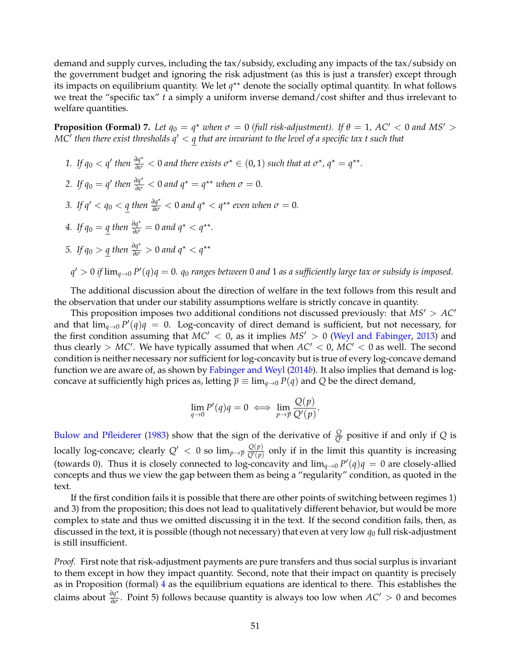demand and supply curves, including the tax/subsidy, excluding any impacts of the tax/subsidy on the government budget and ignoring the risk adjustment (as this is just a transfer) except through its impacts on equilibrium quantity. We let  $q^{\star\star}$  denote the socially optimal quantity. In what follows we treat the "specific tax" *t* a simply a uniform inverse demand/cost shifter and thus irrelevant to welfare quantities.

<span id="page-52-0"></span>**Proposition (Formal) 7.** Let  $q_0 = q^*$  when  $\sigma = 0$  (full risk-adjustment). If  $\theta = 1$ , AC'  $< 0$  and MS'  $>$ *MC*<sup>0</sup> *then there exist thresholds q*<sup>0</sup> < *q that are invariant to the level of a specific tax t such that*

*1.* If  $q_0 < q'$  then  $\frac{\partial q^*}{\partial \sigma} < 0$  and there exists  $\sigma^* \in (0, 1)$  such that at  $\sigma^*$ ,  $q^* = q^{**}$ . 2. If  $q_0 = q'$  then  $\frac{\partial q^*}{\partial \sigma} < 0$  and  $q^* = q^{**}$  when  $\sigma = 0$ . *3.* If  $q' < q_0 < \underline{q}$  then  $\frac{\partial q^*}{\partial \sigma} < 0$  and  $q^* < q^{**}$  even when  $\sigma = 0$ . *4.* If  $q_0 = \underline{q}$  then  $\frac{\partial q^*}{\partial \sigma} = 0$  and  $q^* < q^{**}$ . *5.* If  $q_0 > \underline{q}$  then  $\frac{\partial q^*}{\partial \sigma} > 0$  and  $q^* < q^{**}$ *q* <sup>0</sup> > 0 *if* lim*q*→<sup>0</sup> *P* 0 (*q*)*q* = 0*. q*<sup>0</sup> *ranges between* 0 *and* 1 *as a sufficiently large tax or subsidy is imposed.*

The additional discussion about the direction of welfare in the text follows from this result and the observation that under our stability assumptions welfare is strictly concave in quantity.

This proposition imposes two additional conditions not discussed previously: that  $MS' > AC'$ and that  $\lim_{q\to 0} P'(q)q = 0$ . Log-concavity of direct demand is sufficient, but not necessary, for the first condition assuming that  $MC' < 0$ , as it implies  $MS' > 0$  [\(Weyl and Fabinger,](#page-43-0) [2013\)](#page-43-0) and thus clearly >  $MC'$ . We have typically assumed that when  $AC' < 0$ ,  $MC' < 0$  as well. The second condition is neither necessary nor sufficient for log-concavity but is true of every log-concave demand function we are aware of, as shown by [Fabinger and Weyl](#page-41-17) [\(2014](#page-41-17)*b*). It also implies that demand is logconcave at sufficiently high prices as, letting  $\overline{p} \equiv \lim_{q\to 0} P(q)$  and Q be the direct demand,

$$
\lim_{q \to 0} P'(q)q = 0 \iff \lim_{p \to \overline{p}} \frac{Q(p)}{Q'(p)}.
$$

[Bulow and Pfleiderer](#page-40-16) [\(1983\)](#page-40-16) show that the sign of the derivative of  $\frac{Q}{Q'}$  positive if and only if *Q* is locally log-concave; clearly  $Q' < 0$  so  $\lim_{p\to \overline{p}} \frac{Q(p)}{Q'(p)}$  $\frac{Q(\mathcal{V})}{Q'(\mathcal{p})}$  only if in the limit this quantity is increasing (towards 0). Thus it is closely connected to log-concavity and  $\lim_{q\to 0} P'(q)q = 0$  are closely-allied concepts and thus we view the gap between them as being a "regularity" condition, as quoted in the text.

If the first condition fails it is possible that there are other points of switching between regimes 1) and 3) from the proposition; this does not lead to qualitatively different behavior, but would be more complex to state and thus we omitted discussing it in the text. If the second condition fails, then, as discussed in the text, it is possible (though not necessary) that even at very low  $q_0$  full risk-adjustment is still insufficient.

*Proof.* First note that risk-adjustment payments are pure transfers and thus social surplus is invariant to them except in how they impact quantity. Second, note that their impact on quantity is precisely as in Proposition (formal) [4](#page-50-0) as the equilibrium equations are identical to there. This establishes the claims about  $\frac{\partial q^*}{\partial \sigma}$ . Point 5) follows because quantity is always too low when *AC*<sup>*'*</sup> > 0 and becomes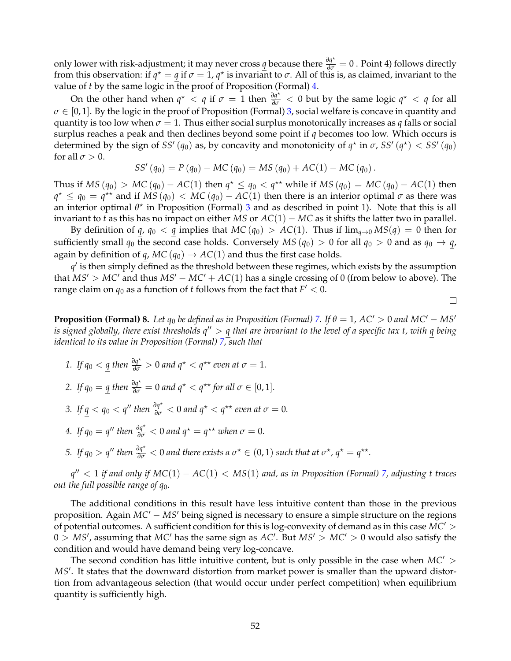only lower with risk-adjustment; it may never cross  $q$  because there  $\frac{\partial q^*}{\partial \sigma} = 0$ . Point 4) follows directly from this observation: if  $q^* = q$  if  $\sigma = 1$ ,  $q^*$  is invariant to  $\sigma$ . All of this is, as claimed, invariant to the value of *t* by the same logic in the proof of Proposition (Formal) [4.](#page-50-0)

On the other hand when  $q^* < q$  if  $\sigma = 1$  then  $\frac{\partial q^*}{\partial \sigma} < 0$  but by the same logic  $q^* < q$  for all  $\sigma \in [0, 1]$ . By the logic in the proof of Proposition (Formal) [3,](#page-50-1) social welfare is concave in quantity and quantity is too low when  $\sigma = 1$ . Thus either social surplus monotonically increases as *q* falls or social surplus reaches a peak and then declines beyond some point if *q* becomes too low. Which occurs is determined by the sign of *SS'* ( $q_0$ ) as, by concavity and monotonicity of  $q^*$  in  $\sigma$ , *SS'* ( $q^*$ ) < *SS'* ( $q_0$ ) for all  $\sigma > 0$ .

$$
SS'(q_0) = P(q_0) - MC(q_0) = MS(q_0) + AC(1) - MC(q_0).
$$

Thus if *MS* ( $q_0$ ) > *MC* ( $q_0$ ) − *AC*(1) then  $q^* ≤ q_0 < q^{**}$  while if *MS* ( $q_0$ ) = *MC* ( $q_0$ ) − *AC*(1) then  $q^* \leq q_0 = q^{**}$  and if  $\overline{MS}(q_0) < \overline{MC}(q_0) - \overline{AC}(1)$  then there is an interior optimal  $\sigma$  as there was an interior optimal  $\theta^*$  in Proposition (Formal) [3](#page-50-1) and as described in point 1). Note that this is all invariant to *t* as this has no impact on either *MS* or  $AC(1) - MC$  as it shifts the latter two in parallel.

By definition of *q*, *q*<sub>0</sub> < *q* implies that *MC* (*q*<sub>0</sub>) > *AC*(1). Thus if  $\lim_{q\to 0} MS(q) = 0$  then for sufficiently small  $q_0$  the second case holds. Conversely  $MS(q_0) > 0$  for all  $q_0 > 0$  and as  $q_0 \rightarrow q$ , again by definition of *q*, *MC* ( $q_0$ )  $\rightarrow$  *AC*(1) and thus the first case holds.

 $q'$  is then simply defined as the threshold between these regimes, which exists by the assumption that  $MS' > MC'$  and thus  $MS' - MC' + AC(1)$  has a single crossing of 0 (from below to above). The range claim on  $q_0$  as a function of *t* follows from the fact that  $F' < 0$ .

 $\Box$ 

**Proposition (Formal) 8.** Let  $q_0$  be defined as in Proposition (Formal) [7.](#page-52-0) If  $\theta = 1$ , AC' > 0 and MC' – MS' *is signed globally, there exist thresholds*  $q'' > q$  *that are invariant to the level of a specific tax t, with q being identical to its value in Proposition (Formal) [7,](#page-52-0) such that*

- *1. If*  $q_0 < \underline{q}$  *then*  $\frac{\partial q^*}{\partial \sigma} > 0$  *and*  $q^* < q^{**}$  *even at*  $\sigma = 1$ *.*
- 2. If  $q_0 = \underline{q}$  then  $\frac{\partial q^*}{\partial \sigma} = 0$  and  $q^* < q^{**}$  for all  $\sigma \in [0, 1]$ .
- *3.* If  $q < q_0 < q''$  then  $\frac{\partial q^*}{\partial \sigma} < 0$  and  $q^* < q^{**}$  even at  $\sigma = 0$ .
- *4.* If  $q_0 = q''$  then  $\frac{\partial q^*}{\partial \sigma} < 0$  and  $q^* = q^{**}$  when  $\sigma = 0$ .
- *5.* If  $q_0 > q''$  then  $\frac{\partial q^*}{\partial \sigma} < 0$  and there exists a  $\sigma^* \in (0,1)$  such that at  $\sigma^*$ ,  $q^* = q^{**}$ .

*q* <sup>00</sup> < 1 *if and only if MC*(1) − *AC*(1) < *MS*(1) *and, as in Proposition (Formal) [7,](#page-52-0) adjusting t traces out the full possible range of q*0*.*

The additional conditions in this result have less intuitive content than those in the previous proposition. Again *MC<sup>'</sup>* − *MS<sup>'</sup>* being signed is necessary to ensure a simple structure on the regions of potential outcomes. A sufficient condition for this is log-convexity of demand as in this case  $MC' >$  $0 > MS'$ , assuming that  $MC'$  has the same sign as  $AC'$ . But  $MS' > MC' > 0$  would also satisfy the condition and would have demand being very log-concave.

The second condition has little intuitive content, but is only possible in the case when  $MC'$ MS<sup>'</sup>. It states that the downward distortion from market power is smaller than the upward distortion from advantageous selection (that would occur under perfect competition) when equilibrium quantity is sufficiently high.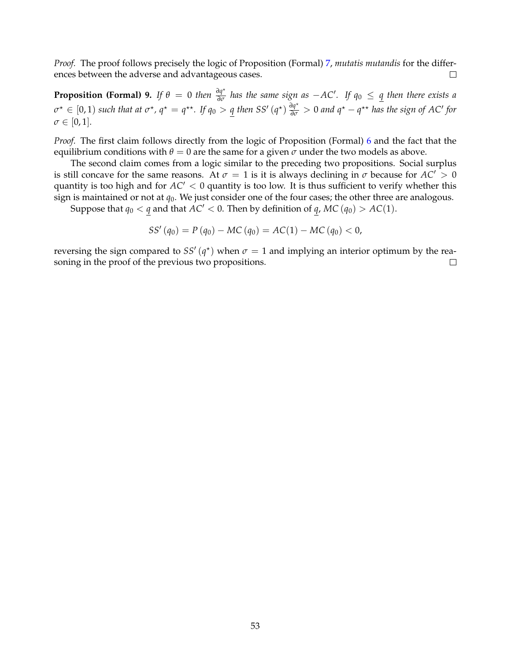*Proof.* The proof follows precisely the logic of Proposition (Formal) [7,](#page-52-0) *mutatis mutandis* for the differences between the adverse and advantageous cases.  $\Box$ 

**Proposition (Formal) 9.** If  $\theta = 0$  then  $\frac{\partial q^*}{\partial \sigma}$  has the same sign as  $-AC'$ . If  $q_0 \leq q$  then there exists a  $\sigma^{\star} \in [0,1)$  such that at  $\sigma^{\star}$ ,  $q^{\star} = q^{\star\star}$ . If  $q_0 > q$  then SS'  $(q^{\star})$   $\frac{\partial q^{\star}}{\partial \sigma} > 0$  and  $q^{\star} - q^{\star\star}$  has the sign of AC' for  $\sigma \in [0, 1]$ .

*Proof.* The first claim follows directly from the logic of Proposition (Formal) [6](#page-51-1) and the fact that the equilibrium conditions with  $\theta = 0$  are the same for a given  $\sigma$  under the two models as above.

The second claim comes from a logic similar to the preceding two propositions. Social surplus is still concave for the same reasons. At  $\sigma = 1$  is it is always declining in  $\sigma$  because for  $AC' > 0$ quantity is too high and for  $AC' < 0$  quantity is too low. It is thus sufficient to verify whether this sign is maintained or not at *q*0. We just consider one of the four cases; the other three are analogous.

Suppose that  $q_0 < q$  and that  $AC' < 0$ . Then by definition of  $q$ ,  $MC(q_0) > AC(1)$ .

$$
SS'(q_0) = P(q_0) - MC(q_0) = AC(1) - MC(q_0) < 0,
$$

reversing the sign compared to  $SS'(q^*)$  when  $\sigma = 1$  and implying an interior optimum by the reasoning in the proof of the previous two propositions.  $\Box$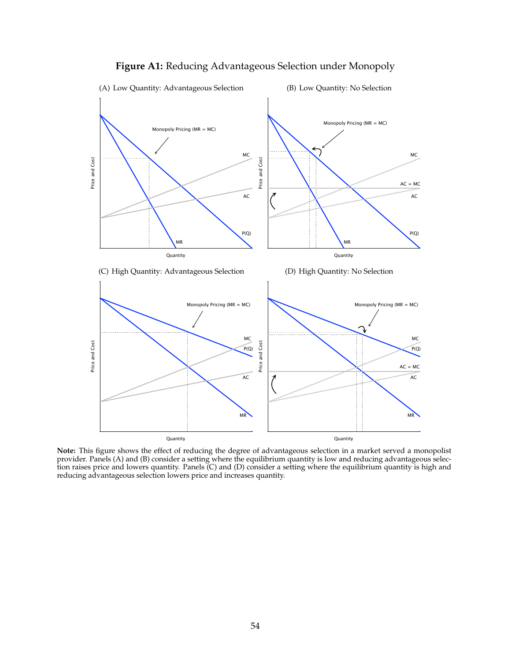<span id="page-55-0"></span>

# **Figure A1:** Reducing Advantageous Selection under Monopoly

**Note:** This figure shows the effect of reducing the degree of advantageous selection in a market served a monopolist provider. Panels (A) and (B) consider a setting where the equilibrium quantity is low and reducing advantageous selection raises price and lowers quantity. Panels (C) and (D) consider a setting where the equilibrium quantity is high and reducing advantageous selection lowers price and increases quantity.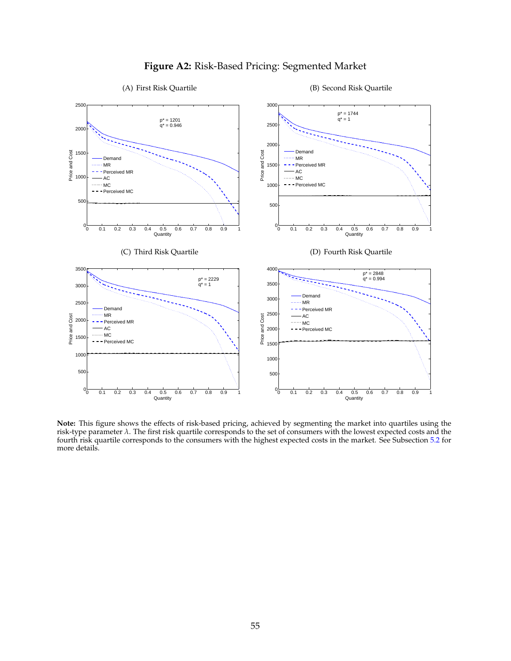<span id="page-56-0"></span>

# **Figure A2:** Risk-Based Pricing: Segmented Market

### (A) First Risk Quartile

### (B) Second Risk Quartile

**Note:** This figure shows the effects of risk-based pricing, achieved by segmenting the market into quartiles using the risk-type parameter *λ*. The first risk quartile corresponds to the set of consumers with the lowest expected costs and the fourth risk quartile corresponds to the consumers with the highest expected costs in the market. See Subsection [5.2](#page-30-0) for more details.